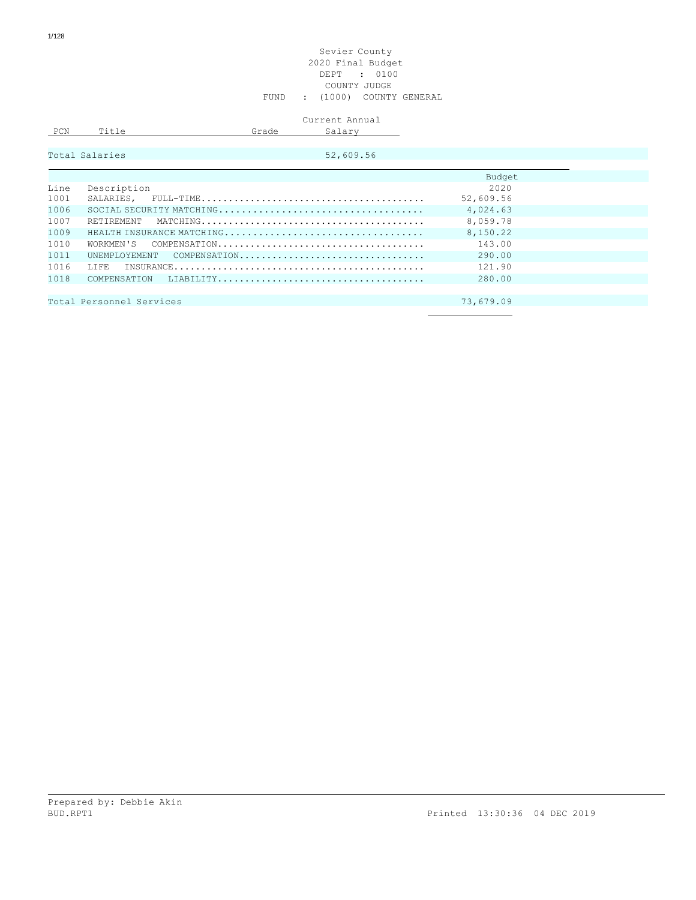## Sevier County 2020 Final Budget DEPT : 0100 COUNTY JUDGE FUND : (1000) COUNTY GENERAL

|     |           |       | Current Annual |
|-----|-----------|-------|----------------|
| PCN | $T + 1 -$ | Grade | $ -$           |
|     |           |       |                |

| Total Salaries |  |  |  |  |  |
|----------------|--|--|--|--|--|
|                |  |  |  |  |  |

 $52,609.56$ 

|      |                            | Budget    |  |
|------|----------------------------|-----------|--|
| Line | Description                | 2020      |  |
| 1001 |                            | 52,609.56 |  |
| 1006 |                            | 4,024.63  |  |
| 1007 | RETIREMENT                 | 8,059.78  |  |
| 1009 | HEALTH INSURANCE MATCHING  | 8,150.22  |  |
| 1010 |                            | 143.00    |  |
| 1011 | UNEMPLOYEMENT COMPENSATION | 290.00    |  |
| 1016 |                            | 121.90    |  |
| 1018 |                            | 280.00    |  |
|      |                            |           |  |
|      | Total Personnel Services   | 73,679.09 |  |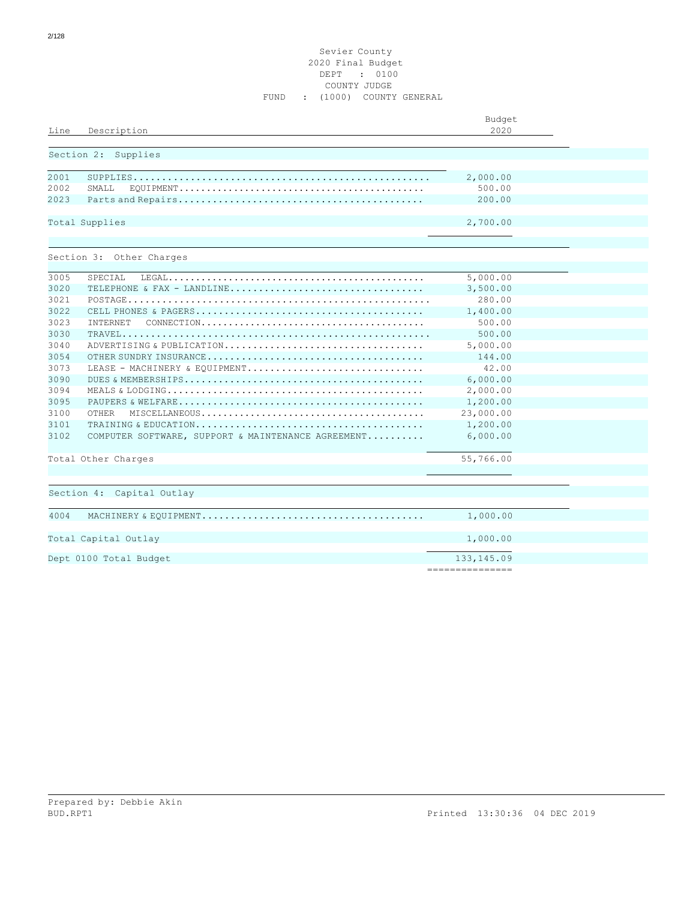## Sevier County 2020 Final Budget DEPT : 0100 COUNTY JUDGE FUND : (1000) COUNTY GENERAL

| Line | Description                                                                                                                 | Budget<br>2020                  |  |
|------|-----------------------------------------------------------------------------------------------------------------------------|---------------------------------|--|
|      | Section 2: Supplies                                                                                                         |                                 |  |
| 2001 |                                                                                                                             | 2,000.00                        |  |
| 2002 | SMAT <sub>L</sub>                                                                                                           | 500.00                          |  |
| 2023 |                                                                                                                             | 200.00                          |  |
|      | Total Supplies                                                                                                              | 2,700.00                        |  |
|      | Section 3: Other Charges                                                                                                    |                                 |  |
| 3005 | SPECIAL                                                                                                                     | 5,000.00                        |  |
| 3020 | TELEPHONE & FAX - LANDLINE                                                                                                  | 3,500.00                        |  |
| 3021 |                                                                                                                             | 280.00                          |  |
| 3022 |                                                                                                                             | 1,400.00                        |  |
| 3023 | INTERNET<br>$\texttt{CONNECTION} \dots \dots \dots \dots \dots \dots \dots \dots \dots \dots \dots \dots \dots \dots \dots$ | 500.00                          |  |
| 3030 |                                                                                                                             | 500.00                          |  |
| 3040 | ADVERTISING & PUBLICATION                                                                                                   | 5,000.00                        |  |
| 3054 |                                                                                                                             | 144.00                          |  |
| 3073 | LEASE - MACHINERY & EQUIPMENT                                                                                               | 42.00                           |  |
| 3090 |                                                                                                                             | 6,000.00                        |  |
| 3094 |                                                                                                                             | 2,000.00                        |  |
| 3095 |                                                                                                                             | 1,200.00                        |  |
| 3100 | OTHER                                                                                                                       | 23,000.00                       |  |
| 3101 |                                                                                                                             | 1,200.00                        |  |
| 3102 | COMPUTER SOFTWARE, SUPPORT & MAINTENANCE AGREEMENT                                                                          | 6,000.00                        |  |
|      | Total Other Charges                                                                                                         | 55,766.00                       |  |
|      |                                                                                                                             |                                 |  |
|      | Section 4: Capital Outlay                                                                                                   |                                 |  |
| 4004 |                                                                                                                             | 1,000.00                        |  |
|      | Total Capital Outlay                                                                                                        | 1,000.00                        |  |
|      | Dept 0100 Total Budget                                                                                                      | 133, 145.09<br>---------------- |  |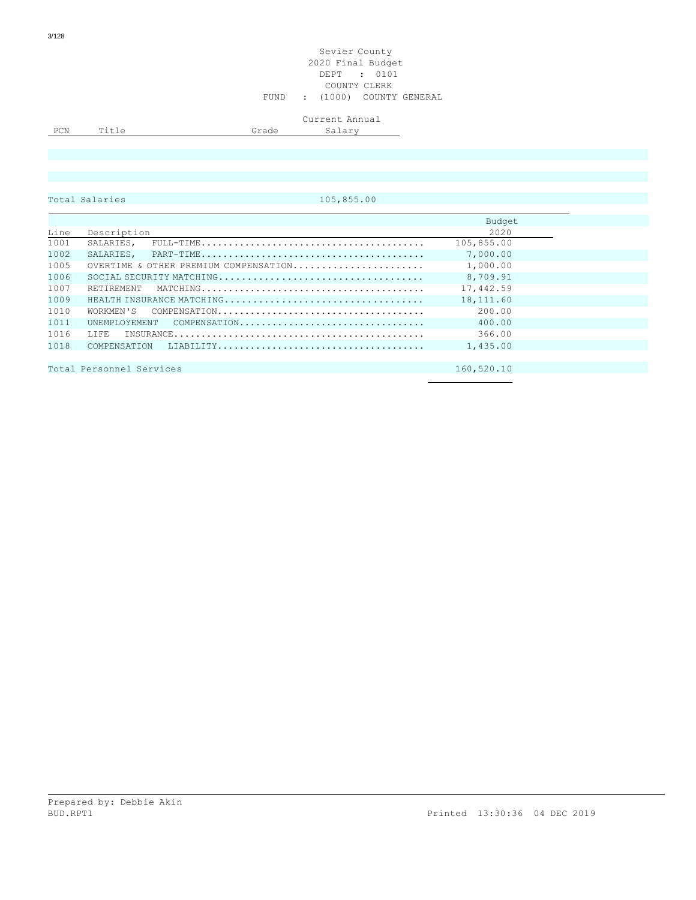### Sevier County 2020 Final Budget DEPT : 0101 COUNTY CLERK FUND : (1000) COUNTY GENERAL

# Current Annual

PCN Title Grade Salary

Total Salaries 105,855.00

|      |                                                                                                              | Budget     |
|------|--------------------------------------------------------------------------------------------------------------|------------|
| Line | Description                                                                                                  | 2020       |
| 1001 | SALARIES,<br>$FULL-TIME \dots \dots \dots \dots \dots \dots \dots \dots \dots \dots \dots \dots \dots \dots$ | 105,855.00 |
| 1002 |                                                                                                              | 7,000.00   |
| 1005 | OVERTIME & OTHER PREMIUM COMPENSATION                                                                        | 1,000.00   |
| 1006 |                                                                                                              | 8,709.91   |
| 1007 | RETIREMENT                                                                                                   | 17,442.59  |
| 1009 |                                                                                                              | 18,111.60  |
| 1010 |                                                                                                              | 200.00     |
| 1011 | UNEMPLOYEMENT<br>$COMPENSATION \ldots \ldots \ldots \ldots \ldots \ldots \ldots \ldots \ldots \ldots$        | 400.00     |
| 1016 | T. T. F. F.                                                                                                  | 366.00     |
| 1018 |                                                                                                              | 1,435.00   |
|      |                                                                                                              |            |
|      | Total Personnel Services                                                                                     | 160,520.10 |
|      |                                                                                                              |            |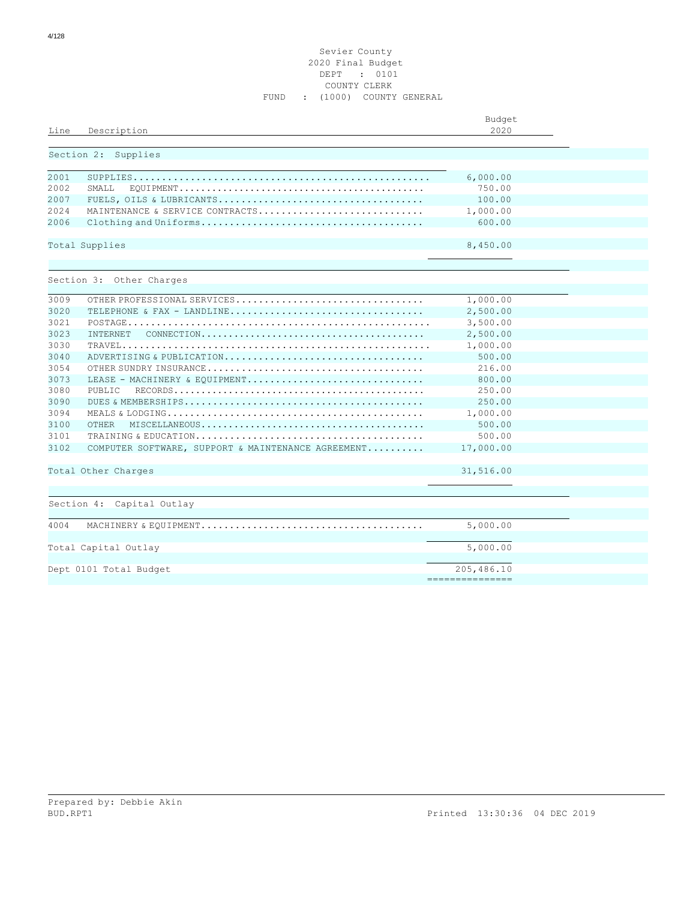## Sevier County 2020 Final Budget DEPT : 0101 COUNTY CLERK FUND : (1000) COUNTY GENERAL

| Line         | Description                                        | Budget<br>2020                |  |
|--------------|----------------------------------------------------|-------------------------------|--|
|              | Section 2: Supplies                                |                               |  |
| 2001<br>2002 | SMALL                                              | 6,000.00<br>750.00            |  |
| 2007         |                                                    | 100.00                        |  |
| 2024         | MAINTENANCE & SERVICE CONTRACTS                    | 1,000.00                      |  |
| 2006         |                                                    | 600.00                        |  |
|              | Total Supplies                                     | 8,450.00                      |  |
|              |                                                    |                               |  |
|              | Section 3: Other Charges                           |                               |  |
| 3009         | OTHER PROFESSIONAL SERVICES                        | 1,000.00                      |  |
| 3020         |                                                    | 2,500.00                      |  |
| 3021         |                                                    | 3,500.00                      |  |
| 3023         | <b>TNTERNET</b>                                    | 2,500.00                      |  |
| 3030         |                                                    | 1,000.00                      |  |
| 3040         | ADVERTISING & PUBLICATION                          | 500.00                        |  |
| 3054         |                                                    | 216.00                        |  |
| 3073         | LEASE - MACHINERY & EOUIPMENT                      | 800.00                        |  |
| 3080         | PUBLIC                                             | 250.00                        |  |
| 3090         |                                                    | 250.00                        |  |
| 3094         |                                                    | 1,000.00                      |  |
| 3100         | <b>OTHER</b>                                       | 500.00                        |  |
| 3101         |                                                    | 500.00                        |  |
| 3102         | COMPUTER SOFTWARE, SUPPORT & MAINTENANCE AGREEMENT | 17,000.00                     |  |
|              | Total Other Charges                                | 31,516.00                     |  |
|              |                                                    |                               |  |
|              | Section 4: Capital Outlay                          |                               |  |
| 4004         |                                                    | 5,000.00                      |  |
|              | Total Capital Outlay                               | 5,000.00                      |  |
|              | Dept 0101 Total Budget                             | 205,486.10<br>=============== |  |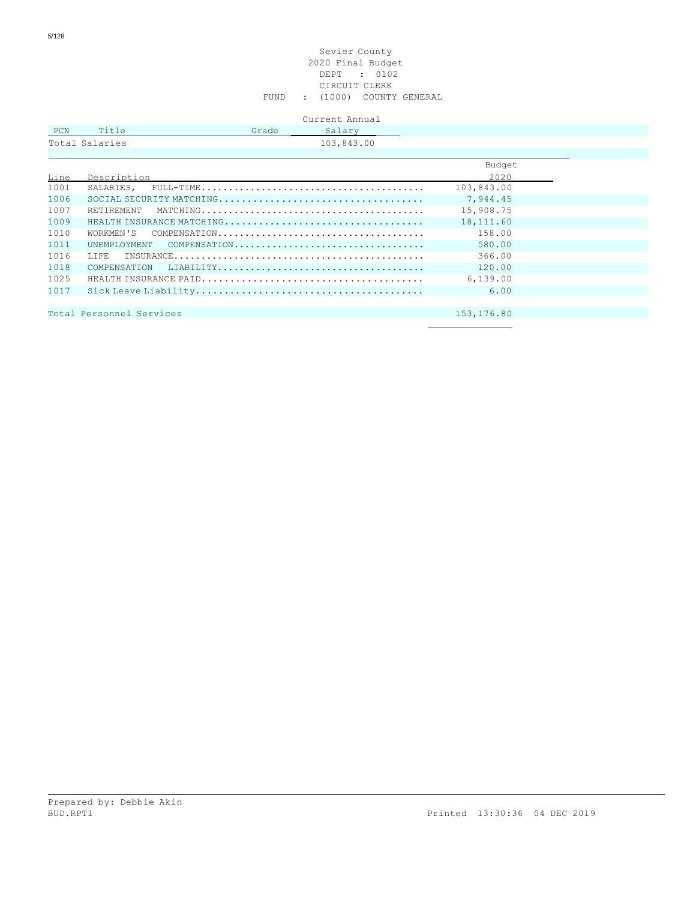### Sevier County 2020 Final Budget DEPT : 0102 CIRCUIT CLERK FUND : (1000) COUNTY GENERAL

|            |                | Current Annual  |
|------------|----------------|-----------------|
| <b>PCN</b> | Title          | Salary<br>Grade |
|            | Total Salaries | 103,843.00      |
|            |                |                 |

|      |                           | Budget     |
|------|---------------------------|------------|
| Line | Description               | 2020       |
| 1001 |                           | 103,843.00 |
| 1006 |                           | 7,944.45   |
| 1007 |                           | 15,908.75  |
| 1009 | HEALTH INSURANCE MATCHING | 18,111.60  |
| 1010 |                           | 158.00     |
| 1011 | UNEMPLOYMENT COMPENSATION | 580.00     |
| 1016 | T.T.F.R.                  | 366.00     |
| 1018 |                           | 120.00     |
| 1025 |                           | 6,139.00   |
| 1017 |                           | 6.00       |
|      |                           |            |
|      | Total Personnel Services  | 153,176.80 |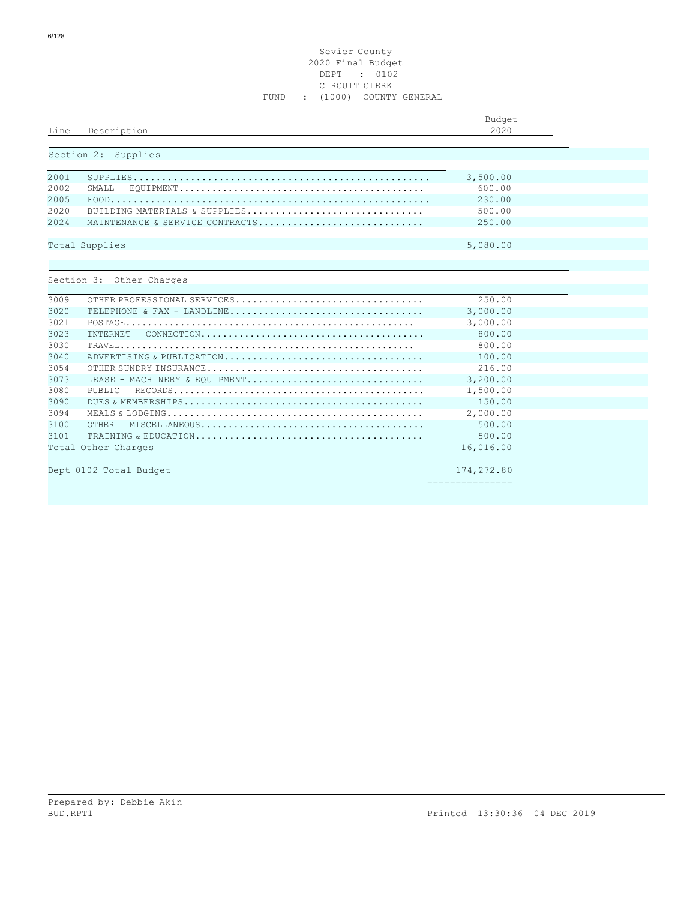## Sevier County 2020 Final Budget DEPT : 0102 CIRCUIT CLERK FUND : (1000) COUNTY GENERAL

| Line                  | Description                                                      | Budget<br>2020                |
|-----------------------|------------------------------------------------------------------|-------------------------------|
|                       | Section 2: Supplies                                              |                               |
| 2001<br>2002          | SMAT <sub>L</sub>                                                | 3,500.00<br>600.00            |
| 2005<br>2020<br>2.024 | BUILDING MATERIALS & SUPPLIES<br>MAINTENANCE & SERVICE CONTRACTS | 230.00<br>500.00<br>250.00    |
|                       | Total Supplies                                                   | 5,080.00                      |
|                       | Section 3: Other Charges                                         |                               |
| 3009                  | OTHER PROFESSIONAL SERVICES                                      | 250.00                        |
| 3020                  | TELEPHONE & FAX - LANDLINE                                       | 3,000.00                      |
| 3021                  |                                                                  | 3,000.00                      |
| 3023                  | <b>TNTERNET</b>                                                  | 800.00                        |
| 3030                  |                                                                  | 800.00                        |
| 3040                  | ADVERTISING & PUBLICATION                                        | 100.00                        |
| 3054                  |                                                                  | 216.00                        |
| 3073                  | LEASE - MACHINERY & EOUIPMENT                                    | 3,200.00                      |
| 3080                  | PUBLIC                                                           | 1,500.00                      |
| 3090                  |                                                                  | 150.00                        |
| 3094                  |                                                                  | 2,000.00                      |
| 3100                  | <b>OTHER</b>                                                     | 500.00                        |
| 3101                  |                                                                  | 500.00                        |
|                       | Total Other Charges                                              | 16,016.00                     |
|                       | Dept 0102 Total Budget                                           | 174,272.80<br>=============== |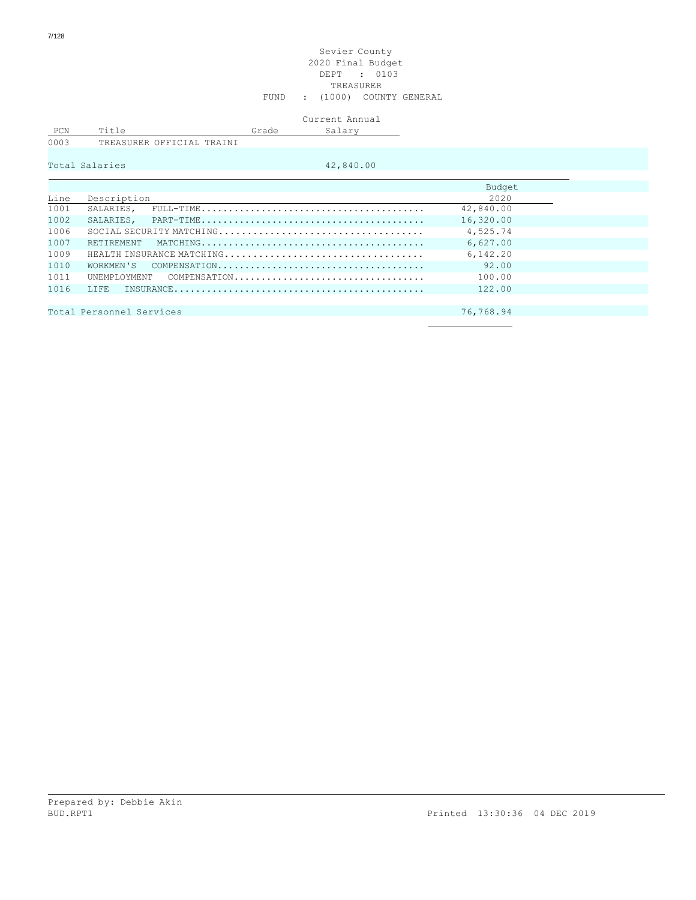### Sevier County 2020 Final Budget DEPT : 0103 TREASURER FUND : (1000) COUNTY GENERAL

## Current Annual Salary Salary

| ′ 'Ni |                             |        |
|-------|-----------------------------|--------|
|       | OFFICIAL<br>ם ה<br>. SIIRER | TRATNT |

|      | Total Salaries           | 42,840.00                 |           |  |
|------|--------------------------|---------------------------|-----------|--|
|      |                          |                           |           |  |
|      |                          |                           | Budget    |  |
| Line | Description              |                           | 2020      |  |
| 1001 | SALARIES,                |                           | 42,840.00 |  |
| 1002 |                          |                           | 16,320.00 |  |
| 1006 |                          |                           | 4,525.74  |  |
| 1007 | RETIREMENT               |                           | 6,627.00  |  |
| 1009 |                          | HEALTH INSURANCE MATCHING | 6,142.20  |  |
| 1010 |                          |                           | 92.00     |  |
| 1011 |                          | UNEMPLOYMENT COMPENSATION | 100.00    |  |
| 1016 | T.T.F.R.                 |                           | 122.00    |  |
|      |                          |                           |           |  |
|      | Total Personnel Services |                           | 76,768.94 |  |
|      |                          |                           |           |  |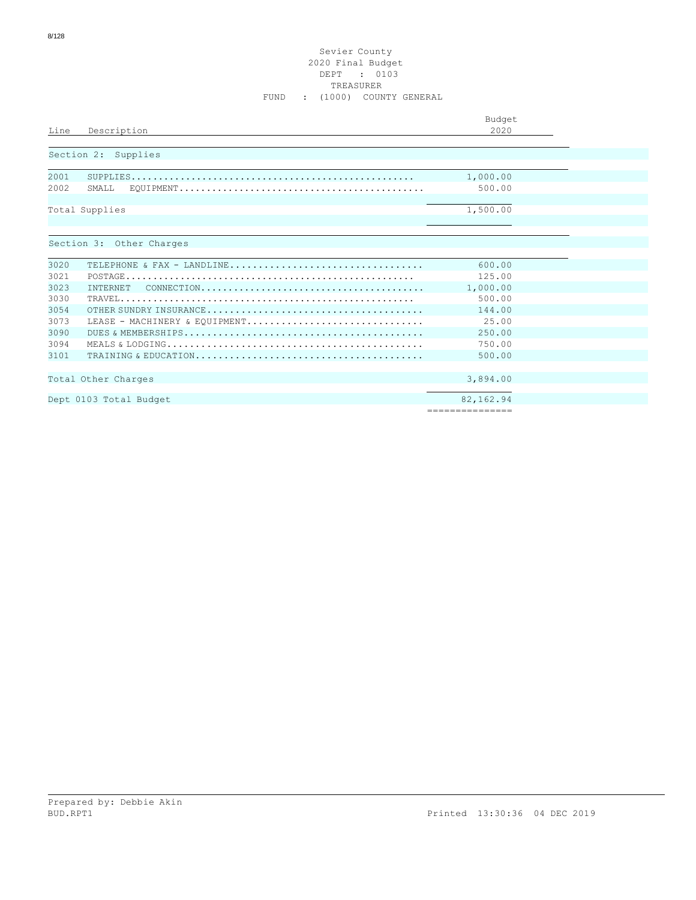## Sevier County 2020 Final Budget DEPT : 0103 TREASURER FUND : (1000) COUNTY GENERAL

|                                                                                                                      | Budget          |
|----------------------------------------------------------------------------------------------------------------------|-----------------|
| Description<br>Line                                                                                                  | 2020            |
|                                                                                                                      |                 |
| Section 2: Supplies                                                                                                  |                 |
|                                                                                                                      |                 |
| 2001                                                                                                                 | 1,000.00        |
| 2002<br>SMALL.                                                                                                       | 500.00          |
|                                                                                                                      |                 |
| Total Supplies                                                                                                       | 1,500.00        |
|                                                                                                                      |                 |
| Section 3: Other Charges                                                                                             |                 |
|                                                                                                                      |                 |
| 3020<br>TELEPHONE & FAX - LANDLINE                                                                                   | 600.00          |
| 3021                                                                                                                 | 125.00          |
| 3023<br>INTERNET<br>$COMNECTION \ldots \ldots \ldots \ldots \ldots \ldots \ldots \ldots \ldots \ldots \ldots \ldots$ | 1,000.00        |
| 3030                                                                                                                 | 500.00          |
| 3054                                                                                                                 | 144.00          |
| 3073<br>LEASE - MACHINERY & EQUIPMENT                                                                                | 25.00           |
| 3090                                                                                                                 | 250.00          |
| 3094                                                                                                                 | 750.00          |
| 3101                                                                                                                 | 500.00          |
|                                                                                                                      |                 |
| Total Other Charges                                                                                                  | 3,894.00        |
|                                                                                                                      |                 |
| Dept 0103 Total Budget                                                                                               | 82,162.94       |
|                                                                                                                      | =============== |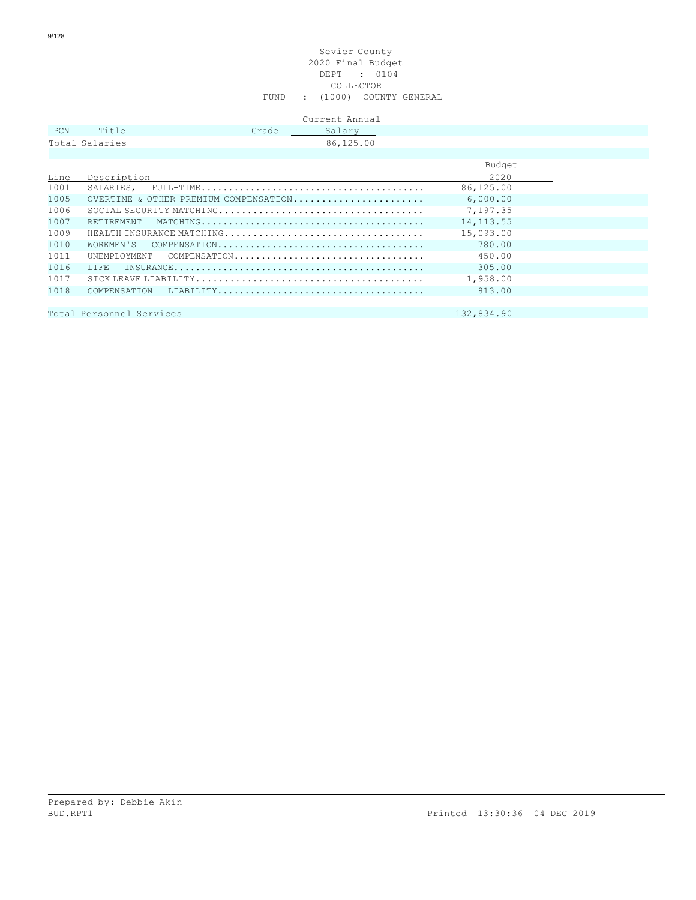### Sevier County 2020 Final Budget DEPT : 0104 COLLECTOR FUND : (1000) COUNTY GENERAL

| Current Annual |  |
|----------------|--|
|----------------|--|

|                |       |       | $\cup$ $\alpha$ $\pm$ $\sim$ $\alpha$ $\alpha$ $\pm$ |
|----------------|-------|-------|------------------------------------------------------|
| PCN            | Title | Grade | Salary                                               |
| Total Salaries |       |       | 86,125.00                                            |
|                |       |       |                                                      |

|      |                                       | Budget      |
|------|---------------------------------------|-------------|
| Line | Description                           | 2020        |
| 1001 |                                       | 86,125.00   |
| 1005 | OVERTIME & OTHER PREMIUM COMPENSATION | 6,000.00    |
| 1006 |                                       | 7,197.35    |
| 1007 |                                       | 14, 113. 55 |
| 1009 |                                       | 15,093.00   |
| 1010 |                                       | 780.00      |
| 1011 | UNEMPLOYMENT COMPENSATION             | 450.00      |
| 1016 |                                       | 305.00      |
| 1017 |                                       | 1,958.00    |
| 1018 |                                       | 813.00      |
|      |                                       |             |
|      | Total Personnel Services              | 132,834.90  |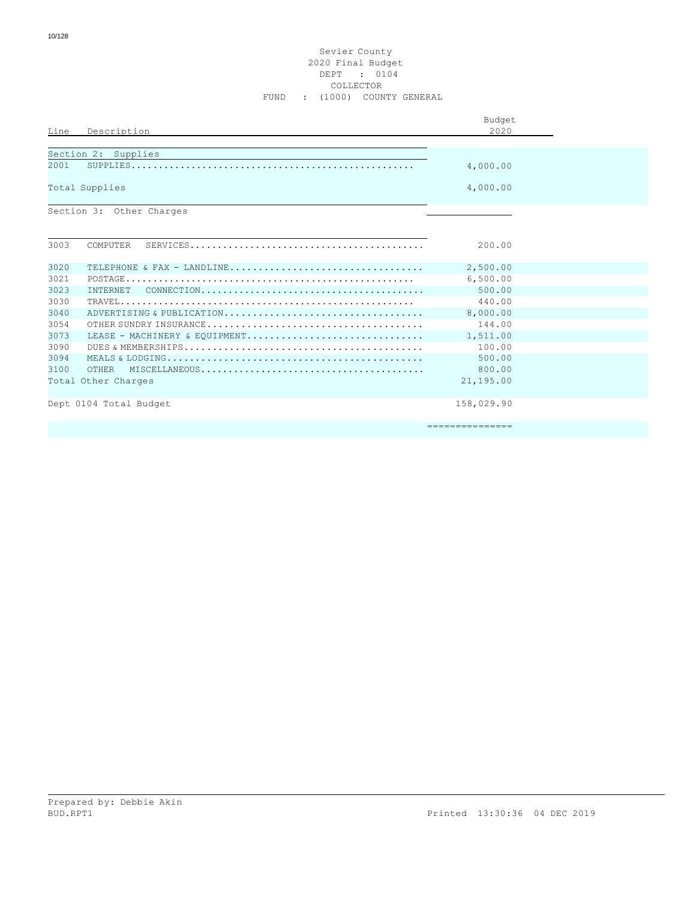### Sevier County 2020 Final Budget DEPT : 0104 COLLECTOR FUND : (1000) COUNTY GENERAL

|      |                                                                                                   | Budget          |  |
|------|---------------------------------------------------------------------------------------------------|-----------------|--|
| Line | Description                                                                                       | 2020            |  |
|      | Section 2: Supplies                                                                               |                 |  |
| 2001 |                                                                                                   | 4,000.00        |  |
|      | Total Supplies                                                                                    | 4,000.00        |  |
|      | Section 3: Other Charges                                                                          |                 |  |
|      |                                                                                                   |                 |  |
| 3003 | COMPUTER                                                                                          | 200.00          |  |
| 3020 | TELEPHONE & FAX - LANDLINE                                                                        | 2,500.00        |  |
| 3021 |                                                                                                   | 6,500.00        |  |
| 3023 | <b>INTERNET</b>                                                                                   | 500.00          |  |
| 3030 | $\texttt{TRAVEL}\dots\dots\dots\dots\dots\dots\dots\dots\dots\dots\dots\dots\dots\dots\dots\dots$ | 440.00          |  |
| 3040 | ADVERTISING & PUBLICATION                                                                         | 8,000.00        |  |
| 3054 |                                                                                                   | 144.00          |  |
| 3073 | LEASE - MACHINERY & EQUIPMENT                                                                     | 1,511.00        |  |
| 3090 |                                                                                                   | 100.00          |  |
| 3094 |                                                                                                   | 500.00          |  |
| 3100 |                                                                                                   | 800.00          |  |
|      | Total Other Charges                                                                               | 21,195.00       |  |
|      | Dept 0104 Total Budget                                                                            | 158,029.90      |  |
|      |                                                                                                   | =============== |  |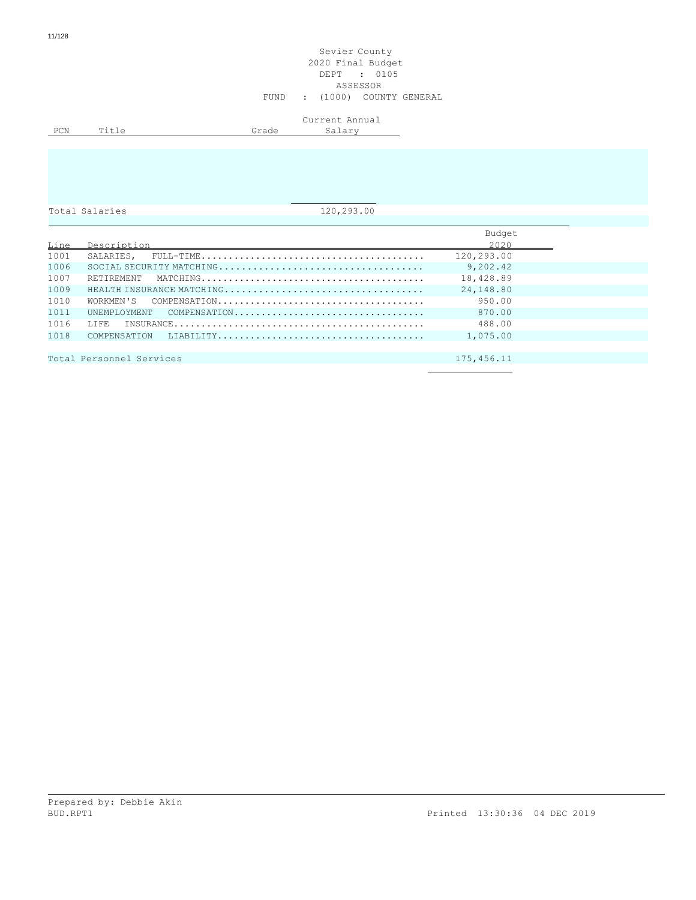|     |       |       | Current Annual |
|-----|-------|-------|----------------|
| PCN | △1+أ™ | Grade | 2011<br>nd⊥d⊥  |
|     |       |       |                |

Total Salaries 120,293.00

|      |                                                                                                                                  | Budget     |
|------|----------------------------------------------------------------------------------------------------------------------------------|------------|
| Line | Description                                                                                                                      | 2020       |
| 1001 |                                                                                                                                  | 120,293.00 |
| 1006 |                                                                                                                                  | 9,202.42   |
| 1007 |                                                                                                                                  | 18,428.89  |
| 1009 | HEALTH INSURANCE MATCHING                                                                                                        | 24,148.80  |
| 1010 |                                                                                                                                  | 950.00     |
| 1011 | UNEMPLOYMENT COMPENSATION                                                                                                        | 870.00     |
| 1016 | T.T.F.R.<br>$\texttt{INSUBANCE} \dots \dots \dots \dots \dots \dots \dots \dots \dots \dots \dots \dots \dots \dots \dots \dots$ | 488.00     |
| 1018 |                                                                                                                                  | 1,075.00   |
|      |                                                                                                                                  |            |
|      | Total Personnel Services                                                                                                         | 175,456.11 |
|      |                                                                                                                                  |            |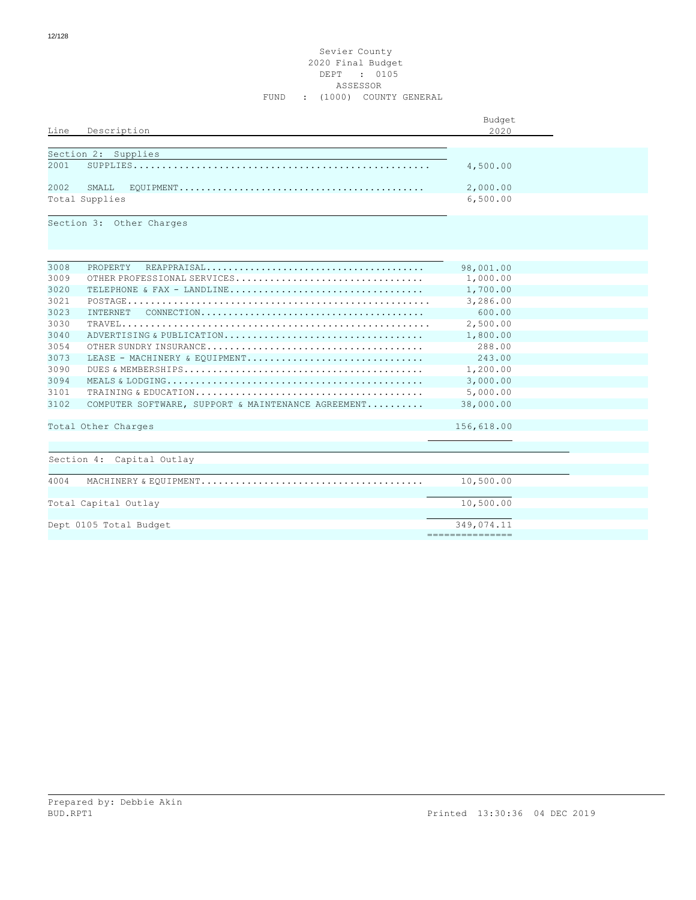### Sevier County 2020 Final Budget DEPT : 0105 ASSESSOR FUND : (1000) COUNTY GENERAL

|      |                                                                                                              | Budget          |  |
|------|--------------------------------------------------------------------------------------------------------------|-----------------|--|
| Line | Description                                                                                                  | 2020            |  |
|      |                                                                                                              |                 |  |
|      | Section 2: Supplies                                                                                          |                 |  |
| 2001 |                                                                                                              | 4,500.00        |  |
| 2002 | SMAT.T.                                                                                                      | 2,000.00        |  |
|      | Total Supplies                                                                                               | 6,500.00        |  |
|      |                                                                                                              |                 |  |
|      | Section 3: Other Charges                                                                                     |                 |  |
|      |                                                                                                              |                 |  |
|      |                                                                                                              |                 |  |
|      |                                                                                                              |                 |  |
| 3008 | <b>PROPERTY</b>                                                                                              | 98,001.00       |  |
| 3009 | OTHER PROFESSIONAL SERVICES                                                                                  | 1,000.00        |  |
| 3020 | TELEPHONE & FAX - LANDLINE                                                                                   | 1,700.00        |  |
| 3021 |                                                                                                              | 3,286.00        |  |
| 3023 | $\texttt{CONNECTION}\dots\dots\dots\dots\dots\dots\dots\dots\dots\dots\dots\dots\dots\dots\dots$<br>INTERNET | 600.00          |  |
| 3030 |                                                                                                              | 2,500.00        |  |
| 3040 | ADVERTISING & PUBLICATION                                                                                    | 1,800.00        |  |
| 3054 |                                                                                                              | 288.00          |  |
| 3073 | LEASE - MACHINERY & EQUIPMENT                                                                                | 243.00          |  |
| 3090 |                                                                                                              | 1,200.00        |  |
| 3094 |                                                                                                              | 3,000.00        |  |
| 3101 |                                                                                                              | 5,000.00        |  |
| 3102 | COMPUTER SOFTWARE, SUPPORT & MAINTENANCE AGREEMENT                                                           | 38,000.00       |  |
|      |                                                                                                              |                 |  |
|      | Total Other Charges                                                                                          | 156,618.00      |  |
|      |                                                                                                              |                 |  |
|      | Section 4: Capital Outlay                                                                                    |                 |  |
|      |                                                                                                              |                 |  |
| 4004 |                                                                                                              | 10,500.00       |  |
|      |                                                                                                              |                 |  |
|      | Total Capital Outlay                                                                                         | 10,500.00       |  |
|      |                                                                                                              |                 |  |
|      | Dept 0105 Total Budget                                                                                       | 349,074.11      |  |
|      |                                                                                                              | =============== |  |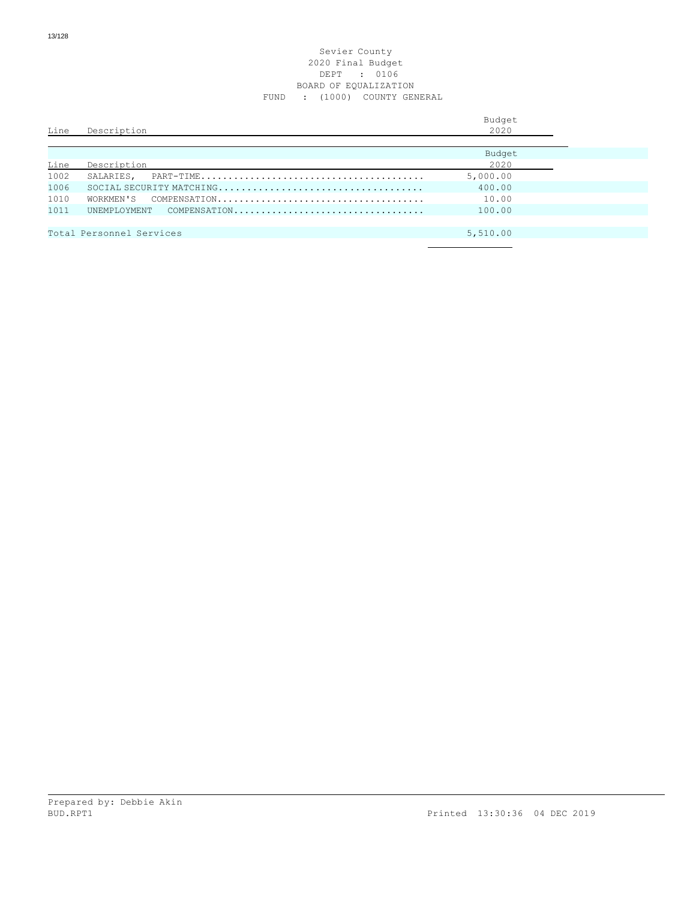### Sevier County 2020 Final Budget DEPT : 0106 BOARD OF EQUALIZATION FUND : (1000) COUNTY GENERAL

| 2020<br>Description<br>Line                    |  |
|------------------------------------------------|--|
| Budget<br>2020<br>Line<br>Description          |  |
| 1002<br>5,000.00<br>SALARIES.                  |  |
| 1006<br>400.00                                 |  |
| 1010<br>10.00<br>WORKMEN'S                     |  |
| 1011<br>100.00<br>UNEMPLOYMENT<br>COMPENSATION |  |
|                                                |  |
| Total Personnel Services<br>5,510.00           |  |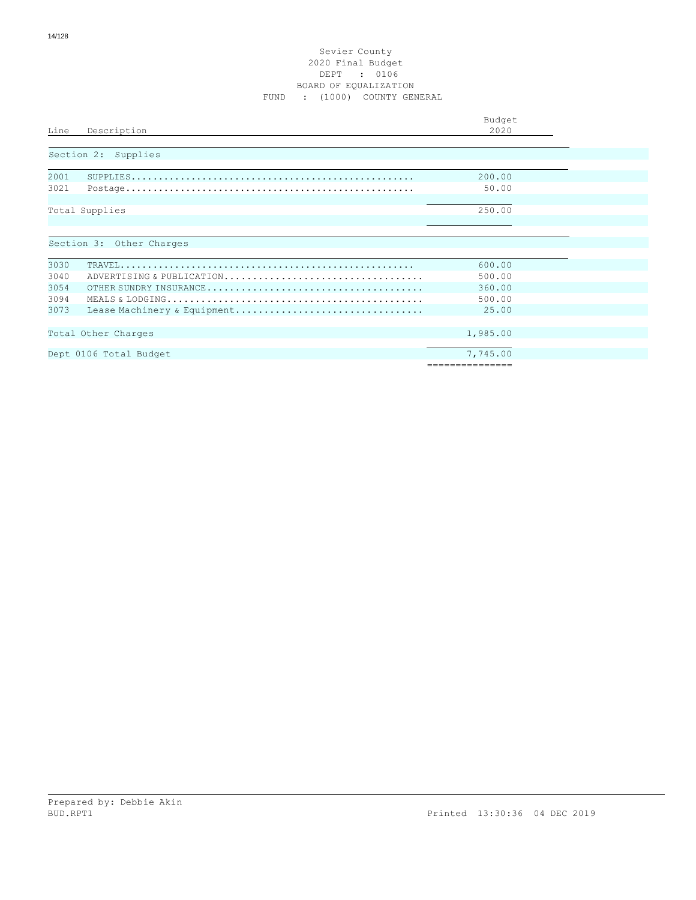### Sevier County 2020 Final Budget DEPT : 0106 BOARD OF EQUALIZATION FUND : (1000) COUNTY GENERAL

| Line<br>Description                 | Budget<br>2020  |
|-------------------------------------|-----------------|
| Section 2: Supplies                 |                 |
| 2001                                | 200.00          |
| 3021                                | 50.00           |
| Total Supplies                      | 250.00          |
| Section 3: Other Charges            |                 |
| 3030                                | 600.00          |
| 3040<br>ADVERTISING & PUBLICATION   | 500.00          |
| 3054                                | 360.00          |
| 3094                                | 500.00          |
| 3073<br>Lease Machinery & Equipment | 25.00           |
| Total Other Charges                 | 1,985.00        |
| Dept 0106 Total Budget              | 7,745.00        |
|                                     | =============== |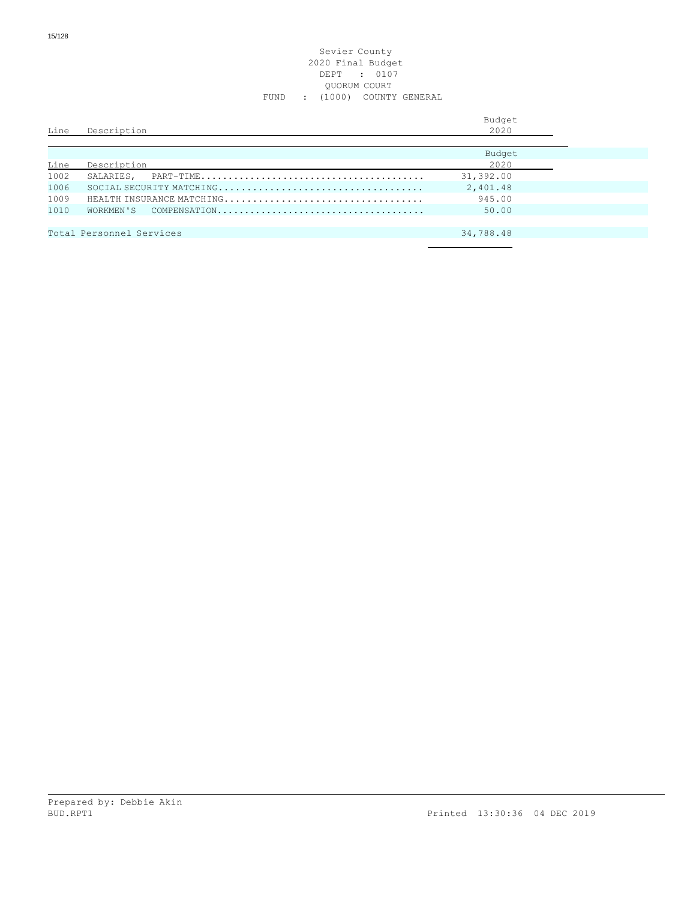## Sevier County 2020 Final Budget DEPT : 0107 QUORUM COURT FUND : (1000) COUNTY GENERAL

| Line | Description              | Budget<br>2020 |
|------|--------------------------|----------------|
|      |                          | Budget         |
| Line | Description              | 2020           |
| 1002 | SALARIES.                | 31,392.00      |
| 1006 |                          | 2,401.48       |
| 1009 |                          | 945.00         |
| 1010 |                          | 50.00          |
|      |                          |                |
|      | Total Personnel Services | 34,788.48      |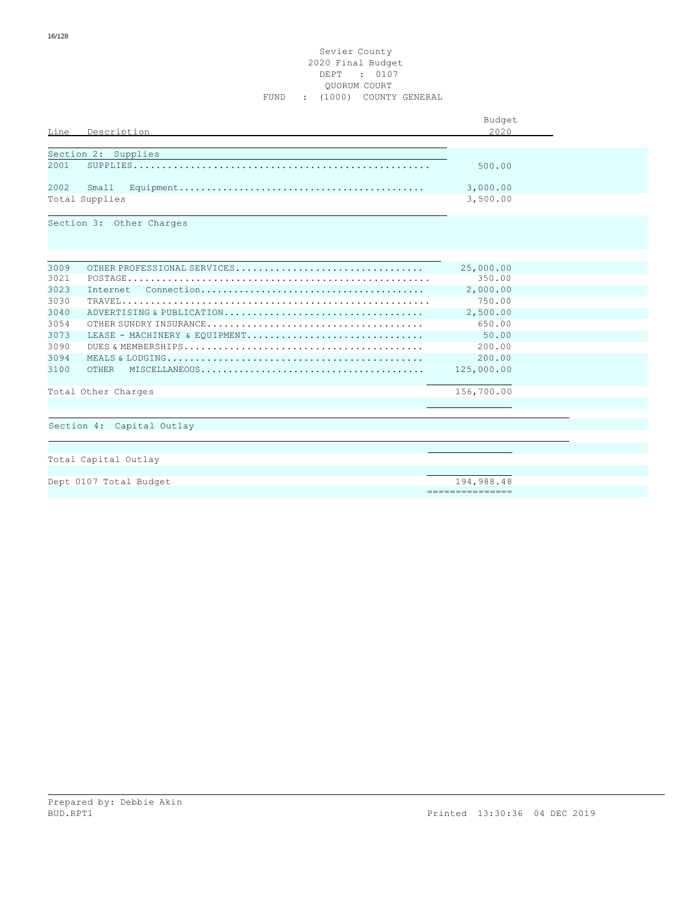## Sevier County 2020 Final Budget DEPT : 0107 QUORUM COURT FUND : (1000) COUNTY GENERAL

|      |                                                                                                                 | Budget          |  |
|------|-----------------------------------------------------------------------------------------------------------------|-----------------|--|
| Line | Description                                                                                                     | 2020            |  |
|      |                                                                                                                 |                 |  |
|      | Section 2: Supplies                                                                                             |                 |  |
| 2001 |                                                                                                                 | 500.00          |  |
| 2002 | Small<br>$Equipment \ldots \ldots \ldots \ldots \ldots \ldots \ldots \ldots \ldots \ldots \ldots \ldots \ldots$ | 3,000.00        |  |
|      | Total Supplies                                                                                                  | 3,500.00        |  |
|      | Section 3: Other Charges                                                                                        |                 |  |
|      |                                                                                                                 |                 |  |
| 3009 | OTHER PROFESSIONAL SERVICES                                                                                     | 25,000.00       |  |
| 3021 |                                                                                                                 | 350.00          |  |
| 3023 | Internet                                                                                                        | 2,000.00        |  |
| 3030 |                                                                                                                 | 750.00          |  |
| 3040 | ADVERTISING & PUBLICATION                                                                                       | 2,500.00        |  |
| 3054 |                                                                                                                 | 650.00          |  |
| 3073 | LEASE - MACHINERY & EOUIPMENT                                                                                   | 50.00           |  |
| 3090 |                                                                                                                 | 200.00          |  |
| 3094 |                                                                                                                 | 200.00          |  |
| 3100 |                                                                                                                 | 125,000.00      |  |
|      | Total Other Charges                                                                                             | 156,700.00      |  |
|      | Section 4: Capital Outlay                                                                                       |                 |  |
|      |                                                                                                                 |                 |  |
|      | Total Capital Outlay                                                                                            |                 |  |
|      | Dept 0107 Total Budget                                                                                          | 194,988.48      |  |
|      |                                                                                                                 | =============== |  |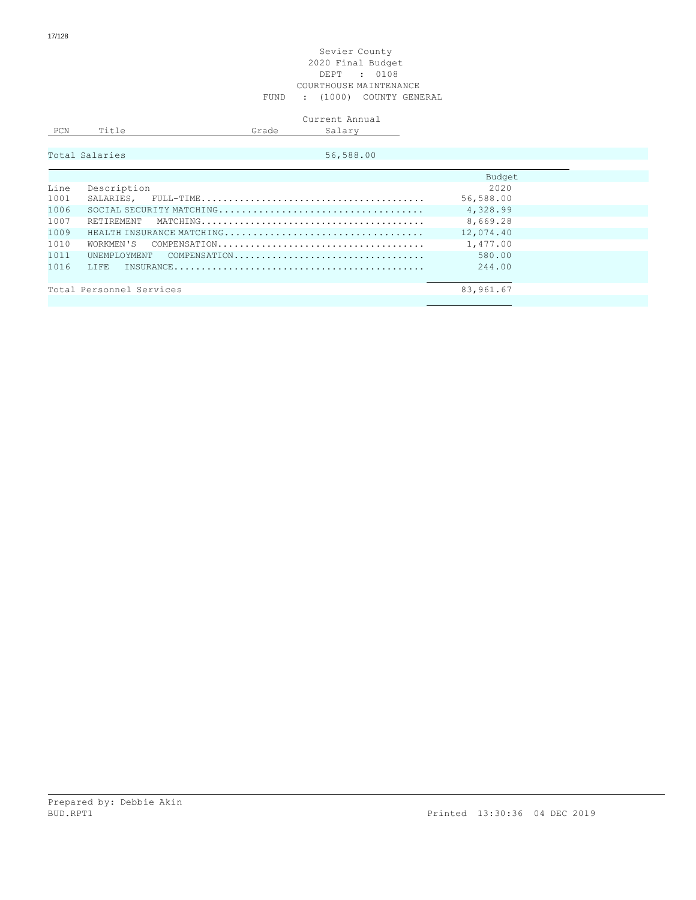### Sevier County 2020 Final Budget DEPT : 0108 COURTHOUSE MAINTENANCE FUND : (1000) COUNTY GENERAL

# Current Annual

| DO <sup>**</sup><br><b>L VIY</b> | --<br>-<br>_____ | . | $- - -$<br>ື<br>$  -$<br>- |
|----------------------------------|------------------|---|----------------------------|
|                                  |                  |   |                            |

|      | Total Salaries<br>56,588.00 |           |
|------|-----------------------------|-----------|
|      |                             | Budget    |
| Line | Description                 | 2020      |
| 1001 |                             | 56,588.00 |
| 1006 |                             | 4,328.99  |
| 1007 |                             | 8,669.28  |
| 1009 |                             | 12,074.40 |
| 1010 |                             | 1,477.00  |
| 1011 | UNEMPLOYMENT COMPENSATION   | 580.00    |
| 1016 | T.T.F.R.                    | 244.00    |
|      | Total Personnel Services    | 83,961.67 |
|      |                             |           |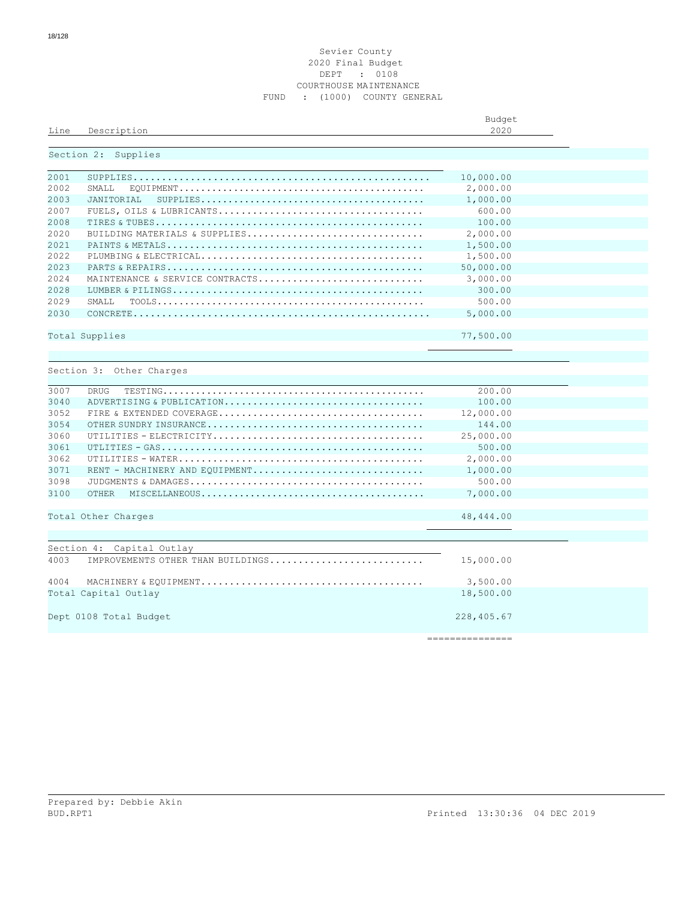### Sevier County Final Budget DEPT : 0108 COURTHOUSE MAINTENANCE FUND : (1000) COUNTY GENERAL

|      |             | Budget |  |
|------|-------------|--------|--|
| Line | Description | 2020   |  |
|      |             |        |  |

# Section 2: Supplies

| 2001 |                                 | 10,000.00 |  |
|------|---------------------------------|-----------|--|
| 2002 | SMALL.                          | 2,000.00  |  |
| 2003 | JANTTORTAL                      | 1,000.00  |  |
| 2007 |                                 | 600.00    |  |
| 2008 |                                 | 100.00    |  |
| 2020 | BUITIDING MATERIALS & SUPPLIES  | 2,000.00  |  |
| 2021 |                                 | 1,500.00  |  |
| 2022 |                                 | 1,500.00  |  |
| 2023 |                                 | 50,000.00 |  |
| 2024 | MAINTENANCE & SERVICE CONTRACTS | 3,000.00  |  |
| 2028 |                                 | 300.00    |  |
| 2029 | SMAT.T.                         | 500.00    |  |
| 2030 |                                 | 5,000.00  |  |
|      |                                 |           |  |
|      | Total Supplies                  | 77,500.00 |  |
|      |                                 |           |  |

| Section 3: |  | Other Charges |
|------------|--|---------------|
|            |  |               |

| 3007<br>DRUG                              | 200.00     |  |
|-------------------------------------------|------------|--|
| 3040<br>ADVERTISING & PUBLICATION         | 100.00     |  |
| 3052                                      | 12,000.00  |  |
| 3054                                      | 144.00     |  |
| 3060                                      | 25,000.00  |  |
| 3061                                      | 500.00     |  |
| 3062                                      | 2,000.00   |  |
| 3071<br>RENT - MACHINERY AND EQUIPMENT    | 1,000.00   |  |
| 3098                                      | 500.00     |  |
| 3100<br><b>OTHER</b>                      | 7,000.00   |  |
|                                           |            |  |
| Total Other Charges                       | 48,444.00  |  |
|                                           |            |  |
|                                           |            |  |
| Section 4: Capital Outlay                 |            |  |
| 4003<br>IMPROVEMENTS OTHER THAN BUILDINGS | 15,000.00  |  |
| 4004                                      | 3,500.00   |  |
| Total Capital Outlay                      | 18,500.00  |  |
| Dept 0108 Total Budget                    | 228,405.67 |  |
|                                           |            |  |

===============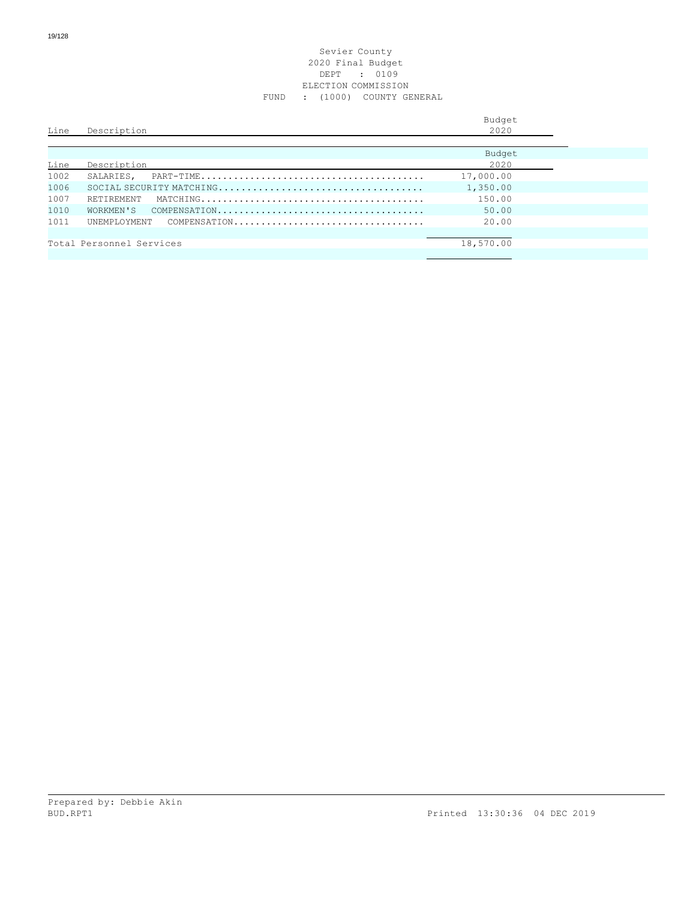### Sevier County 2020 Final Budget DEPT : 0109 ELECTION COMMISSION FUND : (1000) COUNTY GENERAL

| Line | Description              |              | Budget<br>2020 |
|------|--------------------------|--------------|----------------|
| Line | Description              |              | Budget<br>2020 |
| 1002 | SALARIES,                |              | 17,000.00      |
| 1006 |                          |              | 1,350.00       |
| 1007 | <b>RETIREMENT</b>        |              | 150.00         |
| 1010 | WORKMEN'S                |              | 50.00          |
| 1011 | UNEMPLOYMENT             | COMPENSATION | 20.00          |
|      |                          |              |                |
|      | Total Personnel Services |              | 18,570.00      |
|      |                          |              |                |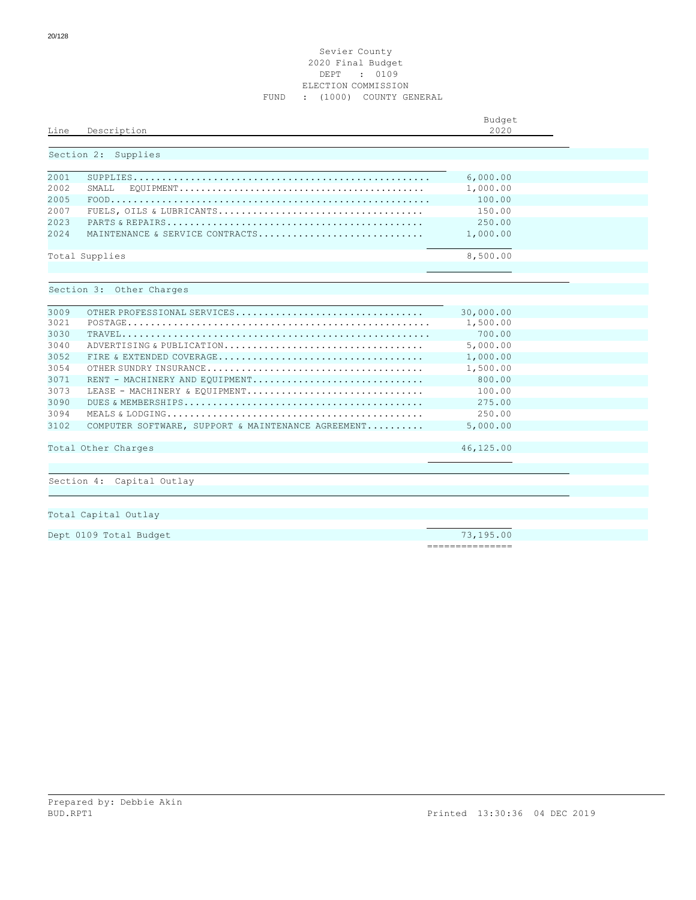### Sevier County 2020 Final Budget DEPT : 0109 ELECTION COMMISSION FUND : (1000) COUNTY GENERAL

|      |                                                    | Budget    |  |
|------|----------------------------------------------------|-----------|--|
| Line | Description                                        | 2020      |  |
|      | Section 2: Supplies                                |           |  |
| 2001 |                                                    | 6,000.00  |  |
| 2002 | SMALL.                                             | 1,000.00  |  |
| 2005 |                                                    | 100.00    |  |
| 2007 |                                                    | 150.00    |  |
| 2023 |                                                    | 250.00    |  |
| 2024 | MAINTENANCE & SERVICE CONTRACTS                    | 1,000.00  |  |
|      | Total Supplies                                     | 8,500.00  |  |
|      | Section 3: Other Charges                           |           |  |
| 3009 | OTHER PROFESSIONAL SERVICES                        | 30,000.00 |  |
| 3021 |                                                    | 1,500.00  |  |
| 3030 |                                                    | 700.00    |  |
| 3040 | ADVERTISING & PUBLICATION                          | 5,000.00  |  |
| 3052 |                                                    | 1,000.00  |  |
| 3054 |                                                    | 1,500.00  |  |
| 3071 | RENT - MACHINERY AND EQUIPMENT                     | 800.00    |  |
| 3073 | LEASE - MACHINERY & EQUIPMENT                      | 100.00    |  |
| 3090 |                                                    | 275.00    |  |
| 3094 |                                                    | 250.00    |  |
| 3102 | COMPUTER SOFTWARE, SUPPORT & MAINTENANCE AGREEMENT | 5,000.00  |  |
|      | Total Other Charges                                | 46,125.00 |  |
|      |                                                    |           |  |
|      | Section 4: Capital Outlay                          |           |  |
|      |                                                    |           |  |
|      |                                                    |           |  |
|      | Total Capital Outlay                               |           |  |

Dept 0109 Total Budget 73,195.00

===============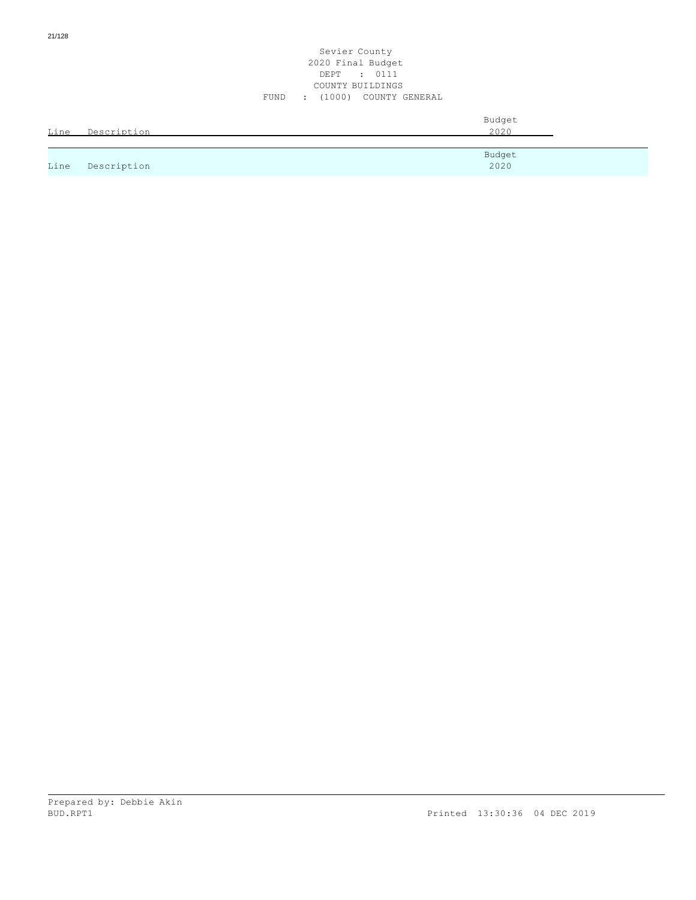## Sevier County 2020 Final Budget DEPT : 0111 COUNTY BUILDINGS FUND : (1000) COUNTY GENERAL

| Line | Description | Budget<br>2020 |
|------|-------------|----------------|
|      |             | Budget         |
| Line | Description | 2020           |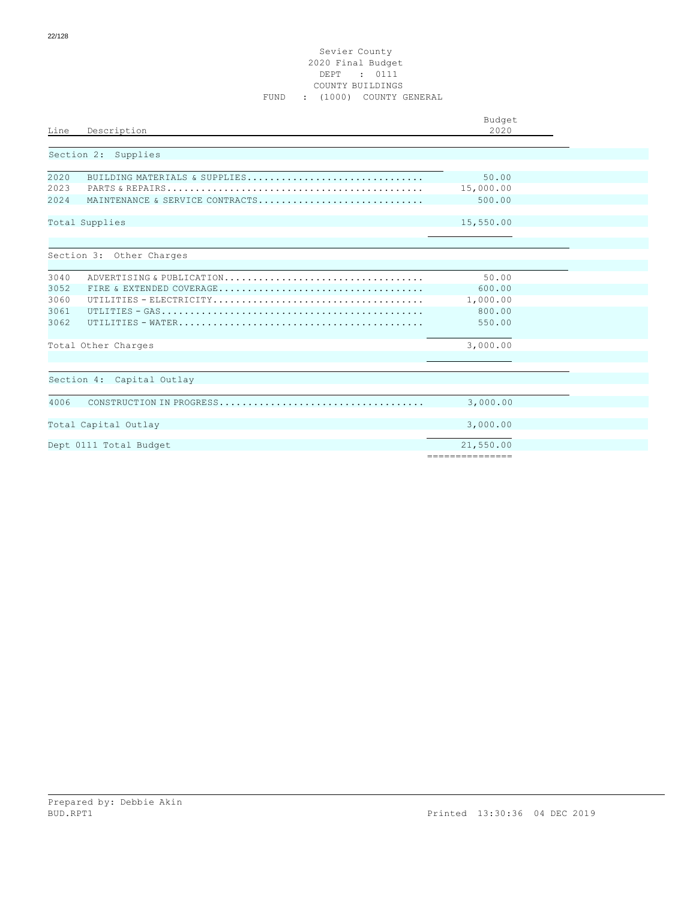## Sevier County 2020 Final Budget DEPT : 0111 COUNTY BUILDINGS FUND : (1000) COUNTY GENERAL

| Line                                 | Description                                                      | Budget<br>2020                                  |  |
|--------------------------------------|------------------------------------------------------------------|-------------------------------------------------|--|
|                                      | Section 2: Supplies                                              |                                                 |  |
| 2020<br>2023<br>2024                 | BUILDING MATERIALS & SUPPLIES<br>MAINTENANCE & SERVICE CONTRACTS | 50.00<br>15,000.00<br>500.00                    |  |
|                                      | Total Supplies                                                   | 15,550.00                                       |  |
|                                      | Section 3: Other Charges                                         |                                                 |  |
| 3040<br>3052<br>3060<br>3061<br>3062 | ADVERTISING & PUBLICATION                                        | 50.00<br>600.00<br>1,000.00<br>800.00<br>550.00 |  |
|                                      | Total Other Charges                                              | 3,000.00                                        |  |
|                                      | Section 4: Capital Outlay                                        |                                                 |  |
| 4006                                 |                                                                  | 3,000.00                                        |  |
|                                      | Total Capital Outlay                                             | 3,000.00                                        |  |
|                                      | Dept 0111 Total Budget                                           | 21,550.00<br>---------------                    |  |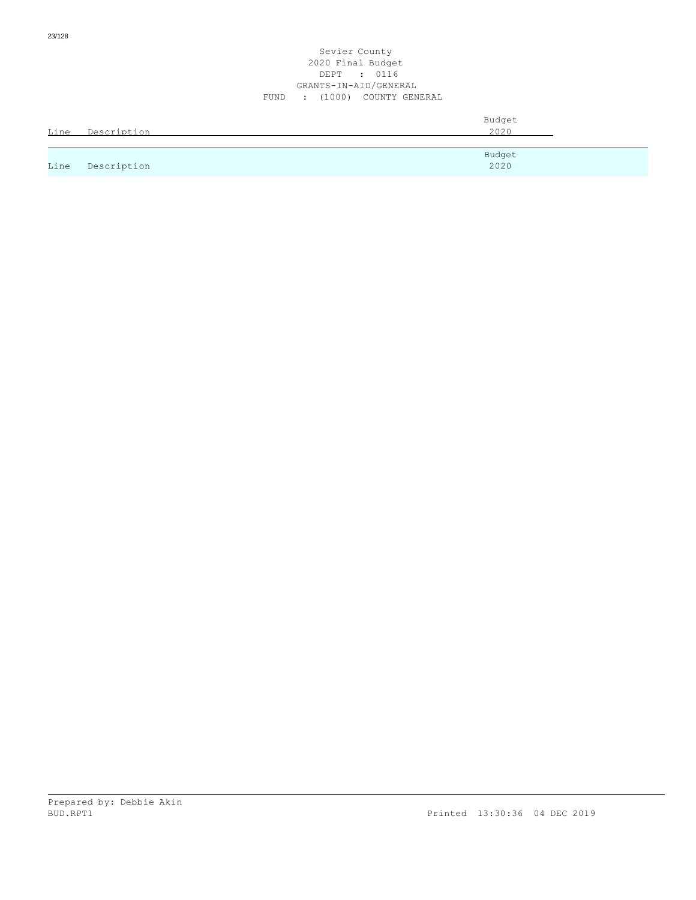### Sevier County 2020 Final Budget DEPT : 0116 GRANTS-IN-AID/GENERAL FUND : (1000) COUNTY GENERAL

|      |             | Budget |
|------|-------------|--------|
| Line | Description | 2020   |
|      |             |        |
|      |             | Budget |
| Line | Description | 2020   |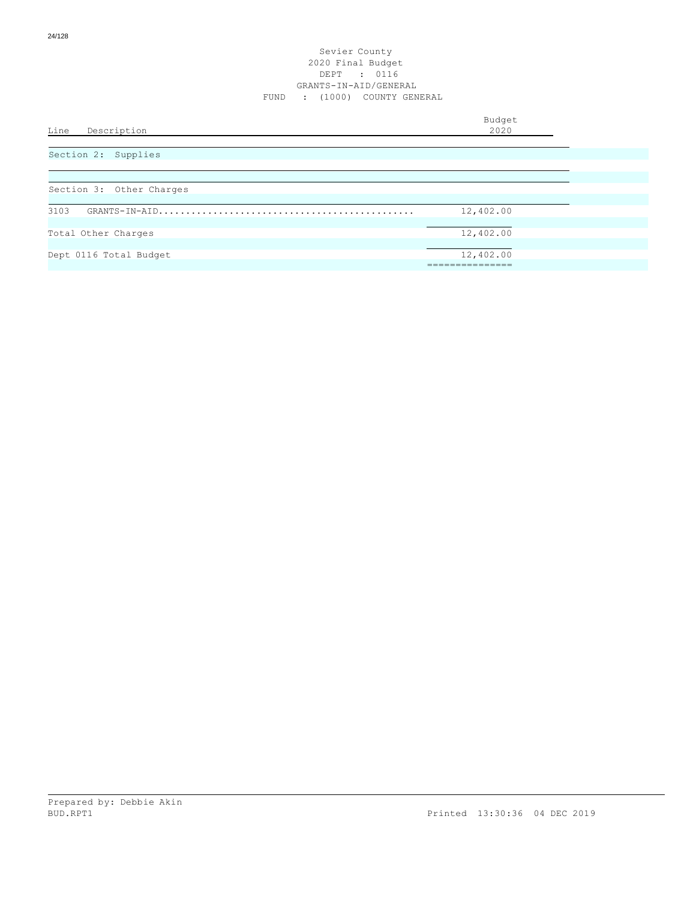| Line<br>Description      | Budget<br>2020 |  |
|--------------------------|----------------|--|
| Section 2: Supplies      |                |  |
|                          |                |  |
| Section 3: Other Charges |                |  |
| 3103                     | 12,402.00      |  |
| Total Other Charges      | 12,402.00      |  |
| Dept 0116 Total Budget   | 12,402.00      |  |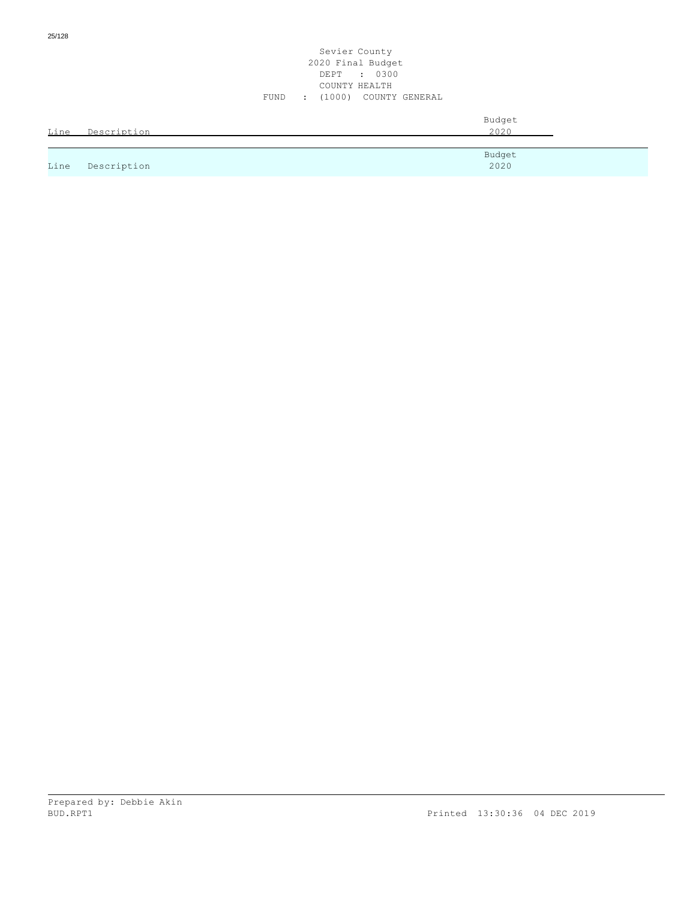|      |             | Sevier County<br>2020 Final Budget<br>: 0300<br>DEPT<br>COUNTY HEALTH |  |
|------|-------------|-----------------------------------------------------------------------|--|
|      |             | : (1000) COUNTY GENERAL<br>FUND                                       |  |
| Line | Description | Budget<br>2020                                                        |  |
|      |             |                                                                       |  |
| Line | Description | Budget<br>2020                                                        |  |

25/128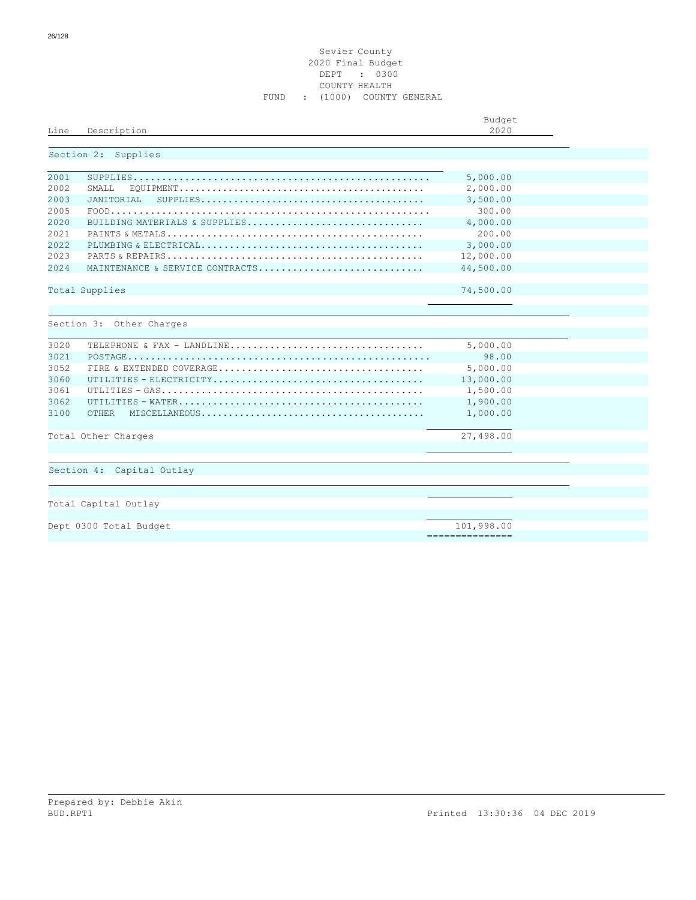### Sevier County 2020 Final Budget DEPT : 0300 COUNTY HEALTH FUND : (1000) COUNTY GENERAL

| Line         | Description                                                                                           | Budget<br>2020                |  |
|--------------|-------------------------------------------------------------------------------------------------------|-------------------------------|--|
|              | Section 2: Supplies                                                                                   |                               |  |
| 2001         |                                                                                                       | 5,000.00                      |  |
| 2002         | SMALL.                                                                                                | 2,000.00                      |  |
| 2003         | JANITORIAL<br>$SUBPLIES \ldots \ldots \ldots \ldots \ldots \ldots \ldots \ldots \ldots \ldots \ldots$ | 3,500.00                      |  |
| 2005         |                                                                                                       | 300.00                        |  |
| 2020         | BUILDING MATERIALS & SUPPLIES                                                                         | 4,000.00                      |  |
| 2021         |                                                                                                       | 200.00                        |  |
| 2022         |                                                                                                       | 3,000.00                      |  |
| 2023         |                                                                                                       | 12,000.00                     |  |
| 2024         | MAINTENANCE & SERVICE CONTRACTS                                                                       | 44,500.00                     |  |
|              | Total Supplies                                                                                        | 74,500.00                     |  |
| 3020         | Section 3: Other Charges                                                                              | 5,000.00                      |  |
| 3021         |                                                                                                       | 98.00                         |  |
| 3052         |                                                                                                       | 5,000.00                      |  |
| 3060         |                                                                                                       | 13,000.00                     |  |
| 3061         |                                                                                                       | 1,500.00                      |  |
| 3062<br>3100 | OTHER                                                                                                 | 1,900.00<br>1,000.00          |  |
|              | Total Other Charges                                                                                   | 27,498.00                     |  |
|              | Section 4: Capital Outlay                                                                             |                               |  |
|              | Total Capital Outlay                                                                                  |                               |  |
|              | Dept 0300 Total Budget                                                                                | 101,998.00<br>=============== |  |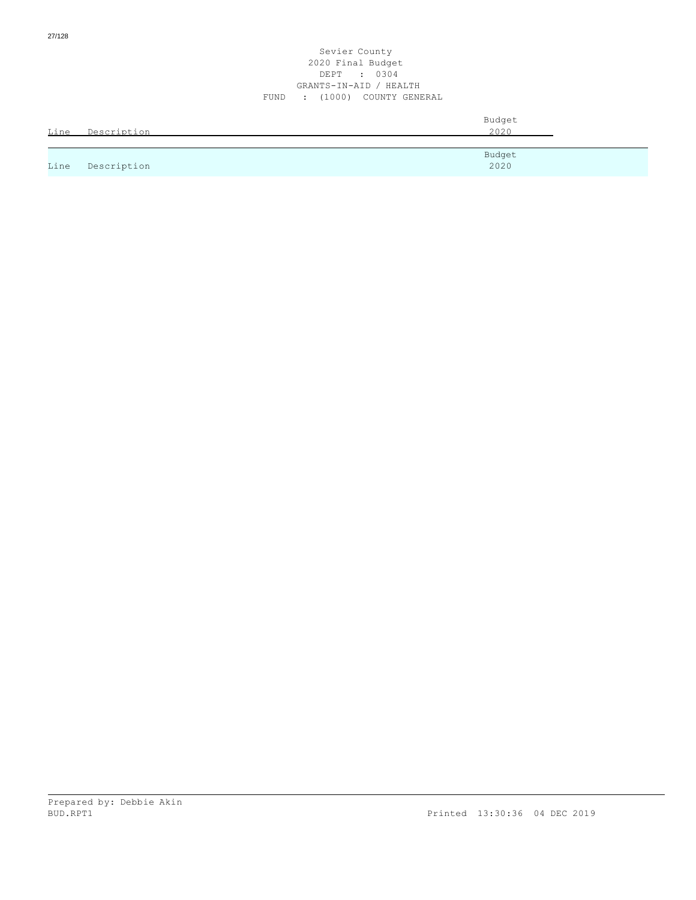### Sevier County 2020 Final Budget DEPT : 0304 GRANTS-IN-AID / HEALTH FUND : (1000) COUNTY GENERAL

|      |             | Budget |
|------|-------------|--------|
| Line | Description | 2020   |
|      |             |        |
|      |             | Budget |
| Line | Description | 2020   |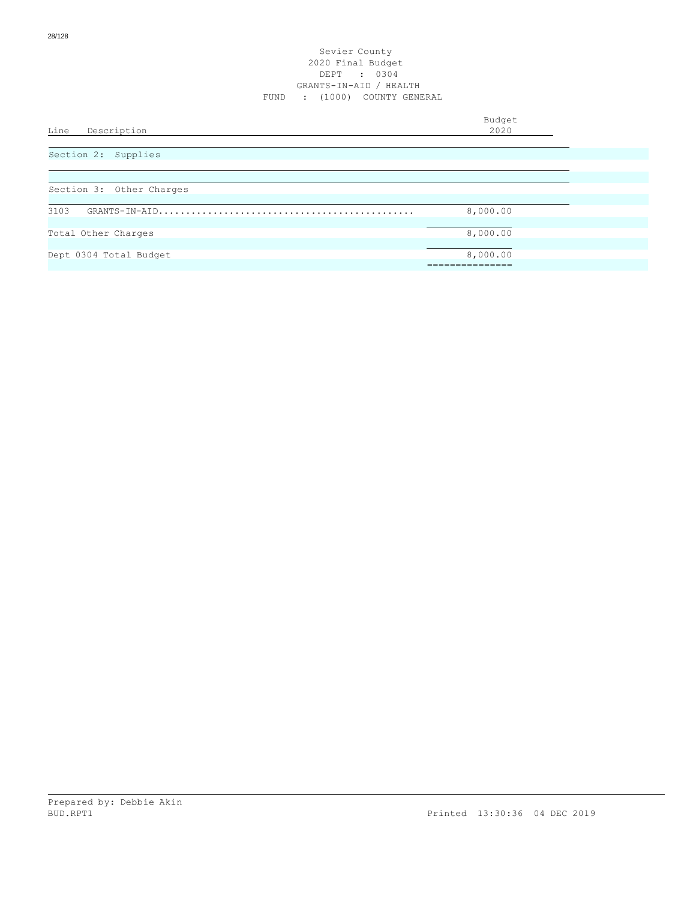| Line<br>Description      | Budget<br>2020 |
|--------------------------|----------------|
|                          |                |
| Section 2: Supplies      |                |
|                          |                |
| Section 3: Other Charges |                |
| 3103                     | 8,000.00       |
|                          |                |
| Total Other Charges      | 8,000.00       |
| Dept 0304 Total Budget   | 8,000.00       |
|                          |                |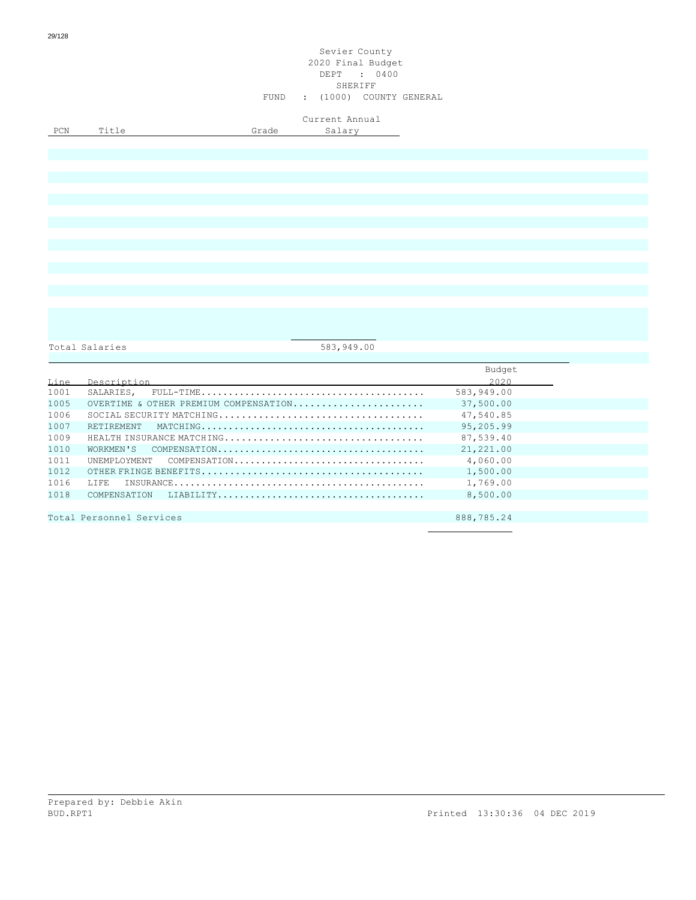## Sevier County 2020 Final Budget DEPT : 0400 SHERIFF FUND : (1000) COUNTY GENERAL

Current Annual

PCN Title Grade Salary

Total Salaries 683,949.00

|      |                                       | Budget     |
|------|---------------------------------------|------------|
| Line | Description                           | 2020       |
| 1001 |                                       | 583,949.00 |
| 1005 | OVERTIME & OTHER PREMIUM COMPENSATION | 37,500.00  |
| 1006 |                                       | 47,540.85  |
| 1007 |                                       | 95,205.99  |
| 1009 |                                       | 87,539.40  |
| 1010 |                                       | 21,221.00  |
| 1011 | UNEMPLOYMENT COMPENSATION             | 4,060.00   |
| 1012 |                                       | 1,500.00   |
| 1016 |                                       | 1,769.00   |
| 1018 |                                       | 8,500.00   |
|      |                                       |            |
|      | Total Personnel Services              | 888,785.24 |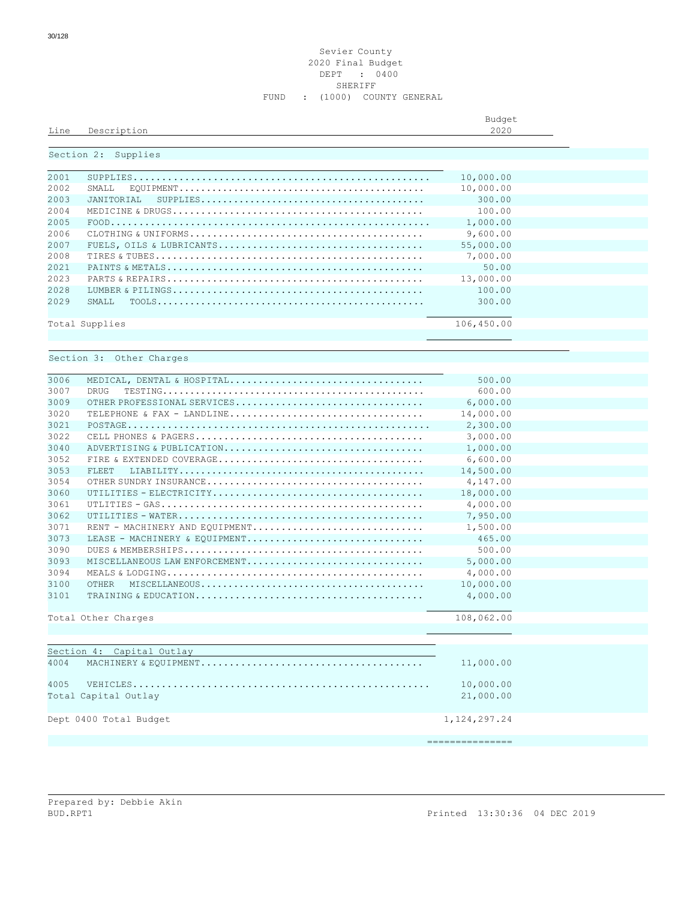### Sevier County Final Budget DEPT : 0400 SHERIFF FUND : (1000) COUNTY GENERAL

| Line | Description         | Budget<br>2020 |  |
|------|---------------------|----------------|--|
|      | Section 2: Supplies |                |  |
| 2001 |                     | 10,000.00      |  |
| 2002 |                     | 10,000.00      |  |
| 2002 | ENTERNATION TRE     | 300 00         |  |

| 2003 | $SUBPLIES \ldots \ldots \ldots \ldots \ldots \ldots \ldots \ldots \ldots \ldots \ldots$<br>JANITORIAL | 300.00     |  |
|------|-------------------------------------------------------------------------------------------------------|------------|--|
| 2004 |                                                                                                       | 100.00     |  |
| 2005 |                                                                                                       | 1,000.00   |  |
| 2006 |                                                                                                       | 9,600.00   |  |
| 2007 |                                                                                                       | 55,000.00  |  |
| 2008 |                                                                                                       | 7,000.00   |  |
| 2021 |                                                                                                       | 50.00      |  |
| 2023 |                                                                                                       | 13,000.00  |  |
| 2028 |                                                                                                       | 100.00     |  |
| 2029 | SMALL                                                                                                 | 300.00     |  |
|      |                                                                                                       |            |  |
|      | Total Supplies                                                                                        | 106,450.00 |  |
|      |                                                                                                       |            |  |
|      |                                                                                                       |            |  |
|      | Section 3: Other Charges                                                                              |            |  |
|      |                                                                                                       |            |  |
| 3006 | MEDICAL, DENTAL & HOSPITAL                                                                            | 500.00     |  |
| 3007 | <b>DRUG</b>                                                                                           | 600.00     |  |
| 3009 | OTHER PROFESSIONAL SERVICES                                                                           | 6,000.00   |  |
| 3020 | TELEPHONE & FAX - LANDLINE                                                                            | 14,000.00  |  |
| 3021 |                                                                                                       | 2,300.00   |  |
| 3022 |                                                                                                       | 3,000.00   |  |
| 3040 | ADVERTISING & PUBLICATION                                                                             | 1,000.00   |  |
| 3052 |                                                                                                       | 6,600.00   |  |
| 3053 | FLEET.                                                                                                | 14,500.00  |  |
| 3054 |                                                                                                       | 4,147.00   |  |
| 3060 |                                                                                                       | 18,000.00  |  |
| 3061 |                                                                                                       | 4,000.00   |  |
| 3062 |                                                                                                       | 7,950.00   |  |
| 3071 | RENT - MACHINERY AND EQUIPMENT                                                                        | 1,500.00   |  |
| 3073 | LEASE - MACHINERY & EOUIPMENT                                                                         | 465.00     |  |
| 3090 |                                                                                                       | 500.00     |  |
| 3093 | MISCELLANEOUS LAW ENFORCEMENT                                                                         | 5,000.00   |  |
| 3094 |                                                                                                       | 4,000.00   |  |
| 3100 | OTHER                                                                                                 | 10,000.00  |  |
| 3101 |                                                                                                       | 4,000.00   |  |
|      |                                                                                                       |            |  |
|      | Total Other Charges                                                                                   | 108,062.00 |  |
|      |                                                                                                       |            |  |
|      |                                                                                                       |            |  |
|      | Section 4: Capital Outlay                                                                             |            |  |
| 4004 |                                                                                                       | 11,000.00  |  |
|      |                                                                                                       |            |  |
| 4005 |                                                                                                       | 10,000.00  |  |
|      | Total Capital Outlay                                                                                  | 21,000.00  |  |
|      |                                                                                                       |            |  |

Dept 0400 Total Budget 1,124,297.24

===============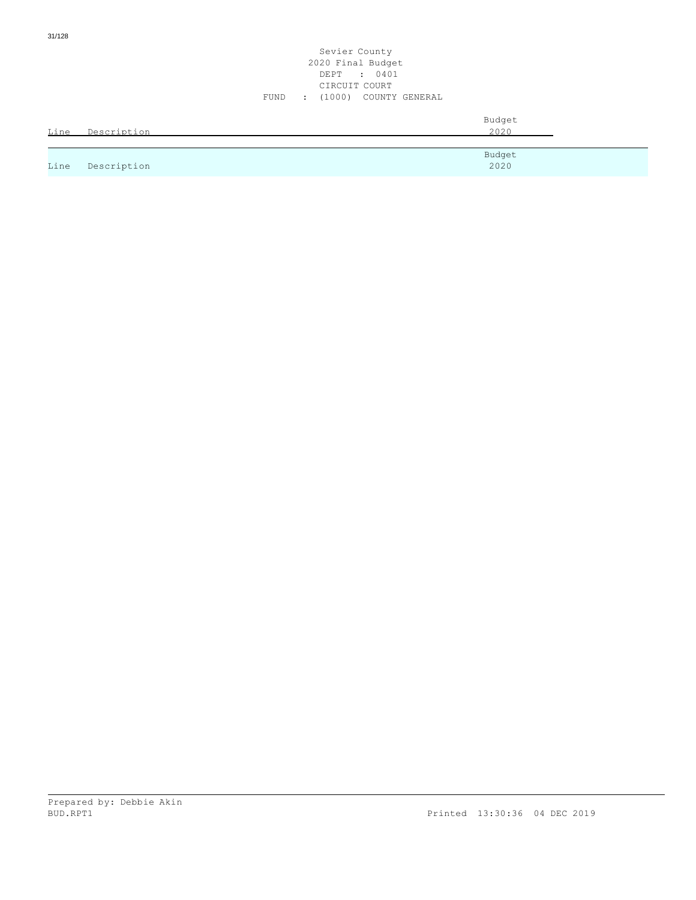31/128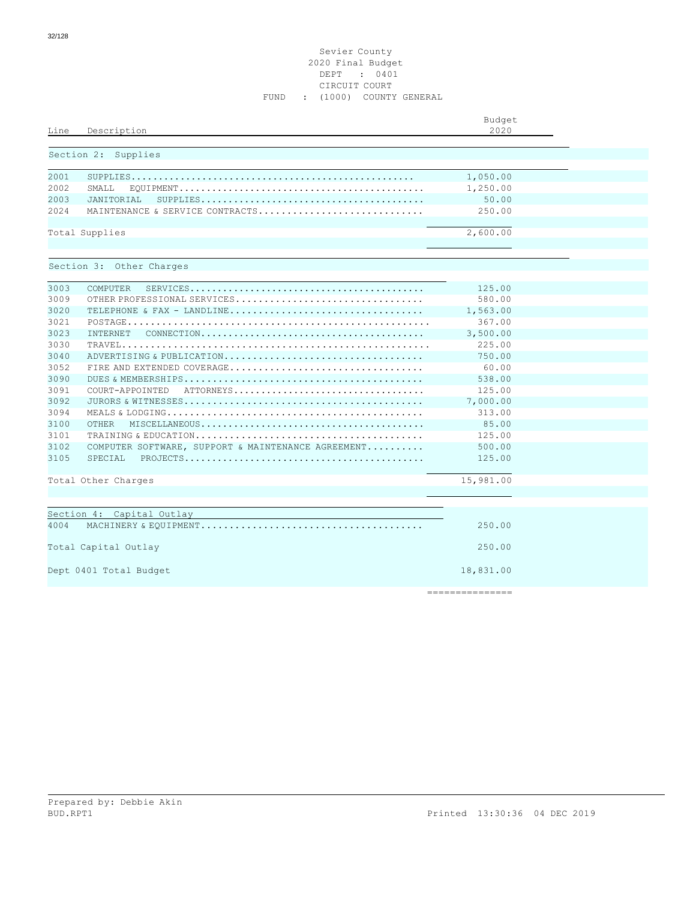### Sevier County 2020 Final Budget DEPT : 0401 CIRCUIT COURT FUND : (1000) COUNTY GENERAL

| Line | Description                                        | Budget<br>2020 |  |
|------|----------------------------------------------------|----------------|--|
|      | Section 2: Supplies                                |                |  |
| 2001 |                                                    | 1,050.00       |  |
| 2002 | SMAT <sub>L</sub>                                  | 1,250.00       |  |
| 2003 | JANTTORTAL                                         | 50.00          |  |
| 2024 | MAINTENANCE & SERVICE CONTRACTS                    | 250.00         |  |
|      | Total Supplies                                     | 2,600.00       |  |
|      | Section 3: Other Charges                           |                |  |
| 3003 | COMPUTER                                           | 125.00         |  |
| 3009 | OTHER PROFESSIONAL SERVICES                        | 580.00         |  |
| 3020 |                                                    | 1,563.00       |  |
| 3021 |                                                    | 367.00         |  |
| 3023 | INTERNET                                           | 3,500.00       |  |
| 3030 |                                                    | 225.00         |  |
| 3040 | ADVERTISING & PUBLICATION                          | 750.00         |  |
| 3052 |                                                    | 60.00          |  |
| 3090 |                                                    | 538.00         |  |
| 3091 | COURT-APPOINTED ATTORNEYS                          | 125.00         |  |
| 3092 |                                                    | 7,000.00       |  |
| 3094 |                                                    | 313.00         |  |
| 3100 | <b>OTHER</b>                                       | 85.00          |  |
| 3101 |                                                    | 125.00         |  |
| 3102 | COMPUTER SOFTWARE, SUPPORT & MAINTENANCE AGREEMENT | 500.00         |  |
| 3105 | SPECTAL                                            | 125.00         |  |
|      | Total Other Charges                                | 15,981.00      |  |
|      |                                                    |                |  |
|      | Section 4: Capital Outlay                          |                |  |
| 4004 |                                                    | 250.00         |  |
|      | Total Capital Outlay                               | 250.00         |  |
|      | Dept 0401 Total Budget                             | 18,831.00      |  |

===============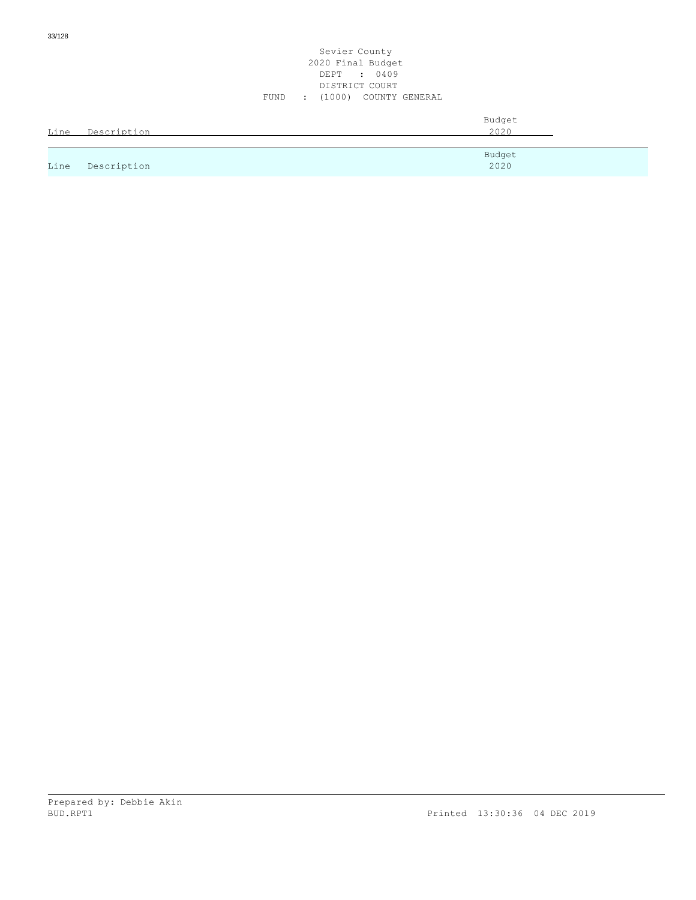|      |             | 2020 Final Budget<br>DEPT : 0409<br>DISTRICT COURT |  |
|------|-------------|----------------------------------------------------|--|
|      |             | : (1000) COUNTY GENERAL<br>FUND                    |  |
| Line | Description | Budget<br>2020                                     |  |
| Line | Description | Budget<br>2020                                     |  |

Sevier County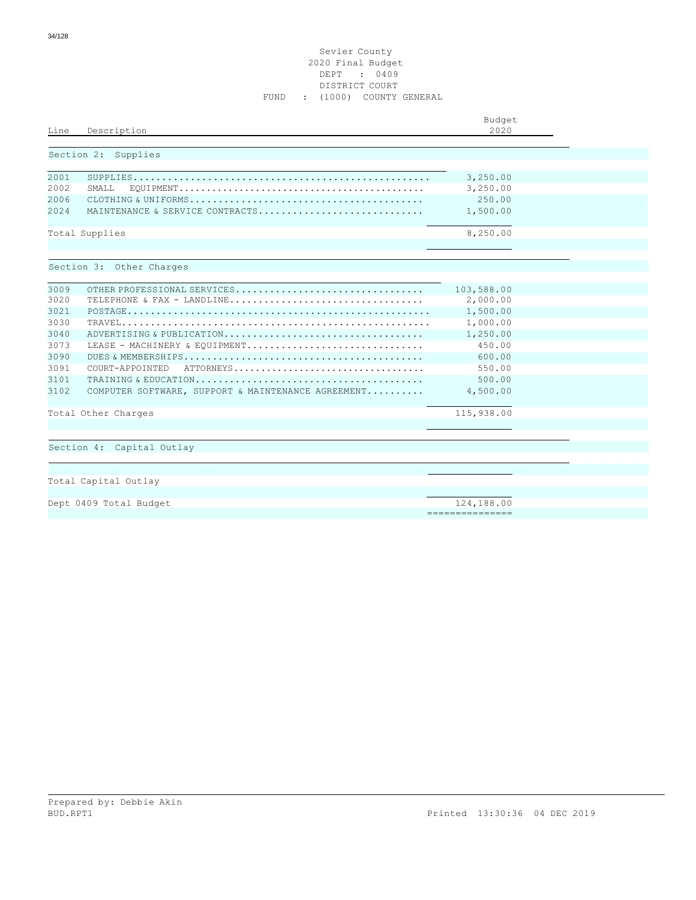### Sevier County 2020 Final Budget DEPT : 0409 DISTRICT COURT FUND : (1000) COUNTY GENERAL

| Line  | Description                                                                                                           | Budget<br>2020  |  |
|-------|-----------------------------------------------------------------------------------------------------------------------|-----------------|--|
|       | Section 2: Supplies                                                                                                   |                 |  |
| 2001  |                                                                                                                       | 3,250.00        |  |
| 2002  | SMALL                                                                                                                 | 3,250.00        |  |
| 2006  |                                                                                                                       | 250.00          |  |
| 2.024 | MAINTENANCE & SERVICE CONTRACTS                                                                                       | 1,500.00        |  |
|       | Total Supplies                                                                                                        | 8,250.00        |  |
|       |                                                                                                                       |                 |  |
|       | Section 3: Other Charges                                                                                              |                 |  |
| 3009  | OTHER PROFESSIONAL SERVICES                                                                                           | 103,588.00      |  |
| 3020  |                                                                                                                       | 2,000.00        |  |
| 3021  |                                                                                                                       | 1,500.00        |  |
| 3030  |                                                                                                                       | 1,000.00        |  |
| 3040  | ADVERTISING & PUBLICATION                                                                                             | 1,250.00        |  |
| 3073  | LEASE - MACHINERY & EOUIPMENT                                                                                         | 450.00          |  |
| 3090  |                                                                                                                       | 600.00          |  |
| 3091  | $\texttt{ATTORNEYS} \dots \dots \dots \dots \dots \dots \dots \dots \dots \dots \dots \dots \dots$<br>COURT-APPOINTED | 550.00          |  |
| 3101  |                                                                                                                       | 500.00          |  |
| 3102  | COMPUTER SOFTWARE, SUPPORT & MAINTENANCE AGREEMENT                                                                    | 4,500.00        |  |
|       | Total Other Charges                                                                                                   | 115,938.00      |  |
|       |                                                                                                                       |                 |  |
|       | Section 4: Capital Outlay                                                                                             |                 |  |
|       |                                                                                                                       |                 |  |
|       | Total Capital Outlay                                                                                                  |                 |  |
|       |                                                                                                                       |                 |  |
|       | Dept 0409 Total Budget                                                                                                | 124,188.00      |  |
|       |                                                                                                                       | =============== |  |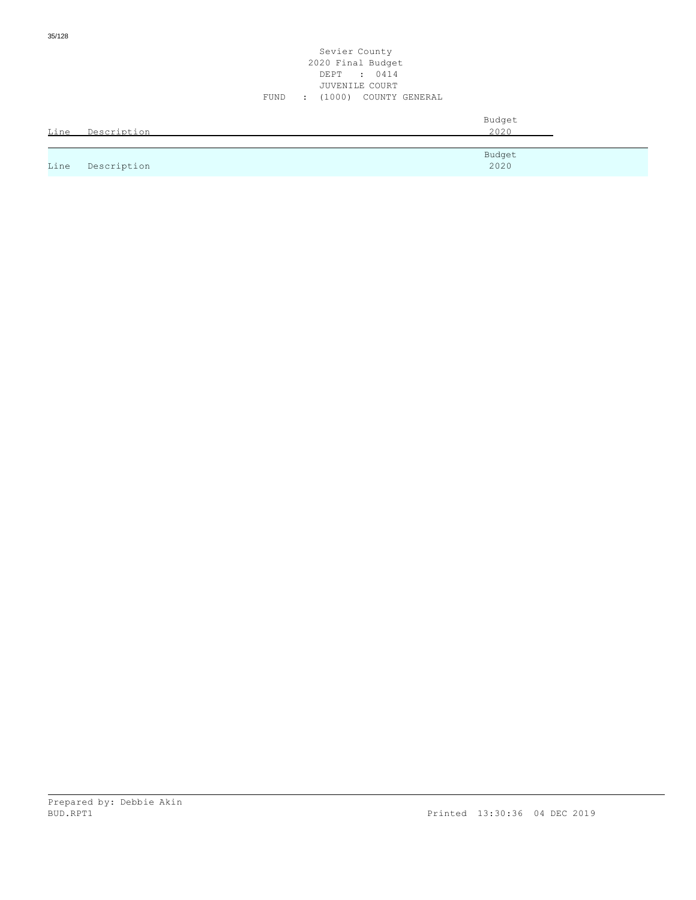|      |             | 2020 Final Budget<br>DEPT : 0414<br>JUVENILE COURT |  |
|------|-------------|----------------------------------------------------|--|
|      |             | : (1000) COUNTY GENERAL<br>FUND                    |  |
| Line | Description | Budget<br>2020                                     |  |
| Line | Description | Budget<br>2020                                     |  |

Sevier County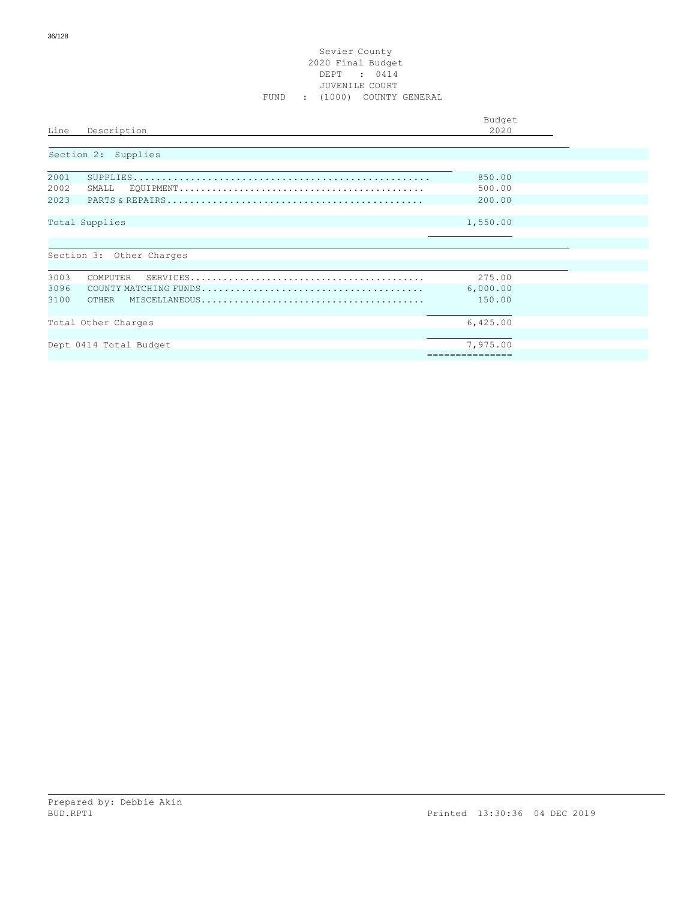### Sevier County 2020 Final Budget DEPT : 0414 JUVENILE COURT FUND : (1000) COUNTY GENERAL

|                                                                                                                         | Budget          |
|-------------------------------------------------------------------------------------------------------------------------|-----------------|
| Line<br>Description                                                                                                     | 2020            |
|                                                                                                                         |                 |
| Section 2: Supplies                                                                                                     |                 |
|                                                                                                                         |                 |
| 2001                                                                                                                    | 850.00          |
|                                                                                                                         |                 |
| 2002<br>SMALL                                                                                                           | 500.00          |
| 2023                                                                                                                    | 200.00          |
|                                                                                                                         |                 |
| Total Supplies                                                                                                          | 1,550.00        |
|                                                                                                                         |                 |
|                                                                                                                         |                 |
|                                                                                                                         |                 |
| Section 3: Other Charges                                                                                                |                 |
|                                                                                                                         |                 |
| 3003<br>COMPUTER<br>$\texttt{SERVICES}\dots\dots\dots\dots\dots\dots\dots\dots\dots\dots\dots\dots\dots\dots\dots\dots$ | 275.00          |
| 3096                                                                                                                    | 6,000.00        |
| 3100<br>OTHER                                                                                                           | 150.00          |
|                                                                                                                         |                 |
|                                                                                                                         |                 |
| Total Other Charges                                                                                                     | 6,425.00        |
|                                                                                                                         |                 |
| Dept 0414 Total Budget                                                                                                  | 7,975.00        |
|                                                                                                                         | =============== |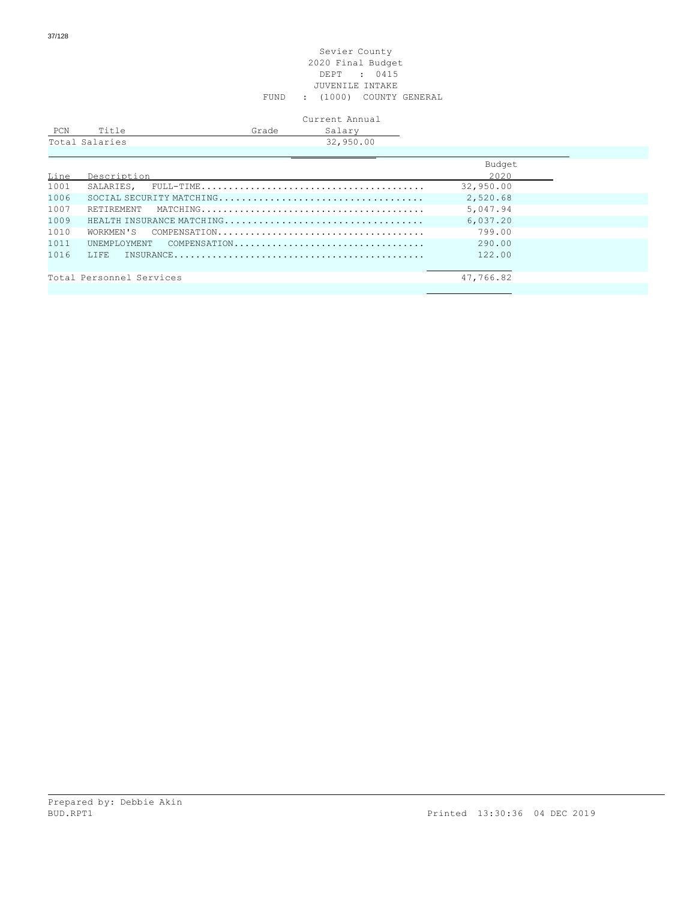#### Sevier County 2020 Final Budget DEPT : 0415 JUVENILE INTAKE FUND : (1000) COUNTY GENERAL

## Current Annual

| PCN | Title          | Grade | Salary    |  |
|-----|----------------|-------|-----------|--|
|     | Total Salaries |       | 32,950.00 |  |
|     |                |       |           |  |

|      |                           | Budget    |
|------|---------------------------|-----------|
| Line | Description               | 2020      |
| 1001 |                           | 32,950.00 |
| 1006 |                           | 2,520.68  |
| 1007 |                           | 5,047.94  |
| 1009 | HEALTH INSURANCE MATCHING | 6.037.20  |
| 1010 |                           | 799.00    |
| 1011 | UNEMPLOYMENT COMPENSATION | 290.00    |
| 1016 |                           | 122.00    |
|      |                           |           |
|      | Total Personnel Services  | 47,766.82 |
|      |                           |           |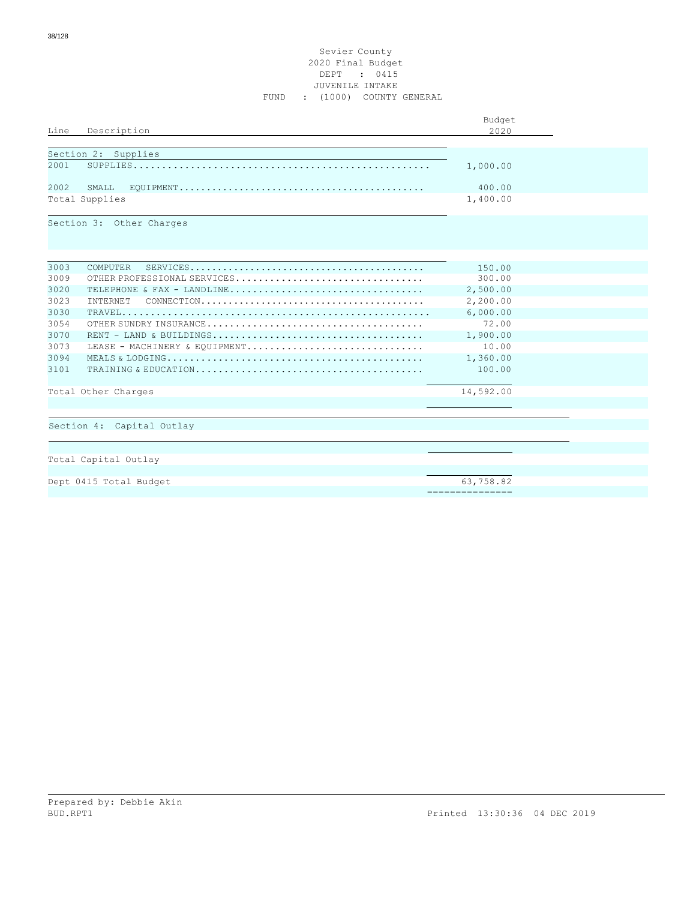## Sevier County 2020 Final Budget DEPT : 0415 JUVENILE INTAKE FUND : (1000) COUNTY GENERAL

|      |                                                                                                                    | Budget                       |  |
|------|--------------------------------------------------------------------------------------------------------------------|------------------------------|--|
| Line | Description                                                                                                        | 2020                         |  |
|      |                                                                                                                    |                              |  |
|      | Section 2: Supplies                                                                                                |                              |  |
| 2001 |                                                                                                                    | 1,000.00                     |  |
| 2002 | SMALL                                                                                                              | 400.00                       |  |
|      | Total Supplies                                                                                                     | 1,400.00                     |  |
|      | Section 3: Other Charges                                                                                           |                              |  |
| 3003 | <b>COMPUTER</b><br>$\texttt{SERVICES.}\dots\dots\dots\dots\dots\dots\dots\dots\dots\dots\dots\dots\dots\dots\dots$ | 150.00                       |  |
| 3009 | OTHER PROFESSIONAL SERVICES                                                                                        | 300.00                       |  |
| 3020 | TELEPHONE & FAX - LANDLINE                                                                                         | 2,500.00                     |  |
| 3023 | <b>TNTERNET</b>                                                                                                    | 2,200.00                     |  |
| 3030 |                                                                                                                    | 6,000.00                     |  |
| 3054 |                                                                                                                    | 72.00                        |  |
| 3070 |                                                                                                                    | 1,900.00                     |  |
| 3073 | LEASE - MACHINERY & EQUIPMENT                                                                                      | 10.00                        |  |
| 3094 |                                                                                                                    | 1,360.00                     |  |
| 3101 |                                                                                                                    | 100.00                       |  |
|      | Total Other Charges                                                                                                | 14,592.00                    |  |
|      | Section 4: Capital Outlay                                                                                          |                              |  |
|      |                                                                                                                    |                              |  |
|      | Total Capital Outlay                                                                                               |                              |  |
|      |                                                                                                                    |                              |  |
|      | Dept 0415 Total Budget                                                                                             | 63,758.82<br>=============== |  |
|      |                                                                                                                    |                              |  |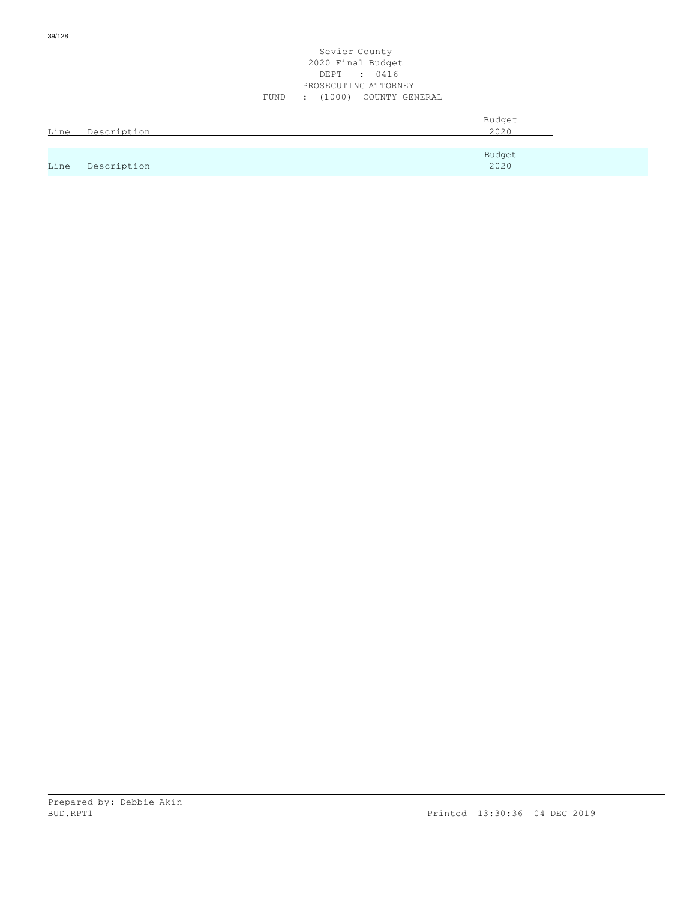## Sevier County 2020 Final Budget DEPT : 0416 PROSECUTING ATTORNEY FUND : (1000) COUNTY GENERAL

| Line | Description | Budget<br>2020 |
|------|-------------|----------------|
|      |             |                |
| Line | Description | Budget<br>2020 |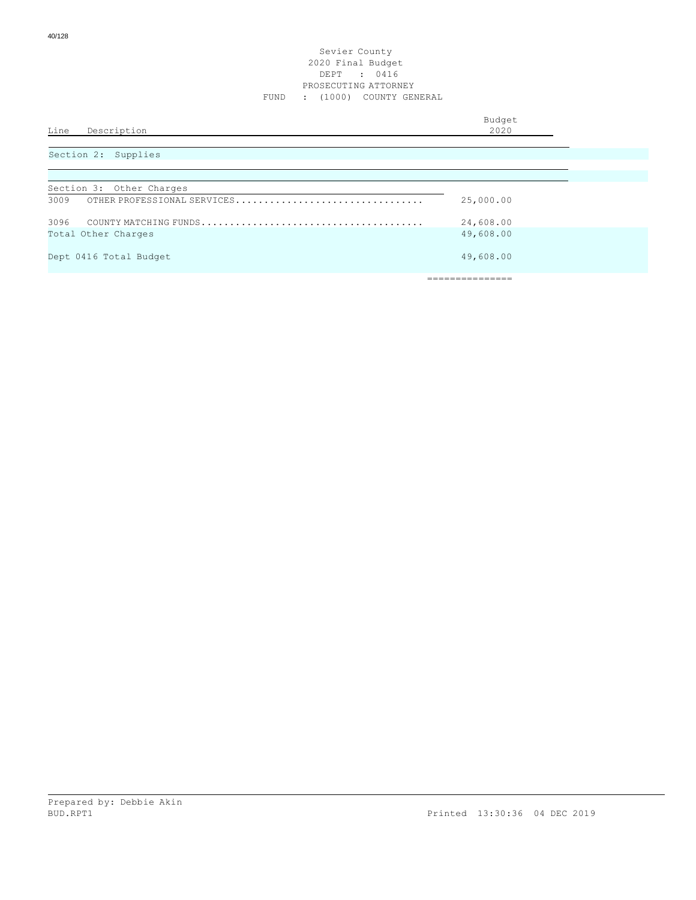## Sevier County 2020 Final Budget DEPT : 0416 PROSECUTING ATTORNEY FUND : (1000) COUNTY GENERAL

| Line Description         | Budget<br>2020 |
|--------------------------|----------------|
| Section 2: Supplies      |                |
|                          |                |
| Section 3: Other Charges |                |

| 3009 | OTHER PROFESSIONAL SERVICES | 25,000.00 |
|------|-----------------------------|-----------|
|      |                             | 24,608.00 |
|      | Total Other Charges         | 49,608.00 |
|      | Dept 0416 Total Budget      | 49,608.00 |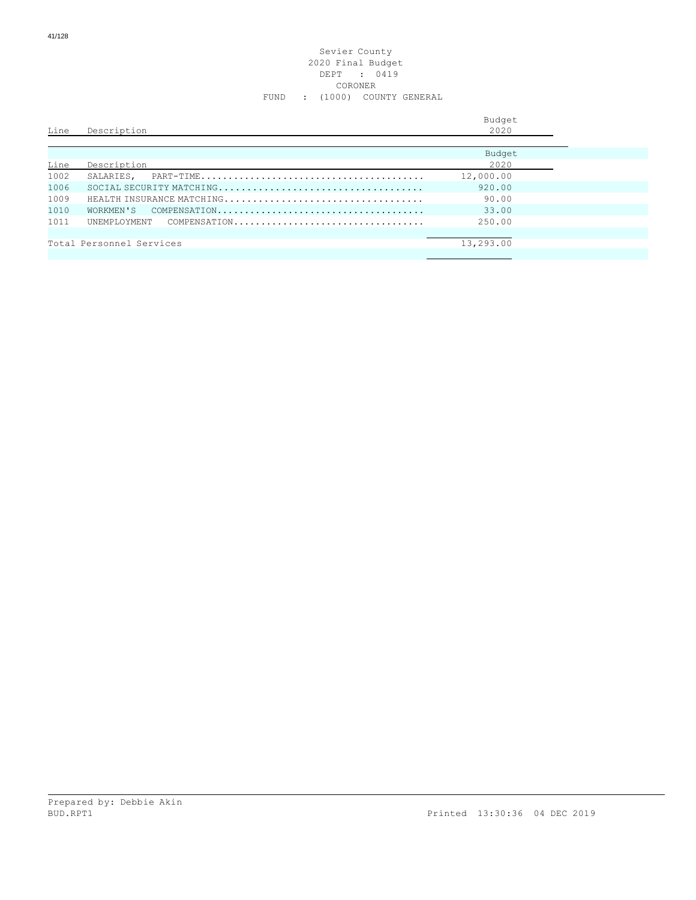#### Sevier County 2020 Final Budget DEPT : 0419 CORONER FUND : (1000) COUNTY GENERAL

| Line | Description              |                           | Budget<br>2020 |
|------|--------------------------|---------------------------|----------------|
| Line | Description              |                           | Budget<br>2020 |
| 1002 |                          |                           | 12,000.00      |
| 1006 |                          | SOCIAL SECURITY MATCHING  | 920.00         |
| 1009 |                          | HEALTH INSURANCE MATCHING | 90.00          |
| 1010 | WORKMEN'S                |                           | 33.00          |
| 1011 | UNEMPLOYMENT             | COMPENSATION              | 250.00         |
|      |                          |                           |                |
|      | Total Personnel Services |                           | 13,293.00      |
|      |                          |                           |                |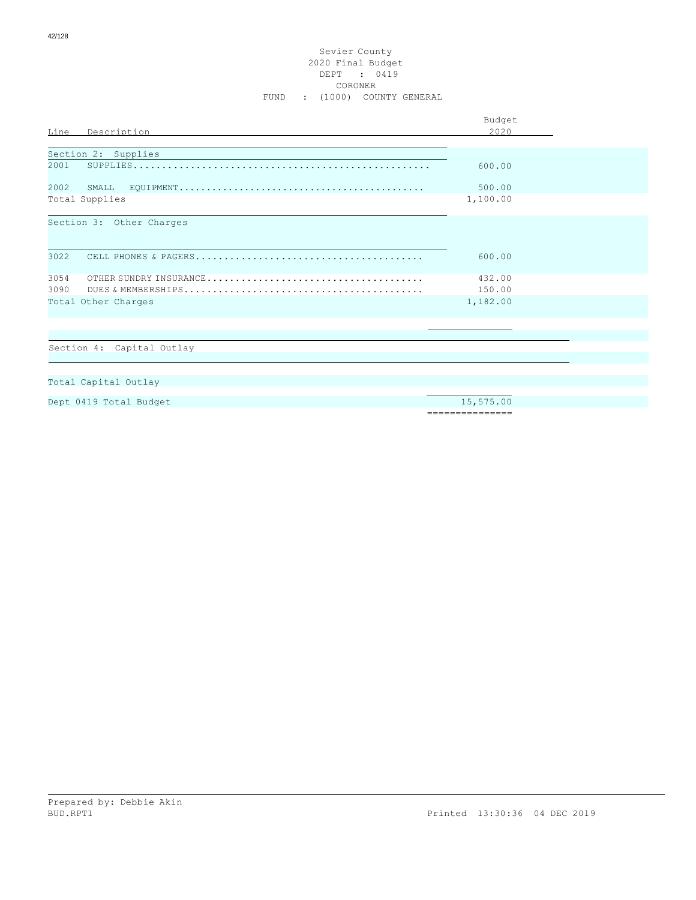## Sevier County 2020 Final Budget DEPT : 0419 CORONER FUND : (1000) COUNTY GENERAL

|                           | Budget   |  |  |
|---------------------------|----------|--|--|
| Description<br>Line       | 2020     |  |  |
|                           |          |  |  |
| Section 2: Supplies       |          |  |  |
| 2001                      | 600.00   |  |  |
| 2002<br>SMALL.            | 500.00   |  |  |
| Total Supplies            | 1,100.00 |  |  |
| Section 3: Other Charges  |          |  |  |
| 3022                      | 600.00   |  |  |
| 3054                      | 432.00   |  |  |
| 3090                      | 150.00   |  |  |
| Total Other Charges       | 1,182.00 |  |  |
|                           |          |  |  |
| Section 4: Capital Outlay |          |  |  |
|                           |          |  |  |
|                           |          |  |  |
| Total Capital Outlay      |          |  |  |
|                           |          |  |  |

Dept 0419 Total Budget 15,575.00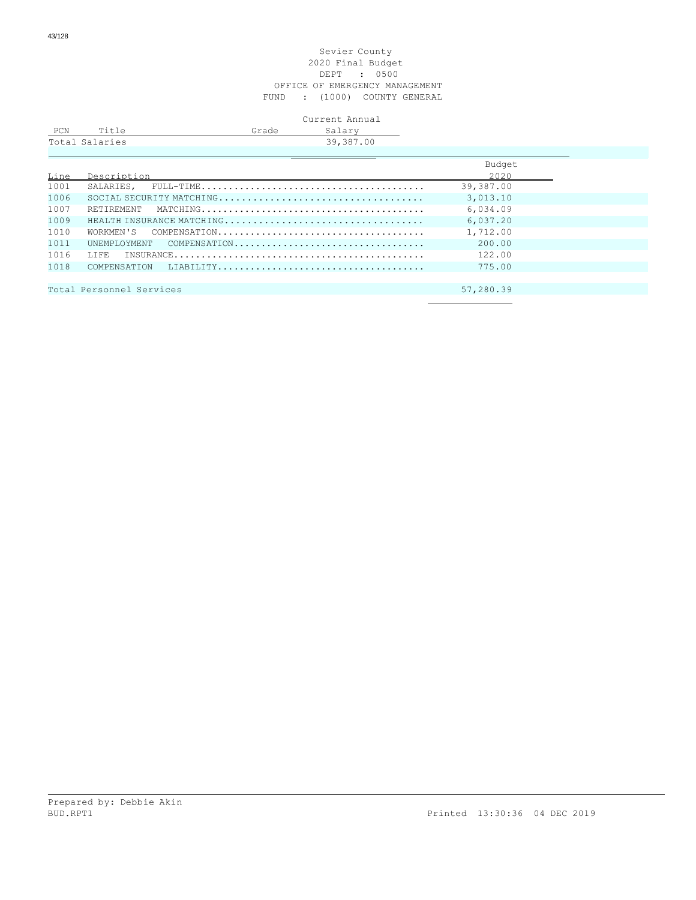#### Sevier County 2020 Final Budget DEPT : 0500 OFFICE OF EMERGENCY MANAGEMENT FUND : (1000) COUNTY GENERAL

|                |       | Current Annual |
|----------------|-------|----------------|
| Title          | Grade | Salary         |
| Total Salaries |       | 39,387.00      |
|                |       |                |

|      |                                       | Budget    |
|------|---------------------------------------|-----------|
| Line | Description                           | 2020      |
| 1001 |                                       | 39,387.00 |
| 1006 |                                       | 3,013.10  |
| 1007 |                                       | 6,034.09  |
| 1009 |                                       | 6.037.20  |
| 1010 |                                       | 1,712.00  |
| 1011 | UNEMPLOYMENT COMPENSATION             | 200.00    |
| 1016 |                                       | 122.00    |
| 1018 |                                       | 775.00    |
|      |                                       |           |
|      | Total Personnel Services<br>57,280.39 |           |
|      |                                       |           |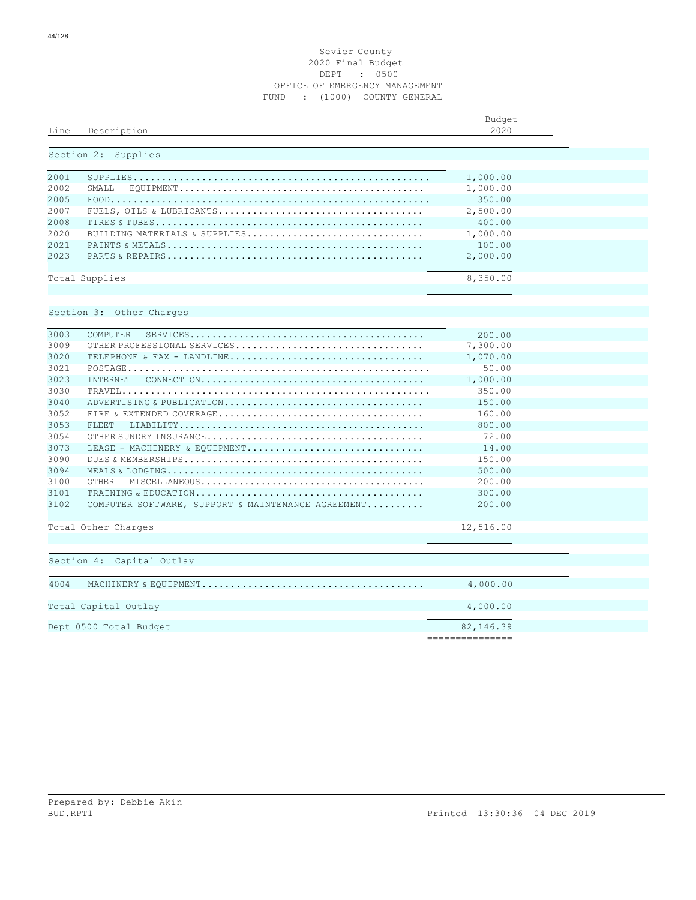#### Sevier County Final Budget DEPT : 0500 OFFICE OF EMERGENCY MANAGEMENT FUND : (1000) COUNTY GENERAL

| Line | Description                                                                                                                  | Budget<br>2020 |  |
|------|------------------------------------------------------------------------------------------------------------------------------|----------------|--|
|      | Section 2: Supplies                                                                                                          |                |  |
|      |                                                                                                                              |                |  |
| 2001 |                                                                                                                              | 1,000.00       |  |
| 2002 | SMALL                                                                                                                        | 1,000.00       |  |
| 2005 |                                                                                                                              | 350.00         |  |
| 2007 |                                                                                                                              | 2,500.00       |  |
| 2008 |                                                                                                                              | 400.00         |  |
| 2020 | BUILDING MATERIALS & SUPPLIES                                                                                                | 1,000.00       |  |
| 2021 |                                                                                                                              | 100.00         |  |
| 2023 |                                                                                                                              | 2,000.00       |  |
|      | Total Supplies                                                                                                               | 8,350.00       |  |
|      |                                                                                                                              |                |  |
|      | Section 3: Other Charges                                                                                                     |                |  |
|      |                                                                                                                              |                |  |
| 3003 | COMPUTER                                                                                                                     | 200.00         |  |
| 3009 | OTHER PROFESSIONAL SERVICES                                                                                                  | 7,300.00       |  |
| 3020 |                                                                                                                              | 1,070.00       |  |
| 3021 |                                                                                                                              | 50.00          |  |
| 3023 | <b>INTERNET</b><br>$\texttt{CONNECTION} \dots \dots \dots \dots \dots \dots \dots \dots \dots \dots \dots \dots \dots \dots$ | 1,000.00       |  |
| 3030 |                                                                                                                              | 350.00         |  |
| 3040 | ADVERTISING & PUBLICATION                                                                                                    | 150.00         |  |
| 3052 |                                                                                                                              | 160.00         |  |
| 3053 | FLEET.                                                                                                                       | 800.00         |  |
| 3054 |                                                                                                                              | 72.00          |  |
| 3073 | LEASE - MACHINERY & EOUIPMENT                                                                                                | 14.00          |  |
| 3090 |                                                                                                                              | 150.00         |  |
| 3094 |                                                                                                                              | 500.00         |  |
| 3100 | OTHER                                                                                                                        | 200.00         |  |
| 3101 |                                                                                                                              | 300.00         |  |
| 3102 | COMPUTER SOFTWARE, SUPPORT & MAINTENANCE AGREEMENT                                                                           | 200.00         |  |
|      | Total Other Charges                                                                                                          | 12,516.00      |  |
|      |                                                                                                                              |                |  |
|      | Section 4: Capital Outlay                                                                                                    |                |  |
|      |                                                                                                                              |                |  |
| 4004 |                                                                                                                              |                |  |
|      | Total Capital Outlay                                                                                                         | 4,000.00       |  |
|      | Dept 0500 Total Budget                                                                                                       | 82,146.39      |  |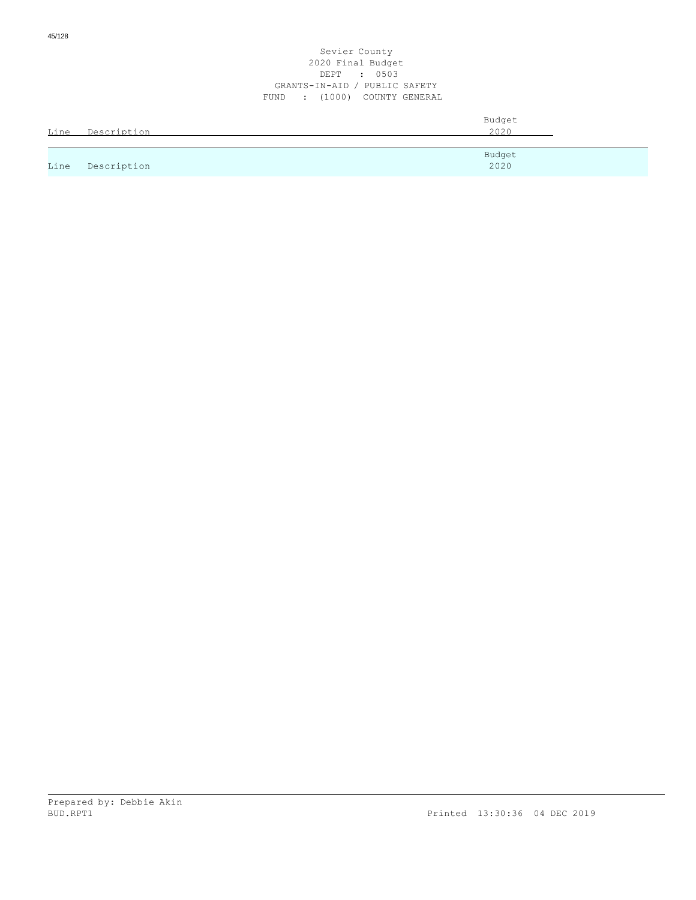| Line | Description | Budget<br>2020 |
|------|-------------|----------------|
|      |             | Budget         |
| Line | Description | 2020           |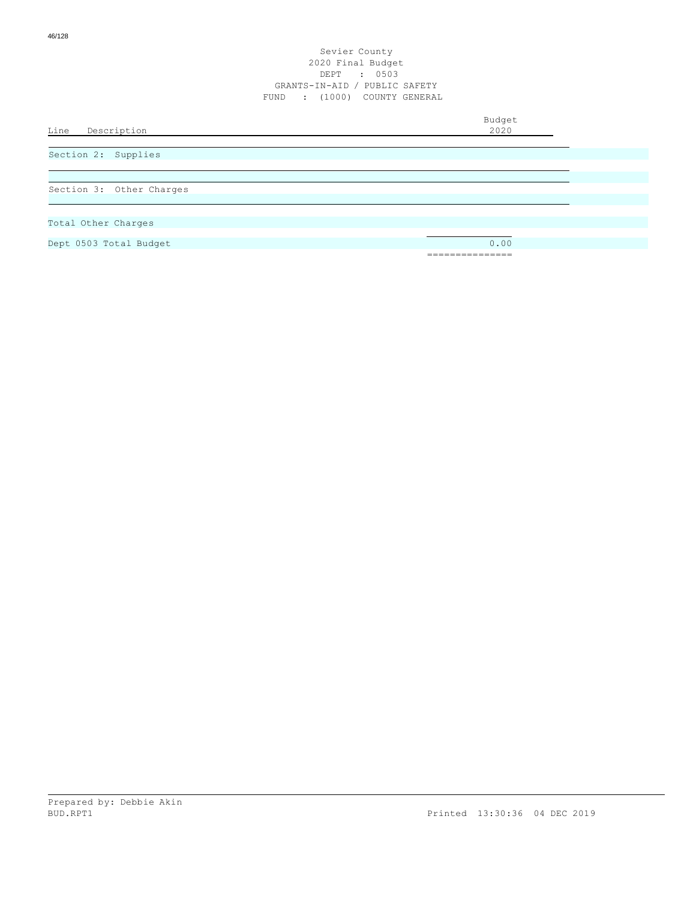Budget<br>2020

Line Description

Section 2: Supplies

Section 3: Other Charges

Total Other Charges

Dept 0503 Total Budget 0.00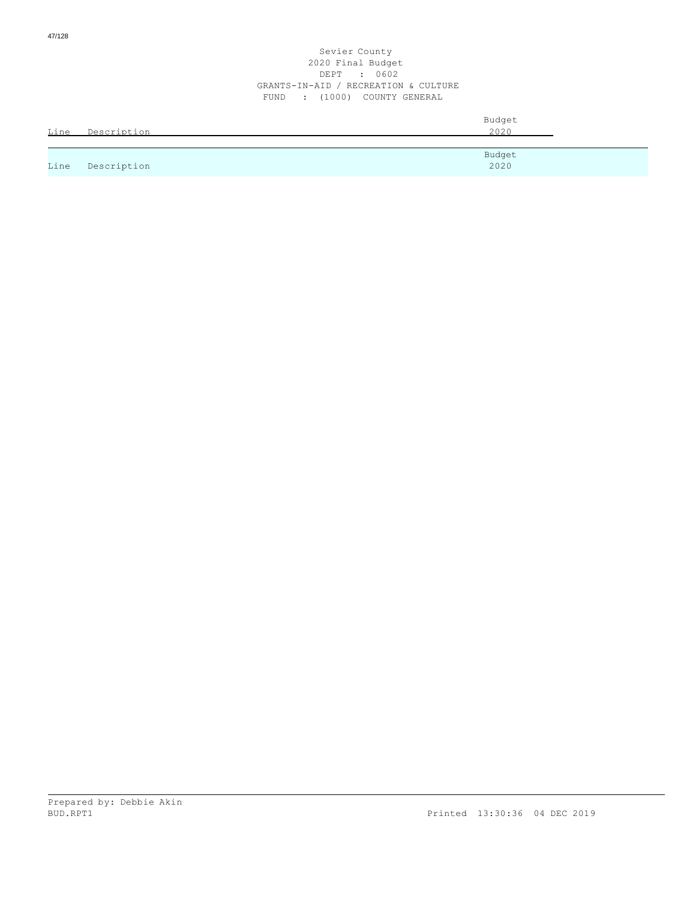| Line | Description | Budget<br>2020 |
|------|-------------|----------------|
|      |             |                |
| Line | Description | Budget<br>2020 |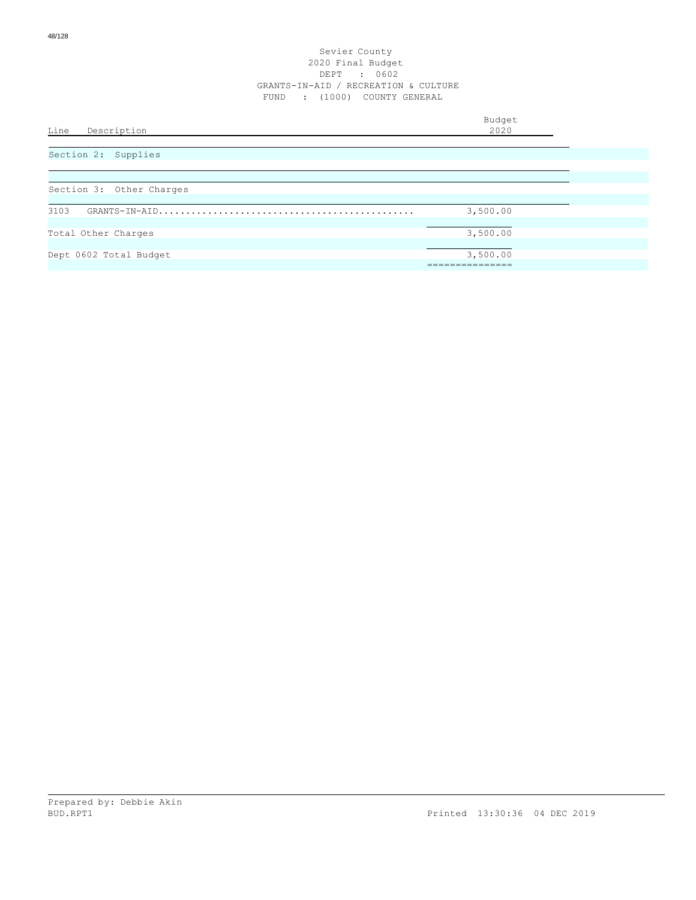| Line<br>Description      | Budget<br>2020          |
|--------------------------|-------------------------|
| Section 2: Supplies      |                         |
| Section 3: Other Charges |                         |
| 3103                     | 3,500.00                |
| Total Other Charges      | 3,500.00                |
| Dept 0602 Total Budget   | 3,500.00<br>___________ |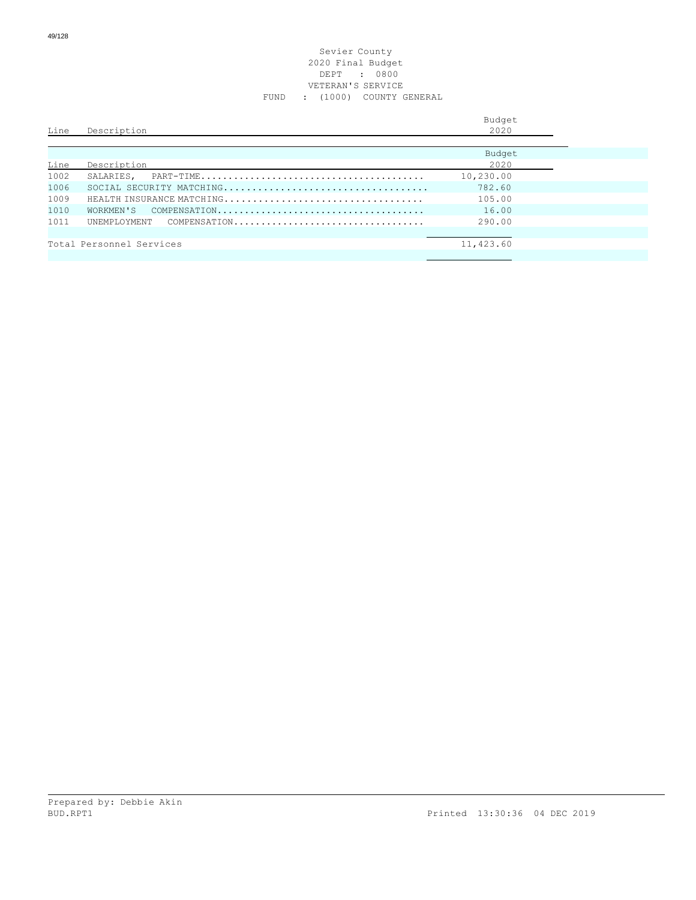## Sevier County 2020 Final Budget DEPT : 0800 VETERAN'S SERVICE FUND : (1000) COUNTY GENERAL

| Line | Description                  | Budget<br>2020 |
|------|------------------------------|----------------|
|      |                              | Budget         |
| Line | Description                  | 2020           |
| 1002 | SALARIES.                    | 10,230.00      |
| 1006 |                              | 782.60         |
| 1009 | HEALTH INSURANCE MATCHING    | 105.00         |
| 1010 | WORKMEN'S                    | 16.00          |
| 1011 | UNEMPLOYMENT<br>COMPENSATION | 290.00         |
|      |                              |                |
|      | Total Personnel Services     | 11,423.60      |
|      |                              |                |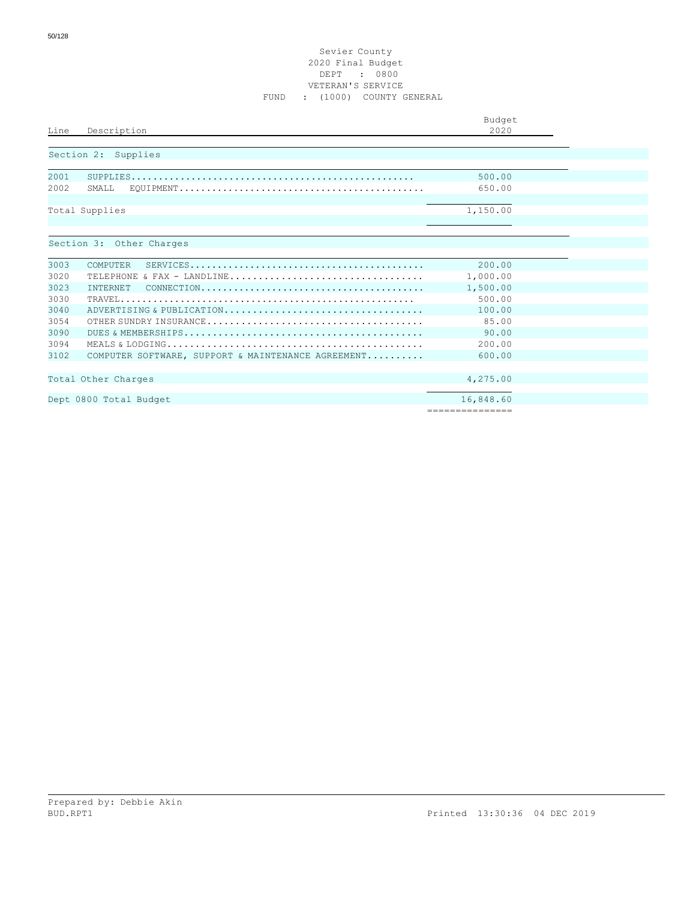## Sevier County 2020 Final Budget DEPT : 0800 VETERAN'S SERVICE FUND : (1000) COUNTY GENERAL

|      |                                                                                                               | Budget          |
|------|---------------------------------------------------------------------------------------------------------------|-----------------|
| Line | Description                                                                                                   | 2020            |
|      | Section 2: Supplies                                                                                           |                 |
|      |                                                                                                               |                 |
| 2001 |                                                                                                               | 500.00          |
| 2002 | SMALL                                                                                                         | 650.00          |
|      | Total Supplies                                                                                                | 1,150.00        |
|      |                                                                                                               |                 |
|      | Section 3: Other Charges                                                                                      |                 |
|      |                                                                                                               |                 |
| 3003 | COMPUTER<br>$SERVICES. \ldots \ldots \ldots \ldots \ldots \ldots \ldots \ldots \ldots \ldots \ldots \ldots$   | 200.00          |
| 3020 | TELEPHONE & FAX - LANDLINE                                                                                    | 1,000.00        |
| 3023 | INTERNET<br>$COMNECTION. \ldots \ldots \ldots \ldots \ldots \ldots \ldots \ldots \ldots \ldots \ldots \ldots$ | 1,500.00        |
| 3030 |                                                                                                               | 500.00          |
| 3040 | ADVERTISING & PUBLICATION                                                                                     | 100.00          |
| 3054 |                                                                                                               | 85.00           |
| 3090 |                                                                                                               | 90.00           |
| 3094 |                                                                                                               | 200.00          |
| 3102 | COMPUTER SOFTWARE, SUPPORT & MAINTENANCE AGREEMENT                                                            | 600.00          |
|      |                                                                                                               |                 |
|      | Total Other Charges                                                                                           | 4,275.00        |
|      | Dept 0800 Total Budget                                                                                        | 16,848.60       |
|      |                                                                                                               | =============== |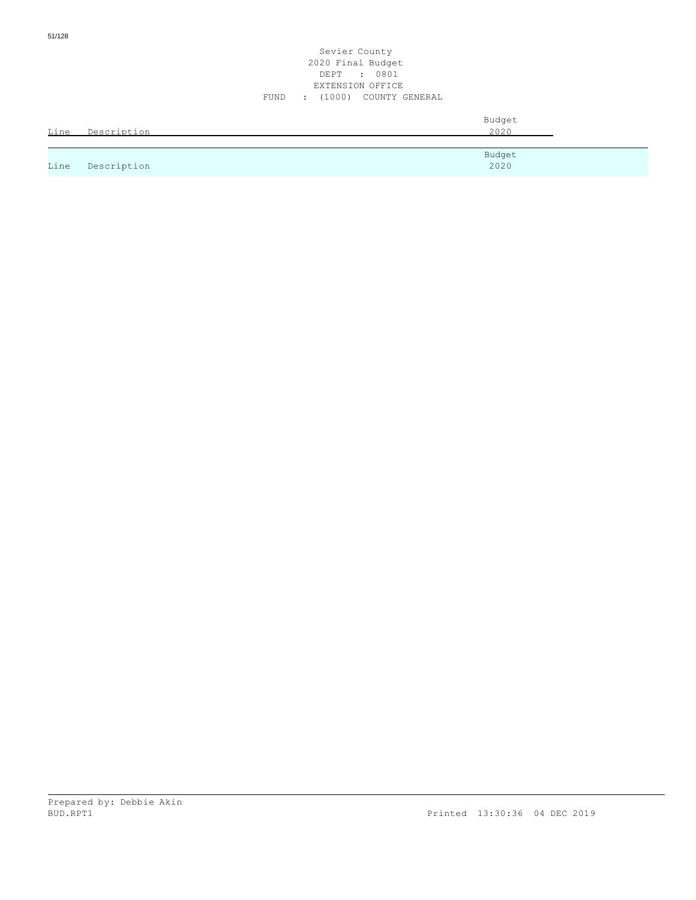## Sevier County 2020 Final Budget DEPT : 0801 EXTENSION OFFICE FUND : (1000) COUNTY GENERAL

| Line | Description | Budget<br>2020 |
|------|-------------|----------------|
|      |             | Budget         |
| Line | Description | 2020           |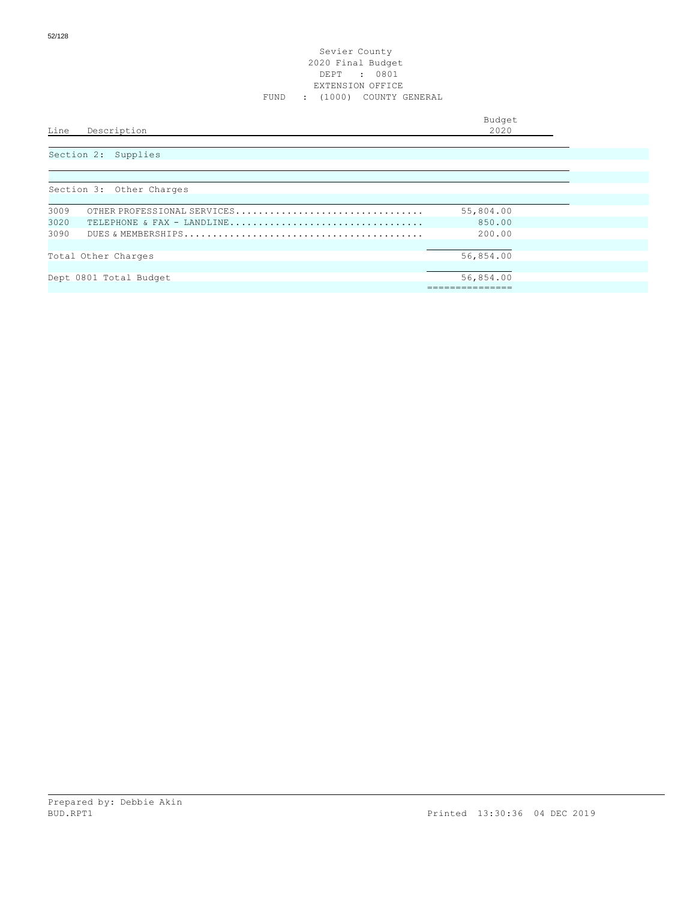#### Sevier County 2020 Final Budget DEPT : 0801 EXTENSION OFFICE FUND : (1000) COUNTY GENERAL

| Line<br>Description      | Budget<br>2020 |
|--------------------------|----------------|
| Section 2: Supplies      |                |
| Section 3: Other Charges |                |

| SECULUM S. OUNEL CHALGES |                             |           |  |  |
|--------------------------|-----------------------------|-----------|--|--|
|                          |                             |           |  |  |
| 3009                     | OTHER PROFESSIONAL SERVICES | 55,804.00 |  |  |
| 3020                     | TELEPHONE & FAX - LANDLINE  | 850.00    |  |  |
| 3090                     |                             | 200.00    |  |  |
|                          |                             |           |  |  |
|                          | Total Other Charges         | 56,854.00 |  |  |
|                          |                             |           |  |  |
|                          | Dept 0801 Total Budget      | 56,854.00 |  |  |
|                          |                             |           |  |  |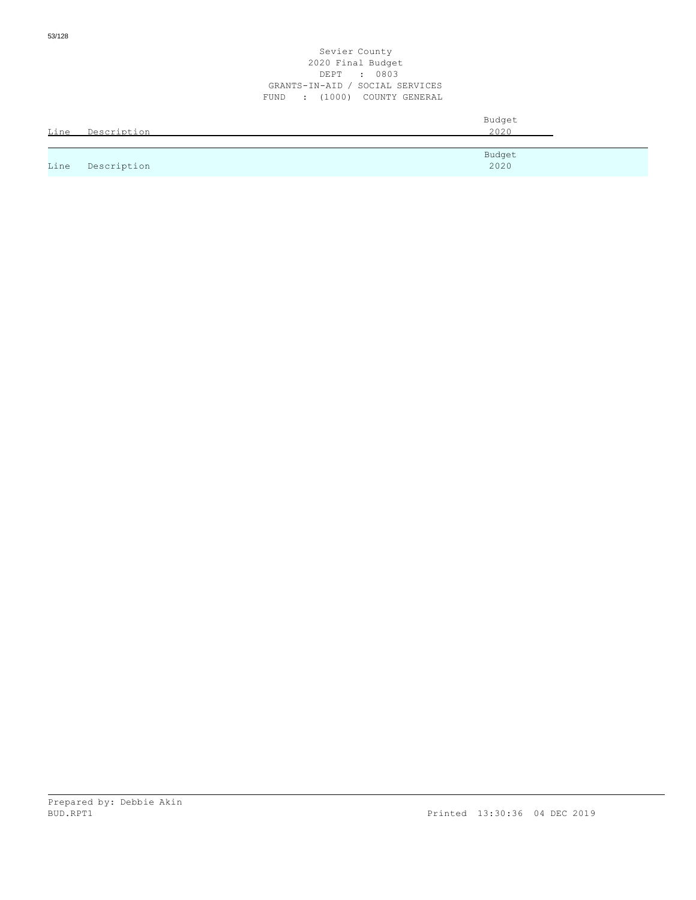| Line | Description | Budget<br>2020 |
|------|-------------|----------------|
| Line | Description | Budget<br>2020 |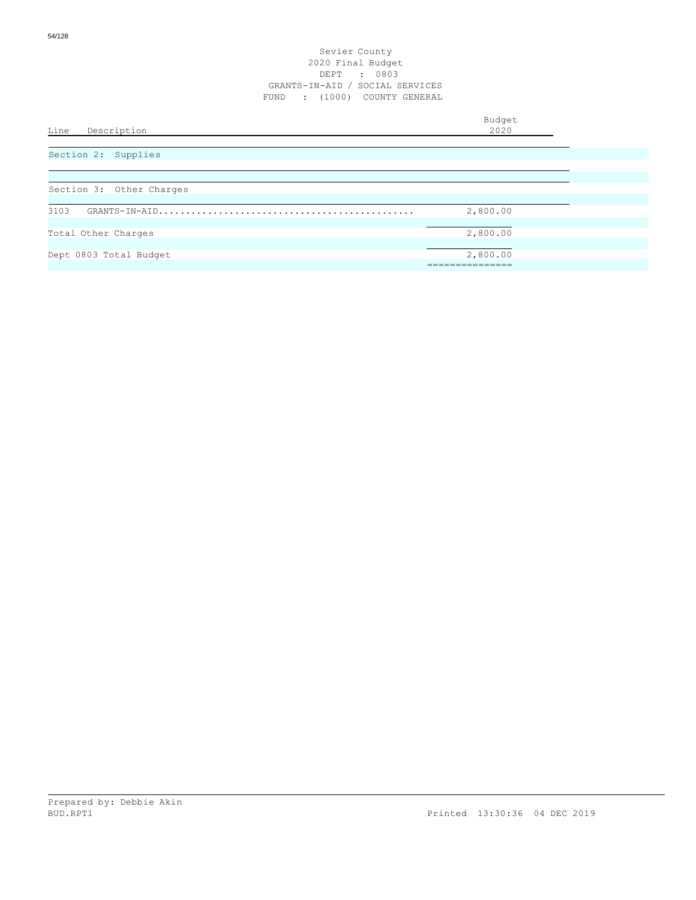| Line<br>Description      | Budget<br>2020 |
|--------------------------|----------------|
| Section 2: Supplies      |                |
| Section 3: Other Charges |                |
| 3103                     | 2,800.00       |
| Total Other Charges      | 2,800.00       |
| Dept 0803 Total Budget   | 2,800.00       |
|                          |                |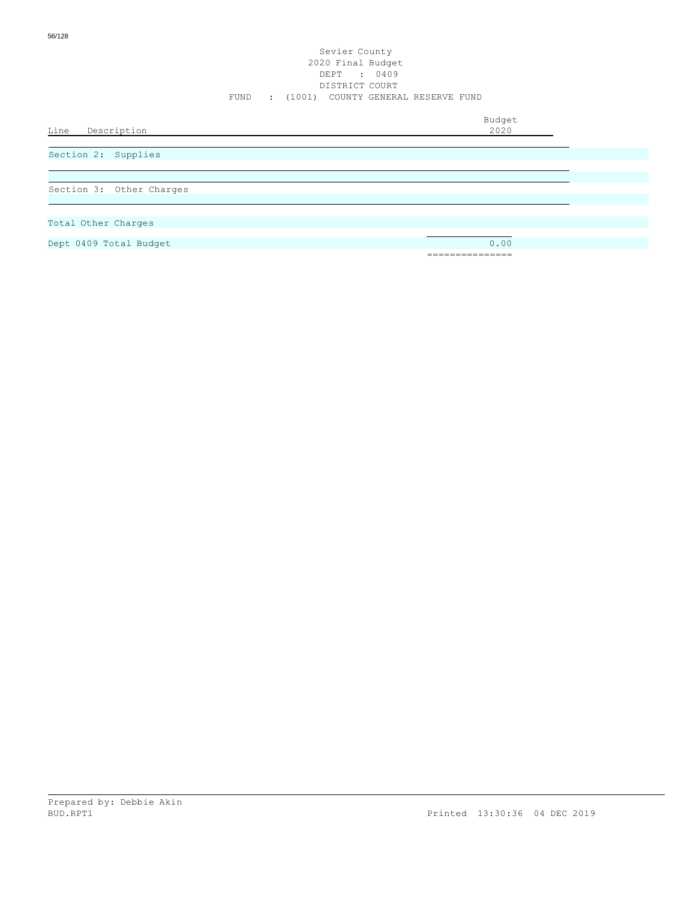Budget<br>2020

Line Description

Section 2: Supplies

Section 3: Other Charges

Total Other Charges

Dept 0409 Total Budget 0.00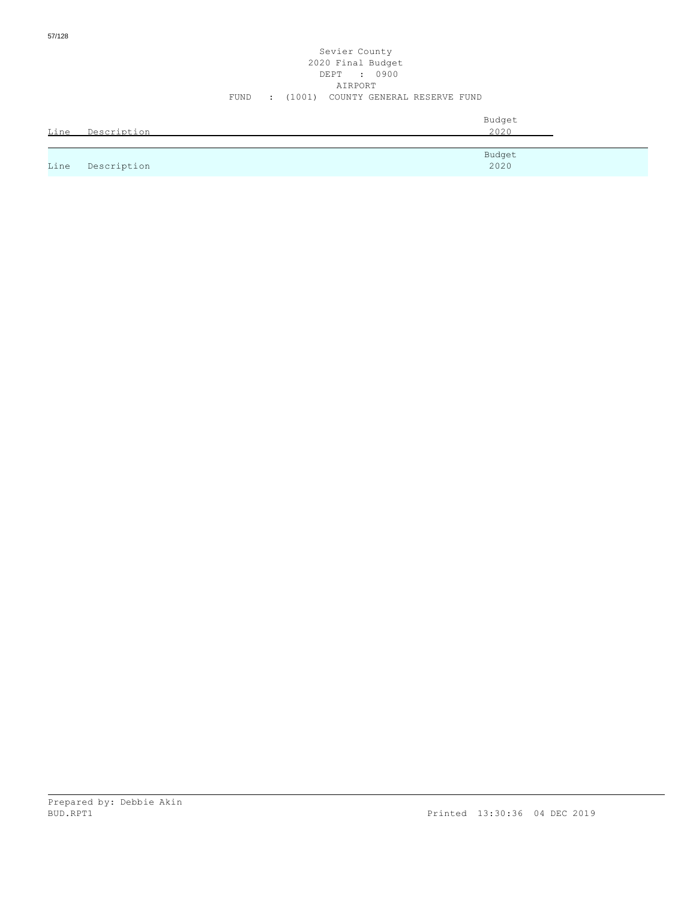|      |             | Budget |
|------|-------------|--------|
| Line | Description | 2020   |
|      |             |        |

|      |             | Budget |
|------|-------------|--------|
| Line | Description | 2020   |

FUND : (1001) COUNTY GENERAL RESERVE FUND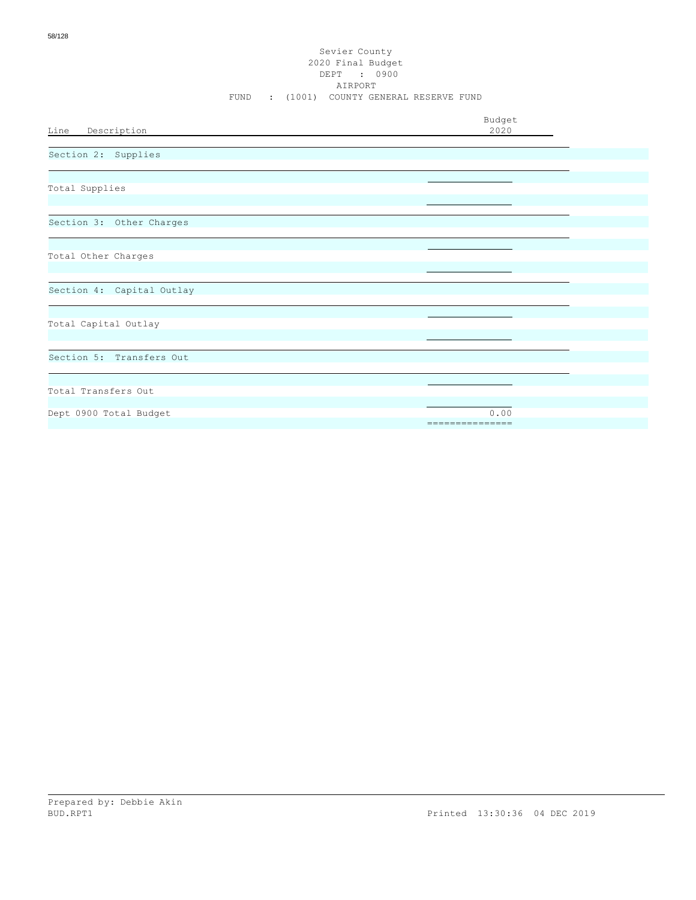| Budget<br>Line Description<br>2020                |  |
|---------------------------------------------------|--|
| Section 2: Supplies                               |  |
| Total Supplies                                    |  |
| Section 3: Other Charges                          |  |
| Total Other Charges                               |  |
| Section 4: Capital Outlay                         |  |
| Total Capital Outlay                              |  |
| Section 5: Transfers Out                          |  |
| Total Transfers Out                               |  |
| Dept 0900 Total Budget<br>0.00<br>=============== |  |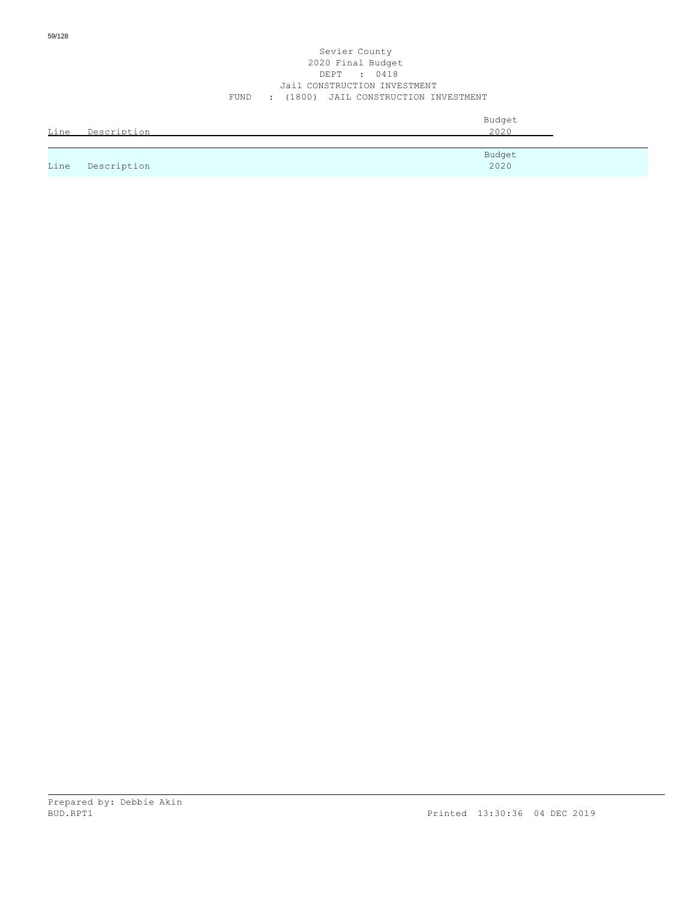#### Sevier County 2020 Final Budget DEPT : 0418 Jail CONSTRUCTION INVESTMENT FUND : (1800) JAIL CONSTRUCTION INVESTMENT

| Line | Description | Budget<br>2020 |
|------|-------------|----------------|
|      |             | Budget         |
| Line | Description | 2020           |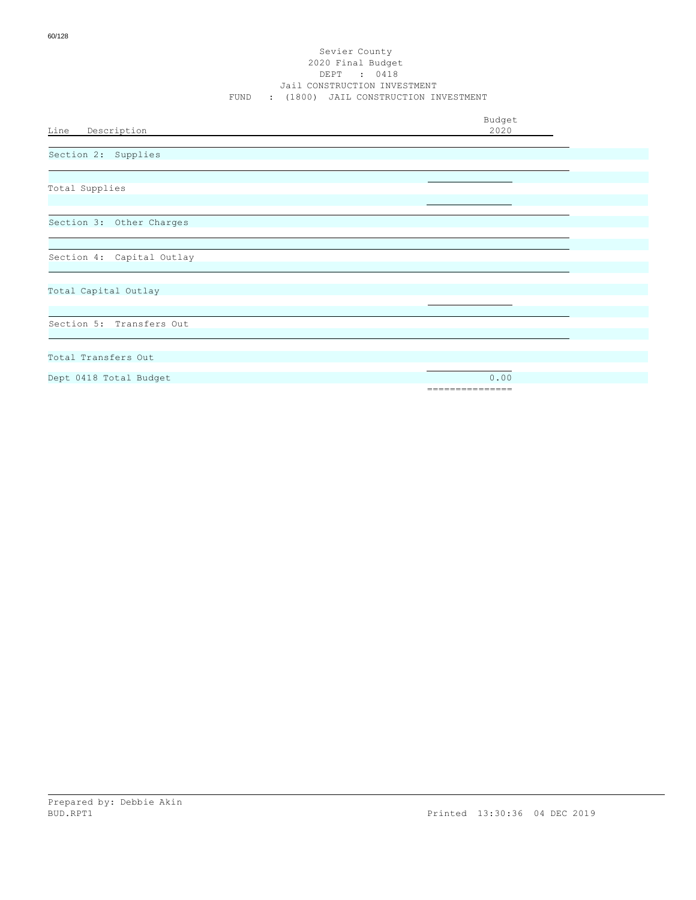|                           | Budget          |  |
|---------------------------|-----------------|--|
| Line Description          | 2020            |  |
| Section 2: Supplies       |                 |  |
|                           |                 |  |
| Total Supplies            |                 |  |
|                           |                 |  |
| Section 3: Other Charges  |                 |  |
|                           |                 |  |
| Section 4: Capital Outlay |                 |  |
|                           |                 |  |
| Total Capital Outlay      |                 |  |
|                           |                 |  |
| Section 5: Transfers Out  |                 |  |
|                           |                 |  |
| Total Transfers Out       |                 |  |
| Dept 0418 Total Budget    | 0.00            |  |
|                           | =============== |  |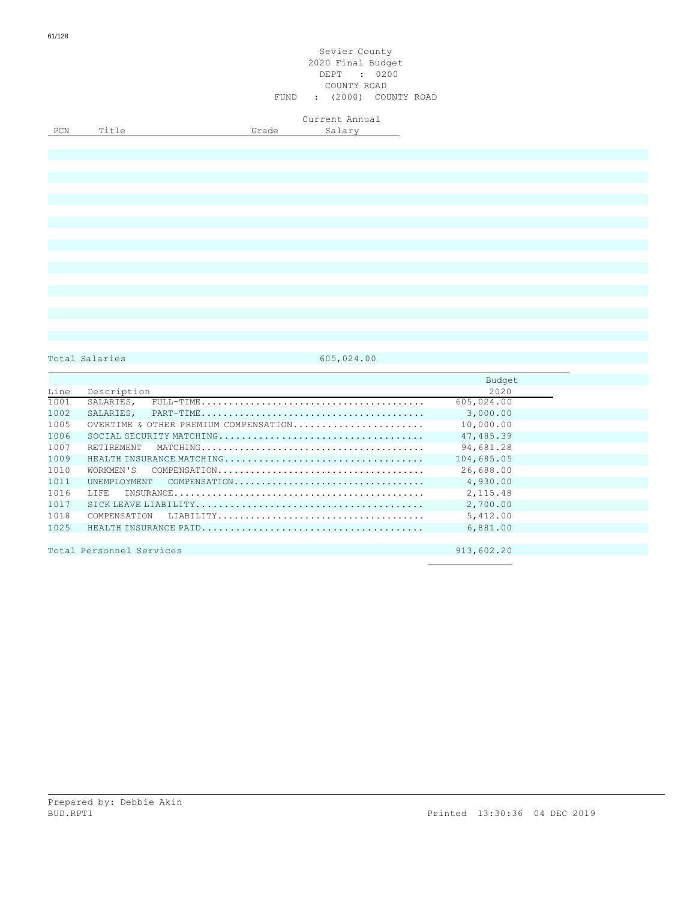Total Salaries 605,024.00

|      |                                       | Budget     |
|------|---------------------------------------|------------|
| Line | Description                           | 2020       |
| 1001 | SALARIES,                             | 605,024.00 |
| 1002 | SALARIES.                             | 3,000.00   |
| 1005 | OVERTIME & OTHER PREMIUM COMPENSATION | 10,000.00  |
| 1006 |                                       | 47,485.39  |
| 1007 | RETIREMENT                            | 94,681.28  |
| 1009 | HEALTH INSURANCE MATCHING             | 104,685.05 |
| 1010 |                                       | 26,688.00  |
| 1011 | UNEMPLOYMENT COMPENSATION             | 4,930.00   |
| 1016 | T.T.F.R.                              | 2, 115.48  |
| 1017 |                                       | 2,700.00   |
| 1018 |                                       | 5,412.00   |
| 1025 |                                       | 6,881.00   |
|      |                                       |            |
|      | Total Personnel Services              | 913,602.20 |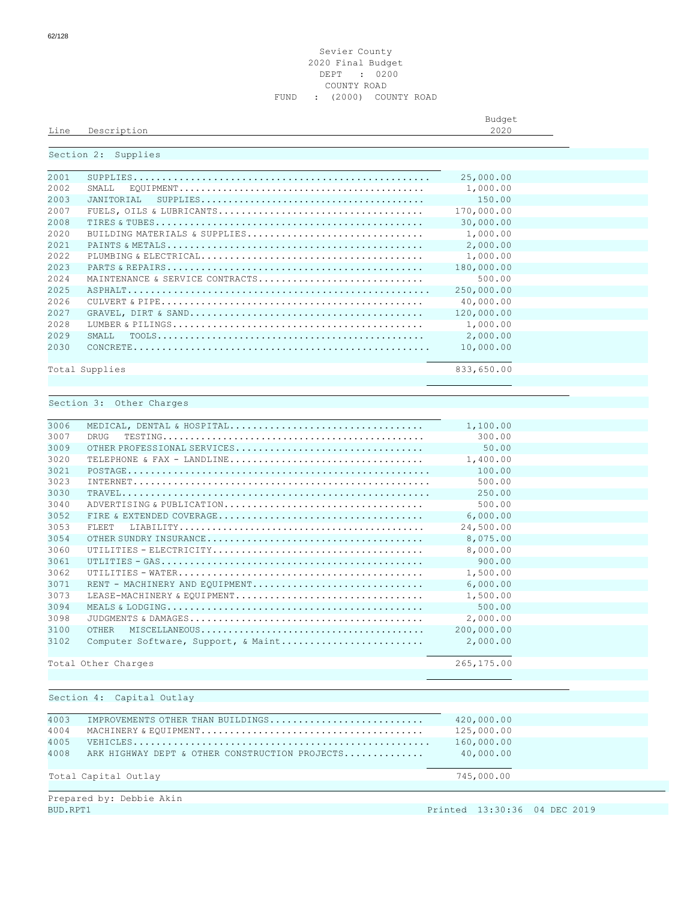#### Sevier County Final Budget DEPT : 0200 COUNTY ROAD FUND : (2000) COUNTY ROAD

Line Description

Budget<br>2020

## Section 2: Supplies

| 2001  |                                                                                                                       | 25,000.00  |  |
|-------|-----------------------------------------------------------------------------------------------------------------------|------------|--|
| 2002  | ${\tt EOUTPMENT} \ldots \ldots \ldots \ldots \ldots \ldots \ldots \ldots \ldots \ldots \ldots \ldots \ldots$<br>SMALL | 1,000.00   |  |
| 2003  | JANTTORTAL<br>$\texttt{SUPPLIES} \dots \dots \dots \dots \dots \dots \dots \dots \dots \dots \dots \dots \dots \dots$ | 150.00     |  |
| 2007  |                                                                                                                       | 170,000.00 |  |
| 2008  |                                                                                                                       | 30,000.00  |  |
| 2020  | BUILDING MATERIALS & SUPPLIES                                                                                         | 1,000.00   |  |
| 2.021 |                                                                                                                       | 2,000.00   |  |
| 2022  |                                                                                                                       | 1,000.00   |  |
| 2023  |                                                                                                                       | 180,000.00 |  |
| 2024  | MAINTENANCE & SERVICE CONTRACTS                                                                                       | 500.00     |  |
| 2025  |                                                                                                                       | 250,000.00 |  |
| 2026  |                                                                                                                       | 40,000.00  |  |
| 2027  |                                                                                                                       | 120,000.00 |  |
| 2028  |                                                                                                                       | 1,000.00   |  |
| 2029  | SMAT.T.                                                                                                               | 2,000.00   |  |
| 2030  |                                                                                                                       | 10,000.00  |  |
|       | Total Supplies                                                                                                        | 833,650.00 |  |

# Section 3: Other Charges

| 3006 |                                                                                                                     | 1,100.00   |  |
|------|---------------------------------------------------------------------------------------------------------------------|------------|--|
| 3007 | DRUG                                                                                                                | 300.00     |  |
| 3009 |                                                                                                                     | 50.00      |  |
| 3020 | TELEPHONE & FAX - LANDLINE                                                                                          | 1,400.00   |  |
| 3021 |                                                                                                                     | 100.00     |  |
| 3023 |                                                                                                                     | 500.00     |  |
| 3030 |                                                                                                                     | 250.00     |  |
| 3040 |                                                                                                                     | 500.00     |  |
| 3052 |                                                                                                                     | 6,000.00   |  |
| 3053 | FLEET.                                                                                                              | 24,500.00  |  |
| 3054 |                                                                                                                     | 8,075.00   |  |
| 3060 |                                                                                                                     | 8,000.00   |  |
| 3061 | UTLITIES - $\texttt{GAS}\dots\dots\dots\dots\dots\dots\dots\dots\dots\dots\dots\dots\dots\dots\dots\dots\dots\dots$ | 900.00     |  |
| 3062 |                                                                                                                     | 1,500.00   |  |
| 3071 | RENT - MACHINERY AND EQUIPMENT                                                                                      | 6,000.00   |  |
| 3073 | LEASE-MACHINERY & EQUIPMENT                                                                                         | 1,500.00   |  |
| 3094 |                                                                                                                     | 500.00     |  |
| 3098 |                                                                                                                     | 2,000.00   |  |
| 3100 | OTHER                                                                                                               | 200,000.00 |  |
| 3102 | Computer Software, Support, & Maint                                                                                 | 2,000.00   |  |
|      | Total Other Charges                                                                                                 | 265,175.00 |  |
|      |                                                                                                                     |            |  |

# Section 4: Capital Outlay

| 4003 | IMPROVEMENTS OTHER THAN BUILDINGS              | 420,000.00 |
|------|------------------------------------------------|------------|
| 4004 |                                                | 125,000.00 |
| 4005 |                                                | 160,000.00 |
| 4008 | ARK HIGHWAY DEPT & OTHER CONSTRUCTION PROJECTS | 40,000.00  |
|      |                                                |            |
|      | Total Capital Outlay                           | 745,000.00 |

Prepared by: Debbie Akin BUD.RPT1 Printed 13:30:36 04 DEC 2019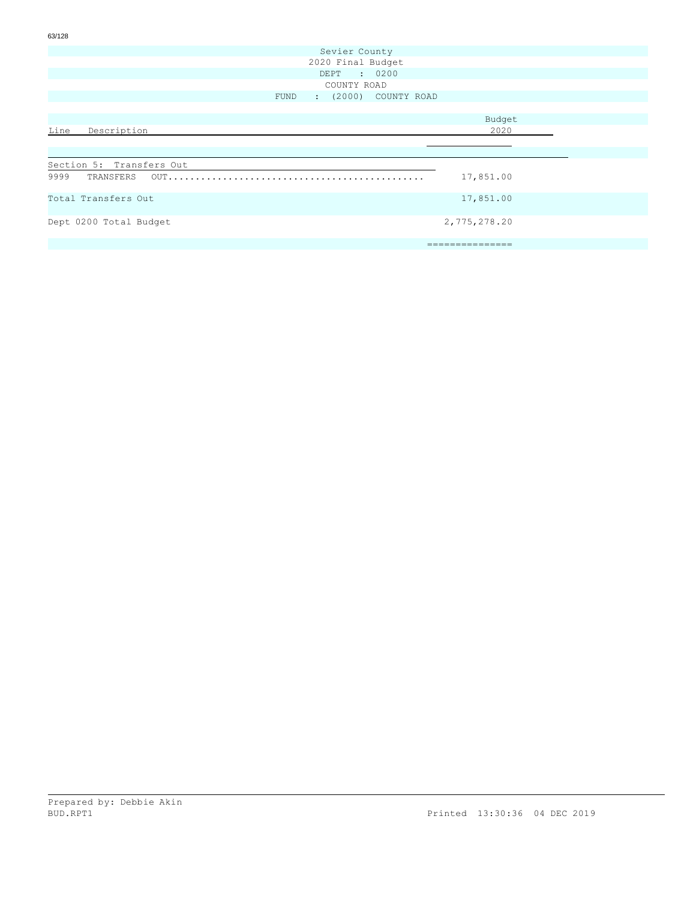| 63/128 |                          |      |                      |  |                 |  |
|--------|--------------------------|------|----------------------|--|-----------------|--|
|        |                          |      | Sevier County        |  |                 |  |
|        |                          |      | 2020 Final Budget    |  |                 |  |
|        |                          |      | DEPT : 0200          |  |                 |  |
|        |                          |      | COUNTY ROAD          |  |                 |  |
|        |                          | FUND | : (2000) COUNTY ROAD |  |                 |  |
|        |                          |      |                      |  |                 |  |
|        |                          |      |                      |  | Budget          |  |
| Line   | Description              |      |                      |  | 2020            |  |
|        |                          |      |                      |  |                 |  |
|        |                          |      |                      |  |                 |  |
|        | Section 5: Transfers Out |      |                      |  |                 |  |
|        | 9999 TRANSFERS OUT       |      |                      |  | 17,851.00       |  |
|        | Total Transfers Out      |      |                      |  | 17,851.00       |  |
|        | Dept 0200 Total Budget   |      |                      |  | 2,775,278.20    |  |
|        |                          |      |                      |  | =============== |  |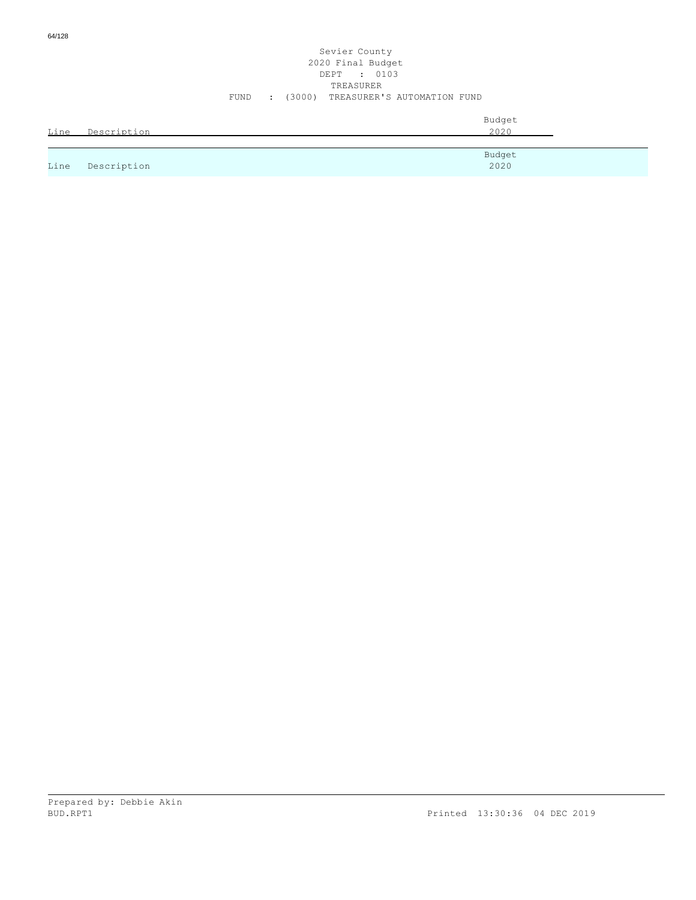|      |             | Budget |
|------|-------------|--------|
| Line | Description | 2020   |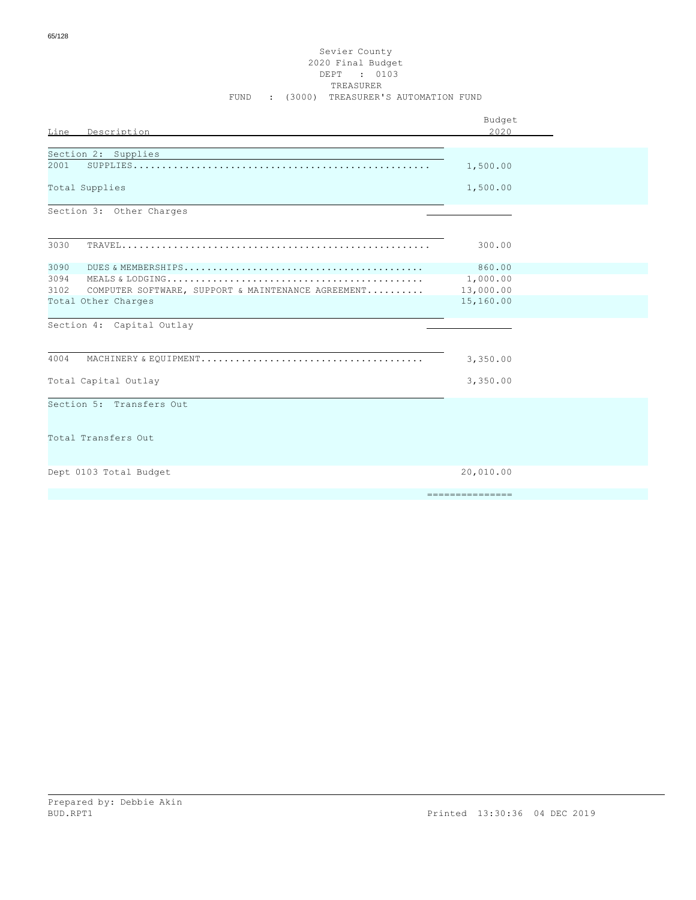## Sevier County 2020 Final Budget DEPT : 0103 TREASURER FUND : (3000) TREASURER'S AUTOMATION FUND

|                                                                                                              | Budget          |
|--------------------------------------------------------------------------------------------------------------|-----------------|
| Line Description                                                                                             | 2020            |
| Section 2: Supplies                                                                                          |                 |
| 2001                                                                                                         | 1,500.00        |
| Total Supplies                                                                                               | 1,500.00        |
| Section 3: Other Charges                                                                                     |                 |
|                                                                                                              |                 |
| 3030                                                                                                         | 300.00          |
| 3090                                                                                                         | 860.00          |
| 3094                                                                                                         | 1,000.00        |
| 3102<br>COMPUTER SOFTWARE, SUPPORT & MAINTENANCE AGREEMENT                                                   | 13,000.00       |
| Total Other Charges                                                                                          | 15,160.00       |
| Section 4: Capital Outlay                                                                                    |                 |
|                                                                                                              |                 |
| 4004<br>MACHINERY & EQUIPMENT. $\dots\dots\dots\dots\dots\dots\dots\dots\dots\dots\dots\dots\dots\dots\dots$ | 3,350.00        |
| Total Capital Outlay                                                                                         | 3,350.00        |
| Section 5: Transfers Out                                                                                     |                 |
| Total Transfers Out                                                                                          |                 |
|                                                                                                              |                 |
| Dept 0103 Total Budget                                                                                       | 20,010.00       |
|                                                                                                              | --------------- |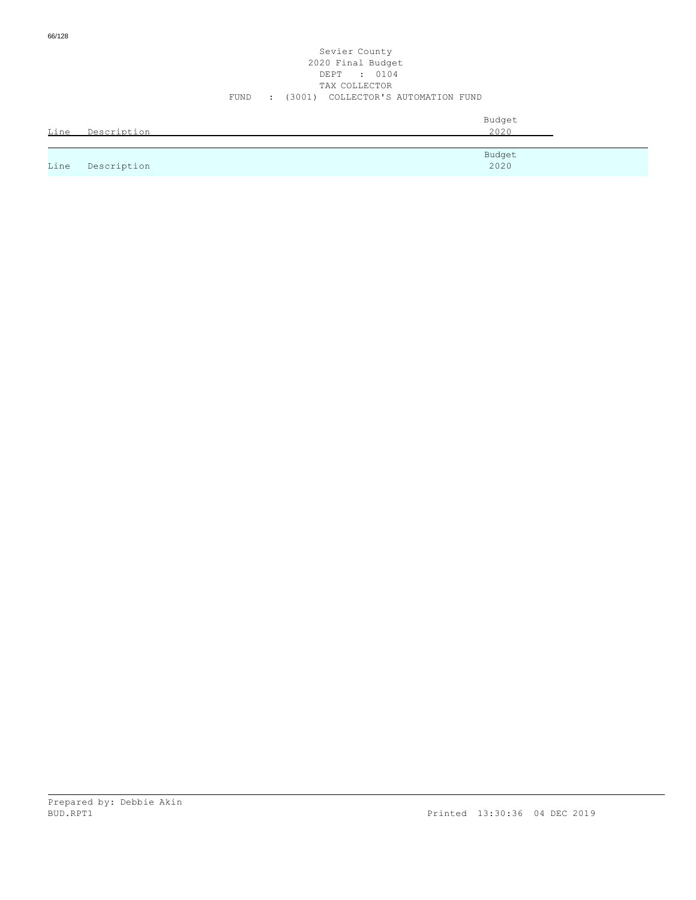| Line | Description | Budget<br>2020 |
|------|-------------|----------------|
|      |             |                |
| Line | Description | Budget<br>2020 |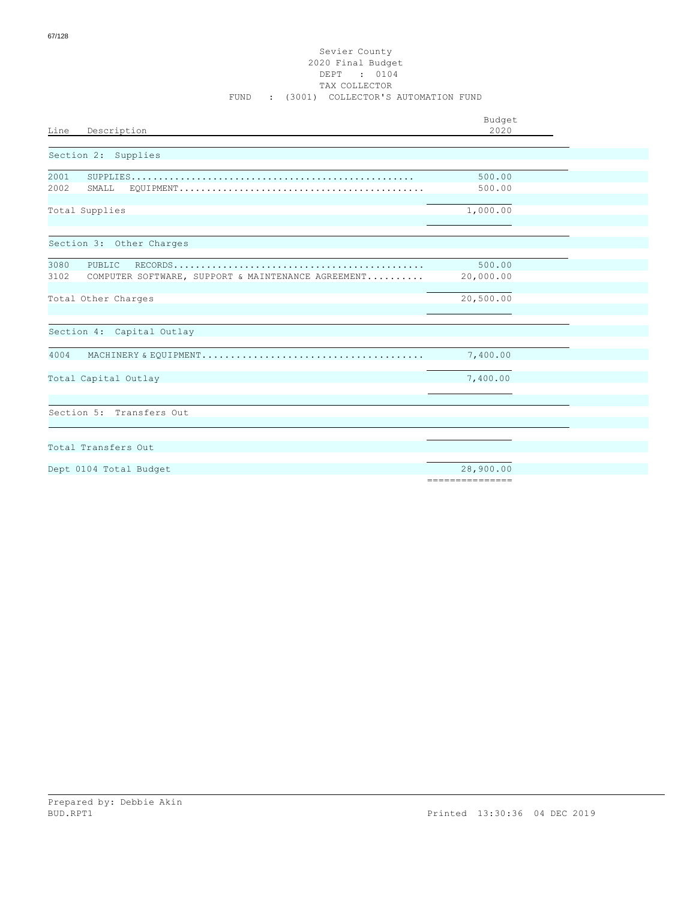## Sevier County 2020 Final Budget DEPT : 0104 TAX COLLECTOR FUND : (3001) COLLECTOR'S AUTOMATION FUND

|                                                                                                                          | Budget                       |  |
|--------------------------------------------------------------------------------------------------------------------------|------------------------------|--|
| Description<br>Line                                                                                                      | 2020                         |  |
| Section 2: Supplies                                                                                                      |                              |  |
| 2001                                                                                                                     | 500.00                       |  |
| 2002<br>SMALL<br>${\tt EQUIPMENT.}\dots\dots\dots\dots\dots\dots\dots\dots\dots\dots\dots\dots\dots\dots\dots\dots\dots$ | 500.00                       |  |
| Total Supplies                                                                                                           | 1,000.00                     |  |
|                                                                                                                          |                              |  |
| Section 3: Other Charges                                                                                                 |                              |  |
| 3080<br>PUBLIC                                                                                                           | 500.00                       |  |
| 3102<br>COMPUTER SOFTWARE, SUPPORT & MAINTENANCE AGREEMENT                                                               | 20,000.00                    |  |
| Total Other Charges                                                                                                      | 20,500.00                    |  |
| Section 4: Capital Outlay                                                                                                |                              |  |
| 4004                                                                                                                     | 7,400.00                     |  |
| Total Capital Outlay                                                                                                     | 7,400.00                     |  |
|                                                                                                                          |                              |  |
| Section 5: Transfers Out                                                                                                 |                              |  |
|                                                                                                                          |                              |  |
| Total Transfers Out                                                                                                      |                              |  |
| Dept 0104 Total Budget                                                                                                   | 28,900.00<br>--------------- |  |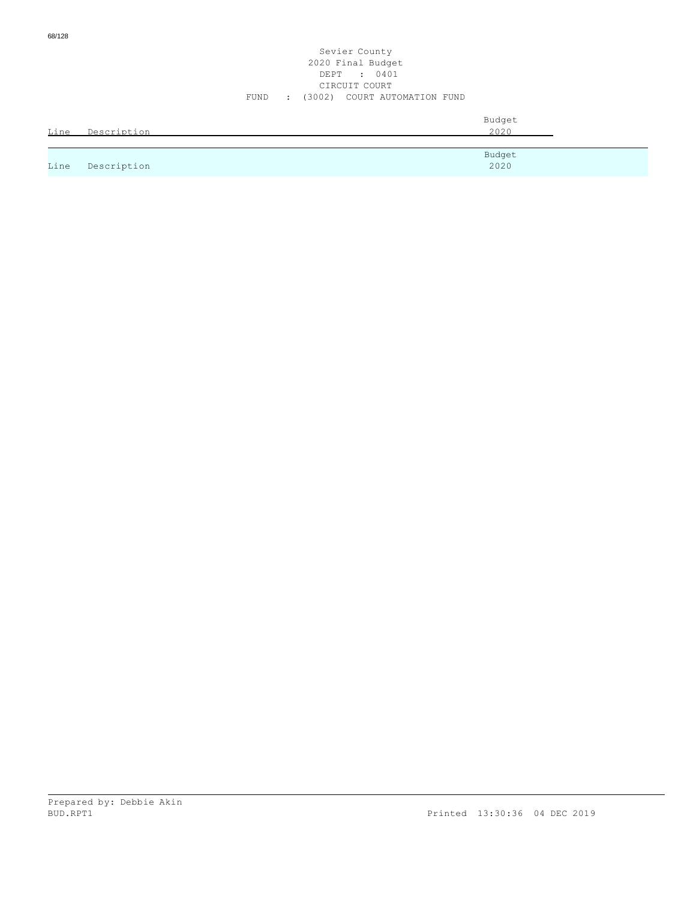| Line | Description | Budget<br>2020 |
|------|-------------|----------------|
| Line | Description | Budget<br>2020 |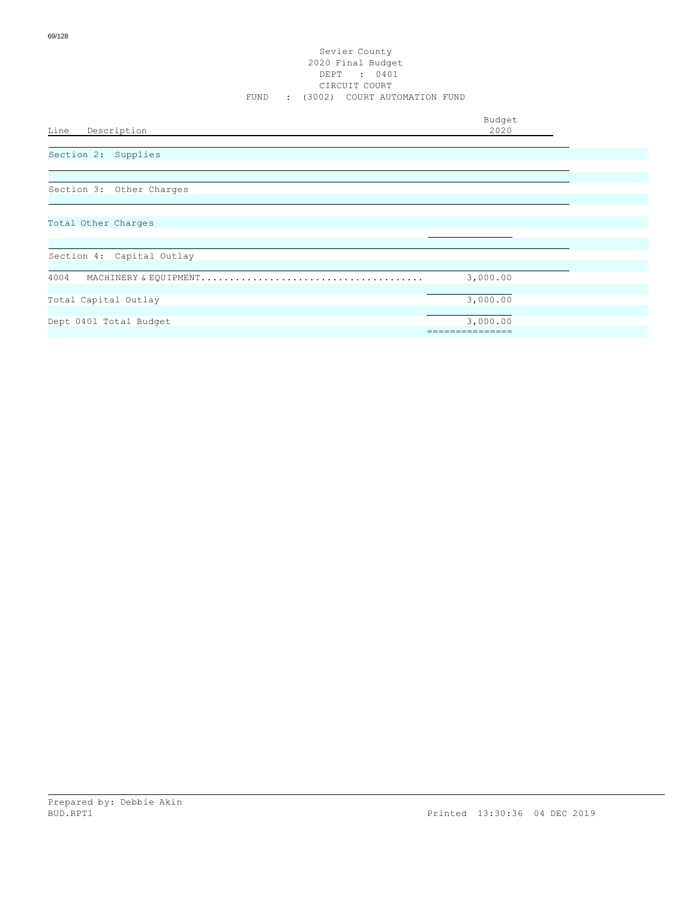Budget<br>2020

# Line Description

Section 2: Supplies

Section 3: Other Charges

Total Other Charges

| Section 4: Capital Outlay        |          |  |  |  |
|----------------------------------|----------|--|--|--|
|                                  |          |  |  |  |
| 4004                             | 3,000.00 |  |  |  |
|                                  |          |  |  |  |
| Total Capital Outlay<br>3,000.00 |          |  |  |  |
|                                  |          |  |  |  |
| Dept 0401 Total Budget           | 3,000.00 |  |  |  |
|                                  |          |  |  |  |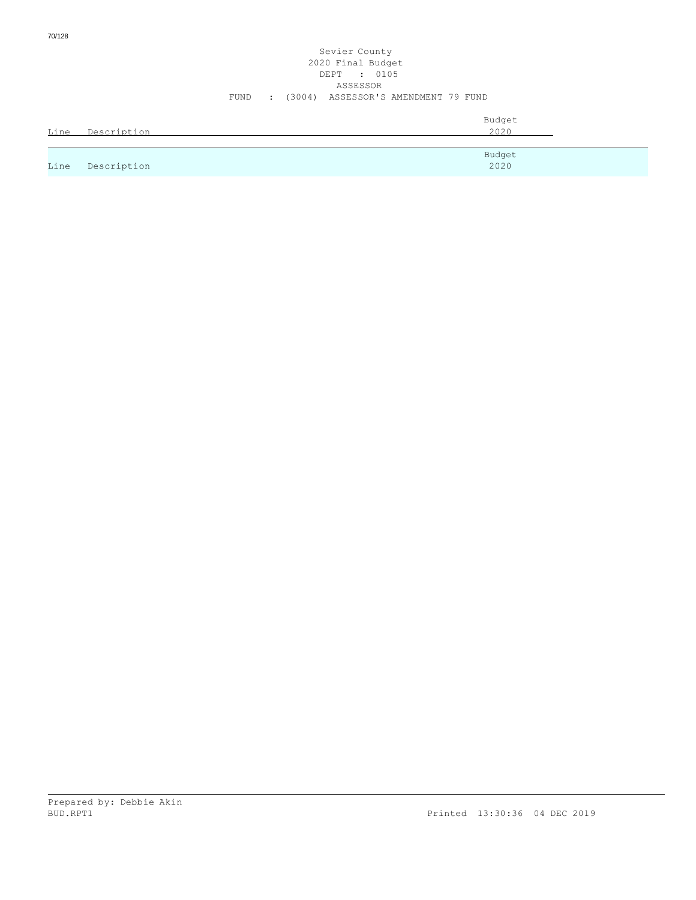70/128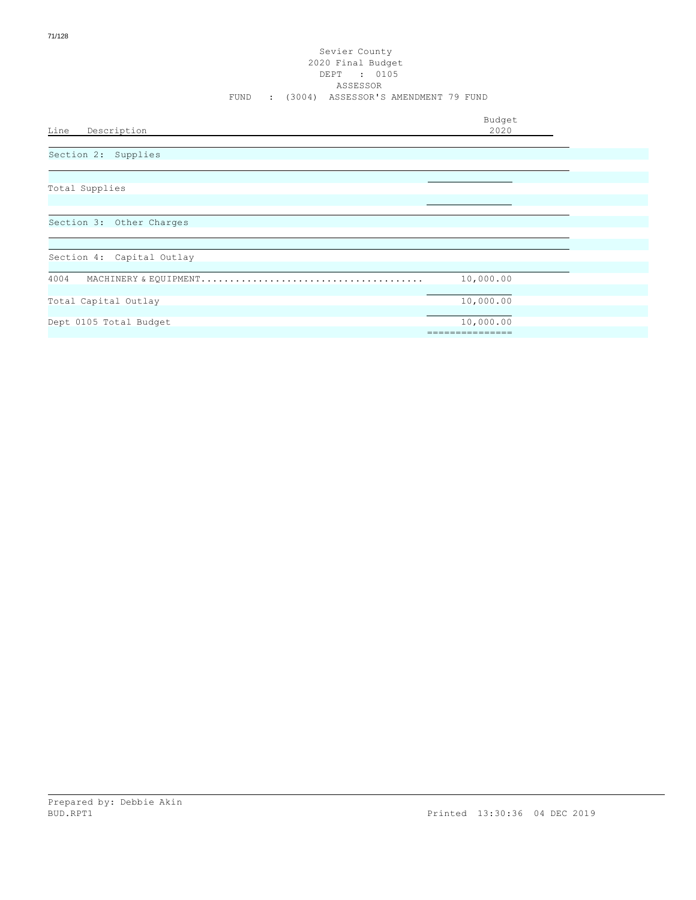Budget<br>2020

Line Description

Section 2: Supplies

Total Supplies

Section 3: Other Charges

| Section 4: Capital Outlay<br>4004<br>10,000.00<br>Total Capital Outlay<br>10,000.00<br>Dept 0105 Total Budget<br>10,000.00 |  |
|----------------------------------------------------------------------------------------------------------------------------|--|
|                                                                                                                            |  |
|                                                                                                                            |  |
|                                                                                                                            |  |
|                                                                                                                            |  |
|                                                                                                                            |  |
|                                                                                                                            |  |
|                                                                                                                            |  |
|                                                                                                                            |  |
|                                                                                                                            |  |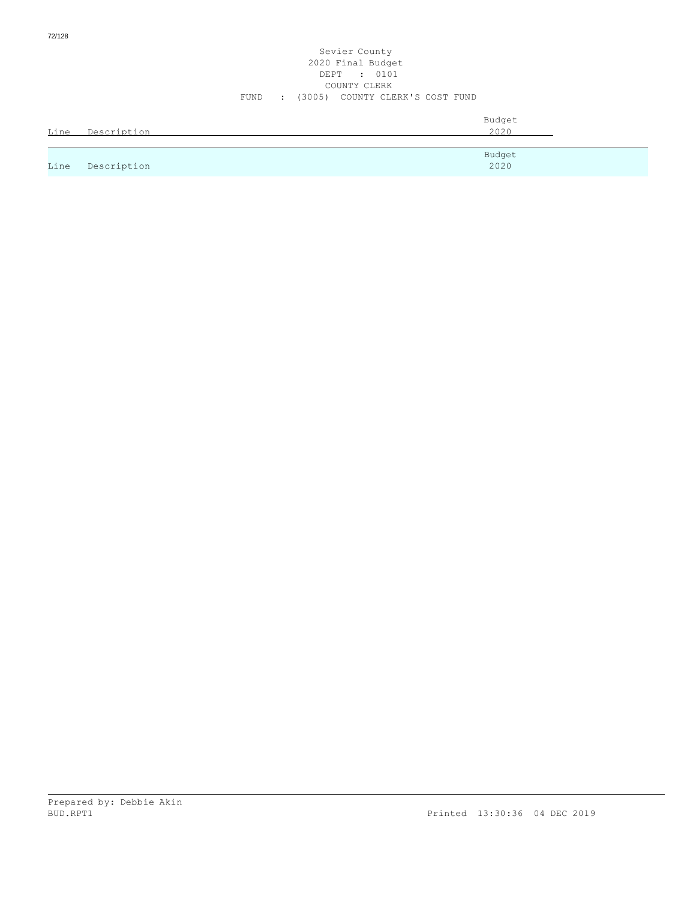72/128

|      | Line Description | Budget<br>2020 |
|------|------------------|----------------|
| Line | Description      | Budget<br>2020 |

COUNTY CLERK FUND : (3005) COUNTY CLERK'S COST FUND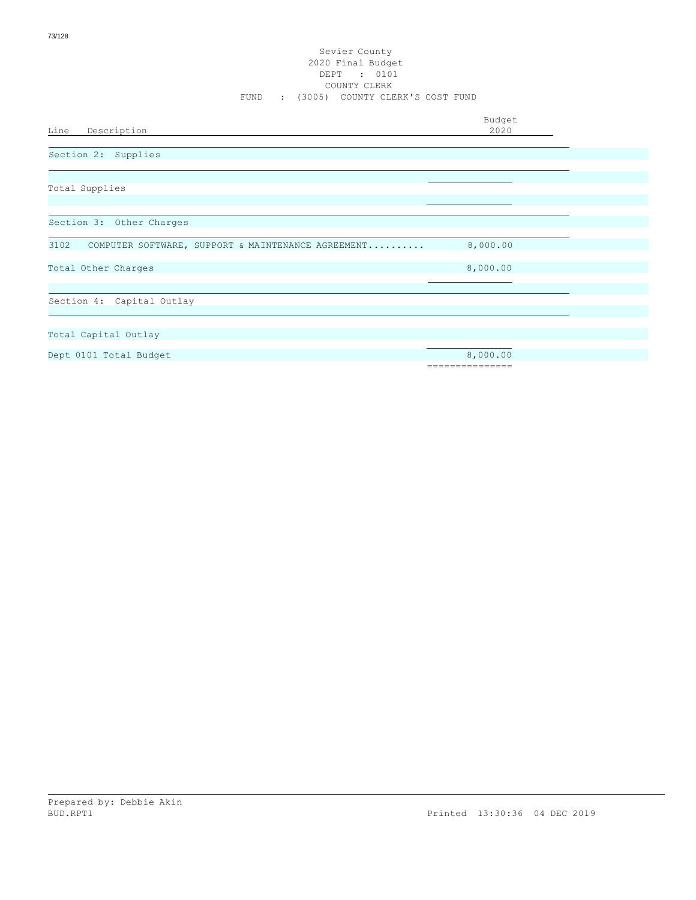Budget<br>2020

Line Description

Section 2: Supplies

Total Supplies

Section 3: Other Charges

3102 COMPUTER SOFTWARE, SUPPORT & MAINTENANCE AGREEMENT.......... 8,000.00

Total Other Charges 8,000.000 and 200 and 200 and 200 and 200 and 200 and 200 and 200 and 200 and 200 and 200 and 200 and 200 and 200 and 200 and 200 and 200 and 200 and 200 and 200 and 200 and 200 and 200 and 200 and 200

Section 4: Capital Outlay

Total Capital Outlay

Dept 0101 Total Budget 8,000.00

===============

Prepared by: Debbie Akin BUD.RPT1 Printed 13:30:36 04 DEC 2019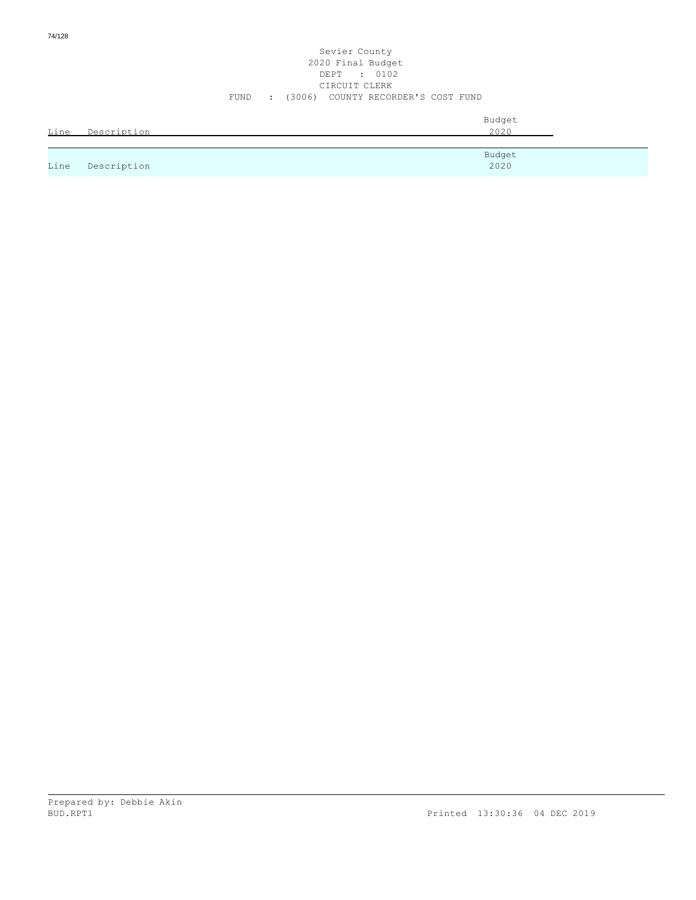74/128

#### Sevier County 2020 Final Budget DEPT : 0102 CIRCUIT CLERK FUND : (3006) COUNTY RECORDER'S COST FUND

| Line | Description | Budget<br>2020 |
|------|-------------|----------------|
|      |             | Budget         |
| Line | Description | 2020           |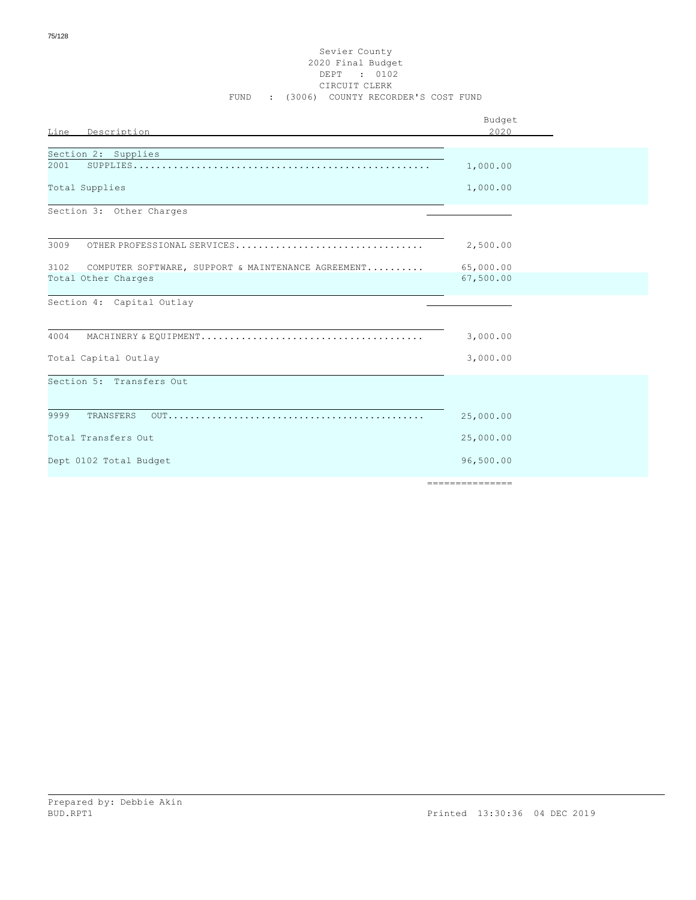#### Sevier County 2020 Final Budget DEPT : 0102 CIRCUIT CLERK FUND : (3006) COUNTY RECORDER'S COST FUND

|                                                                                                                                               | Budget          |
|-----------------------------------------------------------------------------------------------------------------------------------------------|-----------------|
| Description<br><b>Line</b>                                                                                                                    | 2020            |
|                                                                                                                                               |                 |
| Section 2: Supplies<br><u> 1989 - Johann Stoff, deutscher Stoffen und der Stoffen und der Stoffen und der Stoffen und der Stoffen und der</u> |                 |
| 2001                                                                                                                                          | 1,000.00        |
| Total Supplies                                                                                                                                | 1,000.00        |
| Section 3: Other Charges                                                                                                                      |                 |
|                                                                                                                                               |                 |
| 3009<br>OTHER PROFESSIONAL SERVICES                                                                                                           | 2,500.00        |
| 3102<br>COMPUTER SOFTWARE, SUPPORT & MAINTENANCE AGREEMENT                                                                                    | 65,000.00       |
| Total Other Charges                                                                                                                           | 67,500.00       |
| Section 4: Capital Outlay                                                                                                                     |                 |
|                                                                                                                                               |                 |
| 4004                                                                                                                                          | 3,000.00        |
| Total Capital Outlay                                                                                                                          | 3,000.00        |
| Section 5: Transfers Out                                                                                                                      |                 |
|                                                                                                                                               |                 |
| 9999<br>TRANSFERS                                                                                                                             | 25,000.00       |
| Total Transfers Out                                                                                                                           | 25,000.00       |
| Dept 0102 Total Budget                                                                                                                        | 96,500.00       |
|                                                                                                                                               | =============== |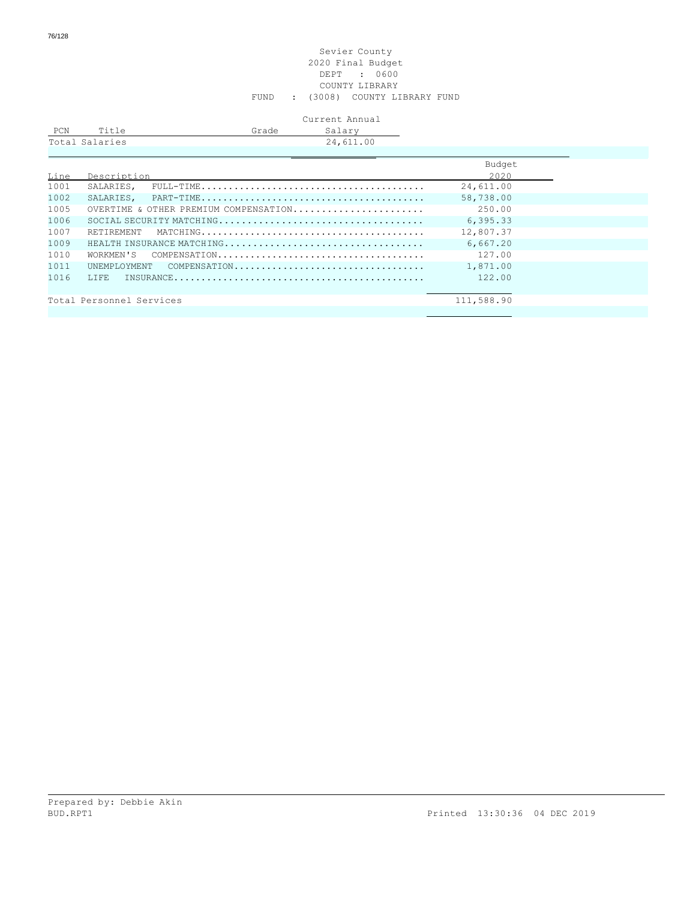#### Sevier County 2020 Final Budget DEPT : 0600 COUNTY LIBRARY FUND : (3008) COUNTY LIBRARY FUND

## Current Annual

| PCN | Title          | Grade | Salarv    |  |
|-----|----------------|-------|-----------|--|
|     | Total Salaries |       | 24,611.00 |  |
|     |                |       |           |  |

|      |                                                                                                              | Budget     |
|------|--------------------------------------------------------------------------------------------------------------|------------|
| Line | Description                                                                                                  | 2020       |
| 1001 | SALARIES,<br>$FULL-TIME \dots \dots \dots \dots \dots \dots \dots \dots \dots \dots \dots \dots \dots \dots$ | 24,611.00  |
| 1002 |                                                                                                              | 58,738.00  |
| 1005 | OVERTIME & OTHER PREMIUM COMPENSATION                                                                        | 250.00     |
| 1006 |                                                                                                              | 6, 395.33  |
| 1007 | RETIREMENT                                                                                                   | 12,807.37  |
| 1009 |                                                                                                              | 6.667.20   |
| 1010 |                                                                                                              | 127.00     |
| 1011 | UNEMPLOYMENT COMPENSATION                                                                                    | 1,871.00   |
| 1016 | T.T.F.E.                                                                                                     | 122.00     |
|      |                                                                                                              |            |
|      | Total Personnel Services                                                                                     | 111,588.90 |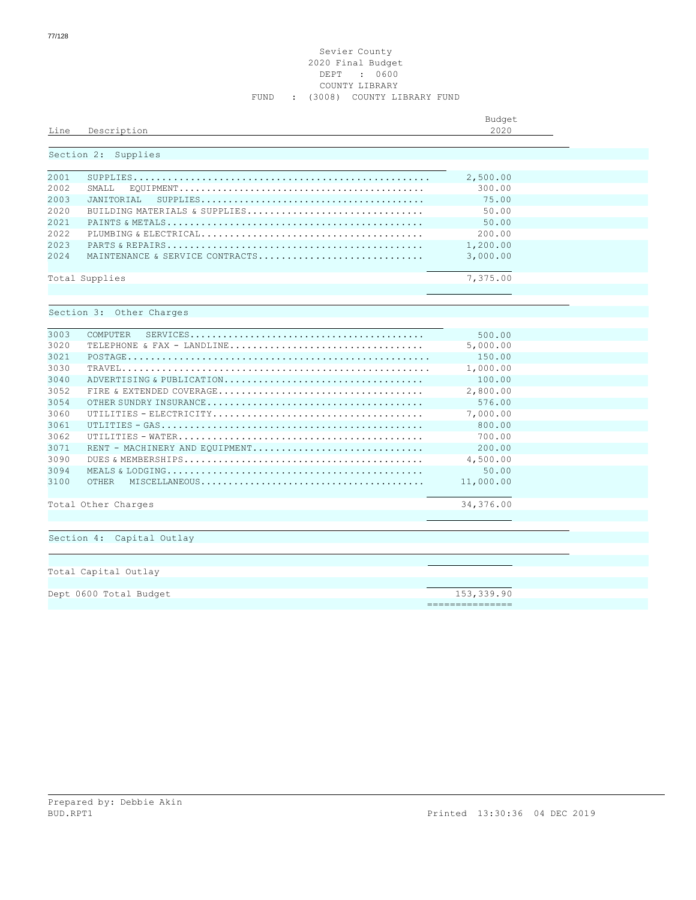#### Sevier County 2020 Final Budget DEPT : 0600 COUNTY LIBRARY FUND : (3008) COUNTY LIBRARY FUND

| Line  | Description                                                                                                     | Budget<br>2020  |  |
|-------|-----------------------------------------------------------------------------------------------------------------|-----------------|--|
|       |                                                                                                                 |                 |  |
|       | Section 2: Supplies                                                                                             |                 |  |
| 2001  |                                                                                                                 | 2,500.00        |  |
| 2002  | SMALL                                                                                                           | 300.00          |  |
| 2003  | JANITORIAL<br>$\texttt{SUPPLIES} \dots \dots \dots \dots \dots \dots \dots \dots \dots \dots \dots \dots \dots$ | 75.00           |  |
| 2020  | BUILDING MATERIALS & SUPPLIES                                                                                   | 50.00           |  |
| 2.021 |                                                                                                                 | 50.00           |  |
| 2022  |                                                                                                                 | 200.00          |  |
| 2023  |                                                                                                                 | 1,200.00        |  |
| 2024  | MAINTENANCE & SERVICE CONTRACTS                                                                                 | 3,000.00        |  |
|       |                                                                                                                 |                 |  |
|       | Total Supplies                                                                                                  | 7,375.00        |  |
|       |                                                                                                                 |                 |  |
|       | Section 3: Other Charges                                                                                        |                 |  |
|       |                                                                                                                 |                 |  |
| 3003  | COMPUTER                                                                                                        | 500.00          |  |
| 3020  |                                                                                                                 | 5,000.00        |  |
| 3021  |                                                                                                                 | 150.00          |  |
| 3030  |                                                                                                                 | 1,000.00        |  |
| 3040  | ADVERTISING & PUBLICATION                                                                                       | 100.00          |  |
| 3052  |                                                                                                                 | 2,800.00        |  |
| 3054  |                                                                                                                 | 576.00          |  |
| 3060  |                                                                                                                 | 7,000.00        |  |
| 3061  |                                                                                                                 | 800.00          |  |
| 3062  |                                                                                                                 | 700.00          |  |
| 3071  | RENT - MACHINERY AND EOUIPMENT                                                                                  | 200.00          |  |
| 3090  |                                                                                                                 | 4,500.00        |  |
| 3094  |                                                                                                                 | 50.00           |  |
| 3100  | OTHER                                                                                                           | 11,000.00       |  |
|       | Total Other Charges                                                                                             | 34,376.00       |  |
|       |                                                                                                                 |                 |  |
|       |                                                                                                                 |                 |  |
|       | Section 4: Capital Outlay                                                                                       |                 |  |
|       |                                                                                                                 |                 |  |
|       |                                                                                                                 |                 |  |
|       | Total Capital Outlay                                                                                            |                 |  |
|       | Dept 0600 Total Budget                                                                                          | 153,339.90      |  |
|       |                                                                                                                 | --------------- |  |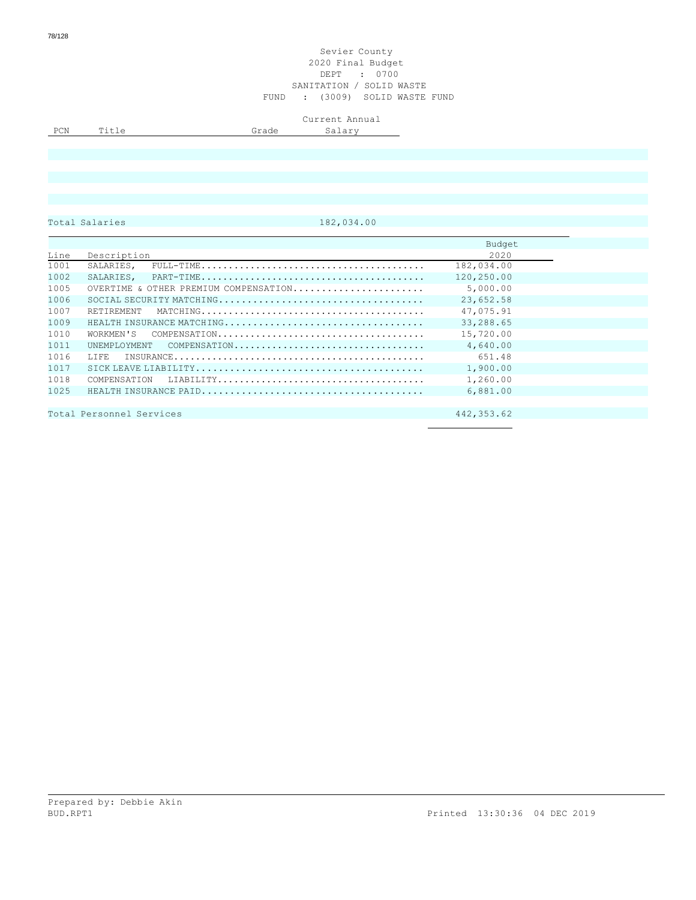#### Sevier County 2020 Final Budget DEPT : 0700 SANITATION / SOLID WASTE FUND : (3009) SOLID WASTE FUND

|     |                          |        | Current Annual          |
|-----|--------------------------|--------|-------------------------|
| PCN | $\overline{\phantom{a}}$ | made i | 20.77<br><u>u + u +</u> |
|     |                          |        |                         |

Total Salaries 182,034.00

|      |                                       | Budget      |
|------|---------------------------------------|-------------|
| Line | Description                           | 2020        |
| 1001 | SALARIES,                             | 182,034.00  |
| 1002 | SALARIES,                             | 120,250.00  |
| 1005 | OVERTIME & OTHER PREMIUM COMPENSATION | 5,000.00    |
| 1006 |                                       | 23,652.58   |
| 1007 | RETIREMENT                            | 47,075.91   |
| 1009 | HEALTH INSURANCE MATCHING             | 33,288.65   |
| 1010 | WORKMEN'S                             | 15,720.00   |
| 1011 | UNEMPLOYMENT<br>COMPENSATION          | 4,640.00    |
| 1016 | T.TFF.                                | 651.48      |
| 1017 |                                       | 1,900.00    |
| 1018 |                                       | 1,260.00    |
| 1025 |                                       | 6,881.00    |
|      |                                       |             |
|      | Total Personnel Services              | 442, 353.62 |
|      |                                       |             |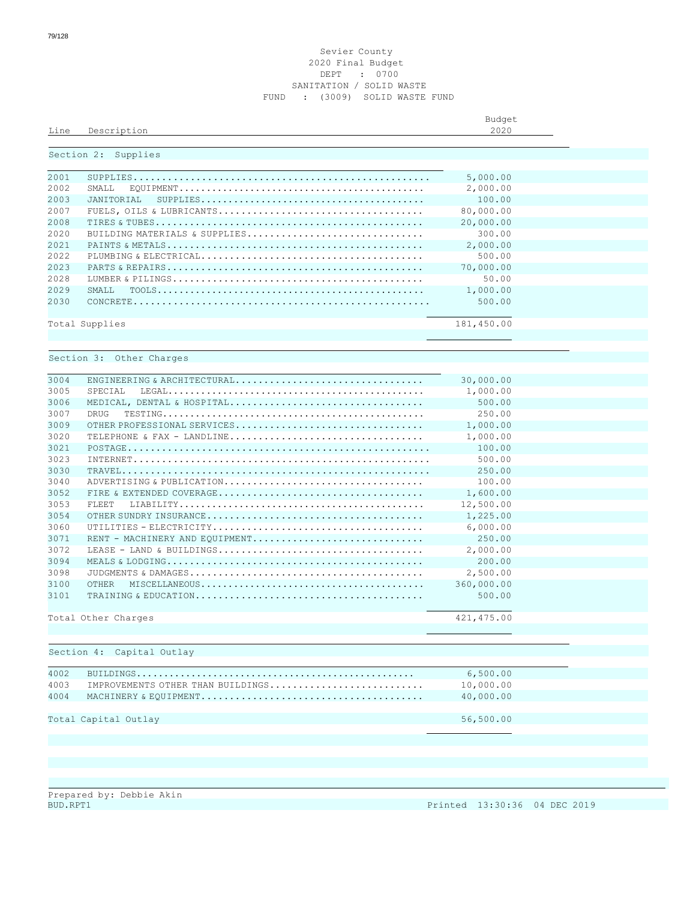#### Sevier County Final Budget DEPT : 0700 SANITATION / SOLID WASTE FUND : (3009) SOLID WASTE FUND

|      |             | Budget       |
|------|-------------|--------------|
| Line | Description | 2020<br>ZUZU |
|      |             |              |

## Section 2: Supplies

| 2001  |                                                                                                      | 5,000.00   |  |
|-------|------------------------------------------------------------------------------------------------------|------------|--|
| 2002  | SMALL.                                                                                               | 2,000.00   |  |
| 2003  |                                                                                                      | 100.00     |  |
| 2007  |                                                                                                      | 80,000.00  |  |
| 2008  |                                                                                                      | 20,000.00  |  |
| 2020  | BUILDING MATERIALS & SUPPLIES                                                                        | 300.00     |  |
| 2.021 |                                                                                                      | 2,000.00   |  |
| 2022  |                                                                                                      | 500.00     |  |
| 2023  |                                                                                                      | 70,000.00  |  |
| 2028  |                                                                                                      | 50.00      |  |
| 2029  | SMATT.                                                                                               | 1,000.00   |  |
| 2030  | $\texttt{CONCRETE}.\dots\dots\dots\dots\dots\dots\dots\dots\dots\dots\dots\dots\dots\dots\dots\dots$ | 500.00     |  |
|       |                                                                                                      |            |  |
|       | Total Supplies                                                                                       | 181,450.00 |  |
|       |                                                                                                      |            |  |

#### Section 3: Other Charges

| 3004 |                                | 30,000.00   |  |
|------|--------------------------------|-------------|--|
| 3005 | SPECTAL                        | 1,000.00    |  |
| 3006 | MEDICAL, DENTAL & HOSPITAL     | 500.00      |  |
| 3007 | DRIIG                          | 250.00      |  |
| 3009 |                                | 1,000.00    |  |
| 3020 |                                | 1,000.00    |  |
| 3021 |                                | 100.00      |  |
| 3023 |                                | 500.00      |  |
| 3030 |                                | 250.00      |  |
| 3040 |                                | 100.00      |  |
| 3052 |                                | 1,600.00    |  |
| 3053 | FLEET.                         | 12,500.00   |  |
| 3054 |                                | 1,225.00    |  |
| 3060 |                                | 6,000.00    |  |
| 3071 | RENT - MACHINERY AND EQUIPMENT | 250.00      |  |
| 3072 |                                | 2,000.00    |  |
| 3094 |                                | 200.00      |  |
| 3098 |                                | 2,500.00    |  |
| 3100 | OTHER                          | 360,000.00  |  |
| 3101 |                                | 500.00      |  |
|      |                                |             |  |
|      | Total Other Charges            | 421, 475.00 |  |
|      |                                |             |  |

#### Section 4: Capital Outlay

| 4002 |                                   | 6,500.00  |
|------|-----------------------------------|-----------|
| 4003 | IMPROVEMENTS OTHER THAN BUILDINGS | 10,000.00 |
| 4004 |                                   | 40,000.00 |
|      |                                   |           |
|      | Total Capital Outlay              | 56,500.00 |
|      |                                   |           |

Prepared by: Debbie Akin<br>BUD.RPT1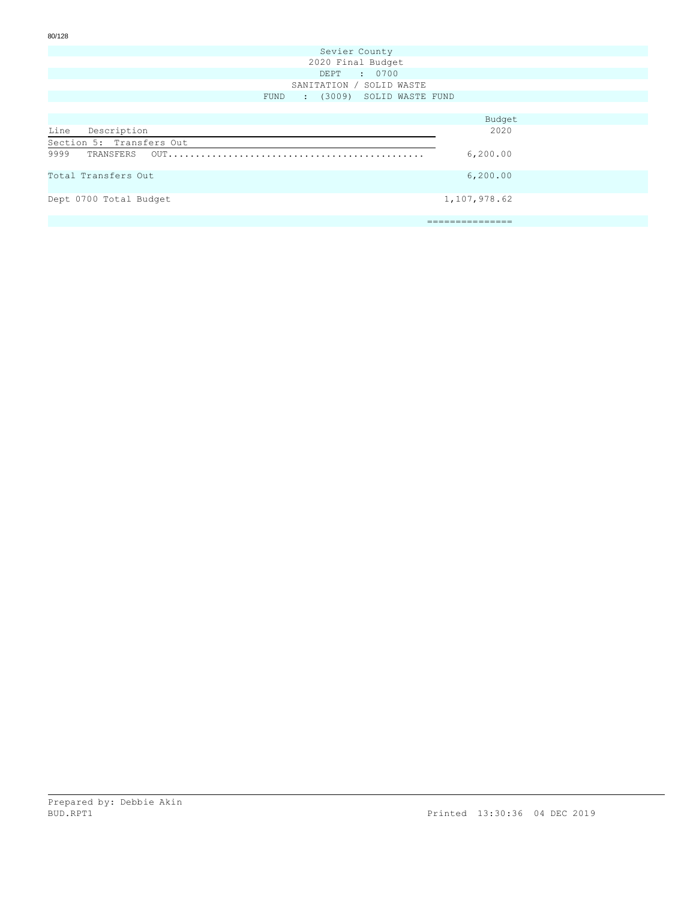| Sevier County                          |
|----------------------------------------|
| 2020 Final Budget                      |
| DEPT : 0700                            |
| SANITATION / SOLID WASTE               |
| : (3009) SOLID WASTE FUND<br>FUND      |
|                                        |
| Budget                                 |
| Line<br>2020<br>Description            |
| Section 5: Transfers Out               |
| 9999<br>6, 200.00                      |
| 6, 200.00<br>Total Transfers Out       |
| Dept 0700 Total Budget<br>1,107,978.62 |
| =========                              |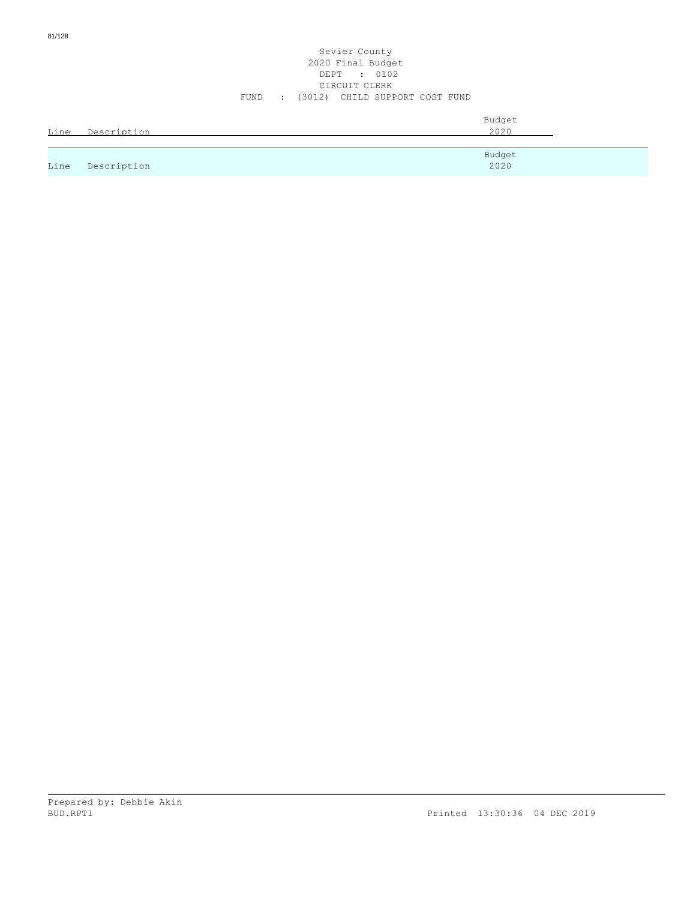#### Sevier County 2020 Final Budget DEPT : 0102 CIRCUIT CLERK FUND : (3012) CHILD SUPPORT COST FUND

| Line | Description | Budget<br>2020 |
|------|-------------|----------------|
|      |             | Budget         |
| Line | Description | 2020           |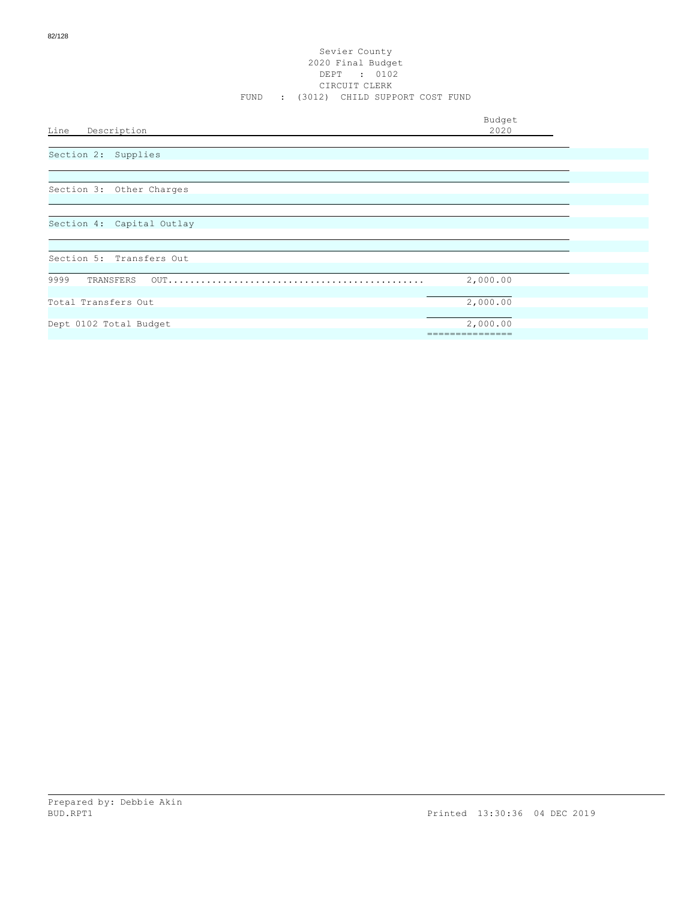Budget<br>2020

Line Description

Section 2: Supplies

Section 3: Other Charges

Section 4: Capital Outlay

| Section 5: Transfers Out |          |  |
|--------------------------|----------|--|
|                          |          |  |
| 9999                     | 2,000.00 |  |
|                          |          |  |
| Total Transfers Out      | 2,000.00 |  |
|                          |          |  |
| Dept 0102 Total Budget   | 2,000.00 |  |
|                          |          |  |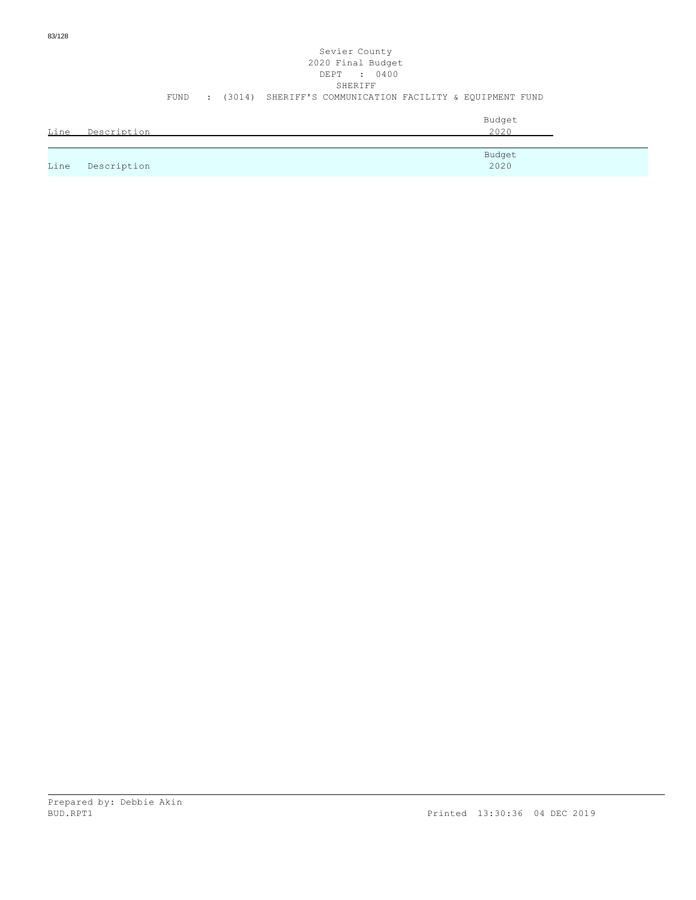|      |             |      |  | Sevier County<br>2020 Final Budget<br>DEPT : 0400<br>SHERIFF |  |
|------|-------------|------|--|--------------------------------------------------------------|--|
|      |             | FUND |  | : (3014) SHERIFF'S COMMUNICATION FACILITY & EOUIPMENT FUND   |  |
| Line | Description |      |  | Budget<br>2020                                               |  |
|      |             |      |  |                                                              |  |
|      |             |      |  | Budget                                                       |  |

2020

Line Description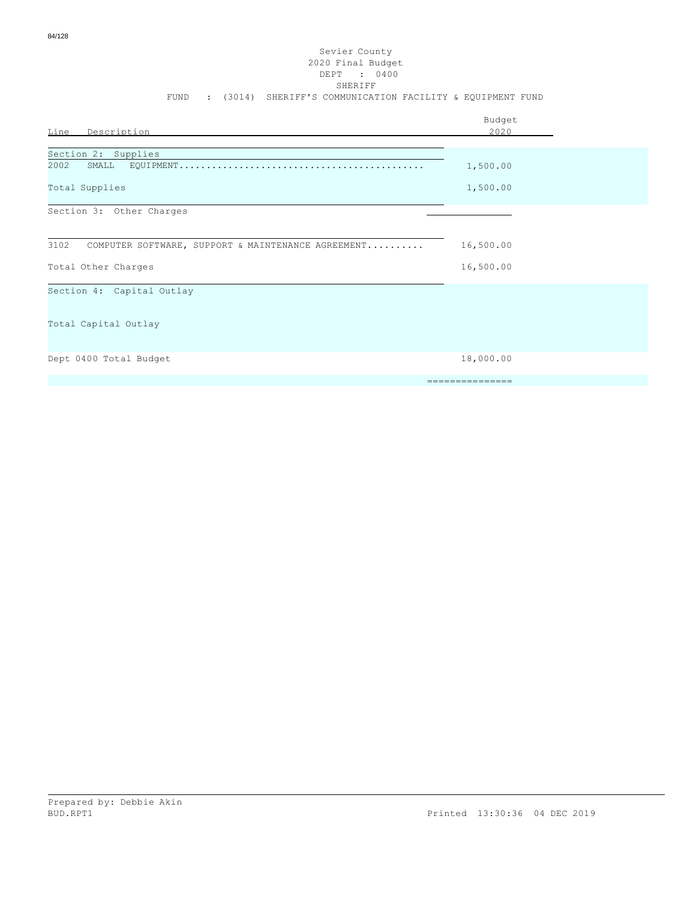#### Sevier County 2020 Final Budget DEPT : 0400 SHERIFF FUND : (3014) SHERIFF'S COMMUNICATION FACILITY & EQUIPMENT FUND

| Line Description                                           | Budget<br>2020  |
|------------------------------------------------------------|-----------------|
| Section 2: Supplies                                        |                 |
| 2002<br>SMALL                                              | 1,500.00        |
| Total Supplies                                             | 1,500.00        |
| Section 3: Other Charges                                   |                 |
|                                                            |                 |
| 3102<br>COMPUTER SOFTWARE, SUPPORT & MAINTENANCE AGREEMENT | 16,500.00       |
| Total Other Charges                                        | 16,500.00       |
| Section 4: Capital Outlay                                  |                 |
|                                                            |                 |
| Total Capital Outlay                                       |                 |
|                                                            |                 |
| Dept 0400 Total Budget                                     | 18,000.00       |
|                                                            | =============== |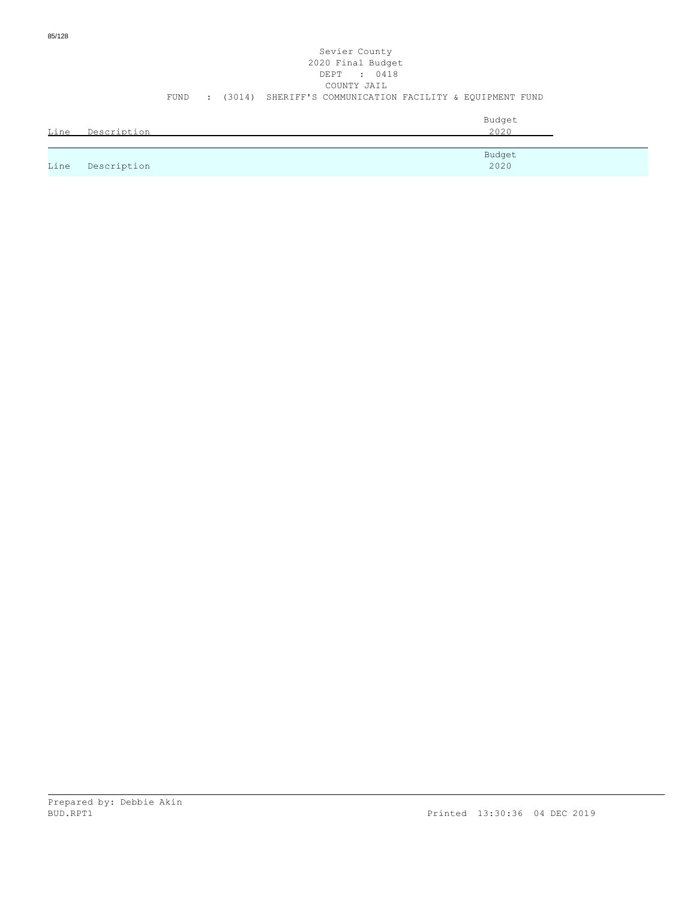|      |             | FUND | $\mathcal{L}$ | Sevier County<br>2020 Final Budget<br>DEPT : 0418<br>COUNTY JAIL<br>(3014) SHERIFF'S COMMUNICATION FACILITY & EOUIPMENT FUND |  |
|------|-------------|------|---------------|------------------------------------------------------------------------------------------------------------------------------|--|
| Line | Description |      |               | Budget<br>2020                                                                                                               |  |
|      |             |      |               |                                                                                                                              |  |
| Line | Description |      |               | Budget<br>2020                                                                                                               |  |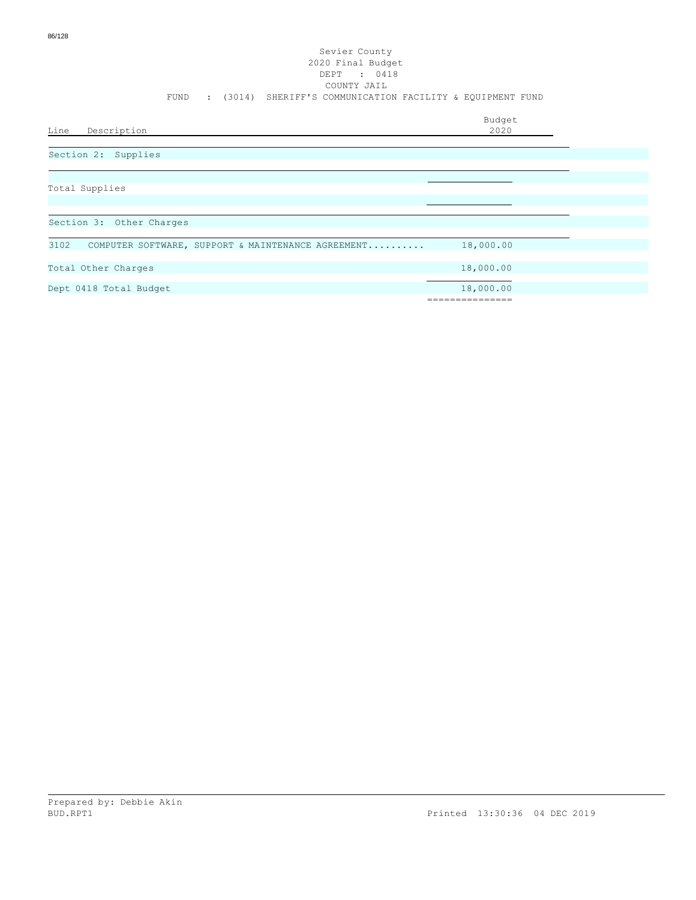| Line<br>Description                                        | Budget<br>2020             |
|------------------------------------------------------------|----------------------------|
| Section 2: Supplies                                        |                            |
| Total Supplies                                             |                            |
| Section 3: Other Charges                                   |                            |
| 3102<br>COMPUTER SOFTWARE, SUPPORT & MAINTENANCE AGREEMENT | 18,000.00                  |
| Total Other Charges                                        | 18,000.00                  |
| Dept 0418 Total Budget                                     | 18,000.00<br>------------- |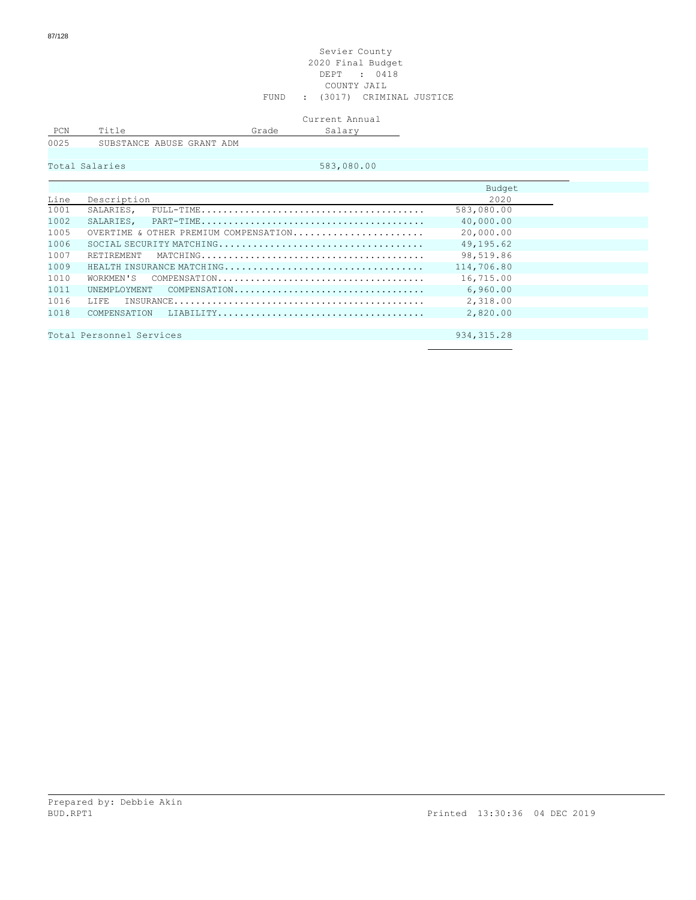#### Sevier County 2020 Final Budget DEPT : 0418 COUNTY JAIL FUND : (3017) CRIMINAL JUSTICE

Current Annual

PCN Title Grade Salary

0025 SUBSTANCE ABUSE GRANT ADM

Total Salaries 683,080.00

|      |                                       | Budget      |
|------|---------------------------------------|-------------|
| Line | Description                           | 2020        |
| 1001 | SALARIES.                             | 583,080.00  |
| 1002 |                                       | 40,000.00   |
| 1005 | OVERTIME & OTHER PREMIUM COMPENSATION | 20,000.00   |
| 1006 |                                       | 49,195.62   |
| 1007 | RETIREMENT                            | 98,519.86   |
| 1009 | HEALTH INSURANCE MATCHING             | 114,706.80  |
| 1010 | WORKMEN'S                             | 16,715.00   |
| 1011 | UNEMPLOYMENT COMPENSATION             | 6,960.00    |
| 1016 | TJ FE.                                | 2,318.00    |
| 1018 |                                       | 2,820,00    |
|      |                                       |             |
|      | Total Personnel Services              | 934, 315.28 |
|      |                                       |             |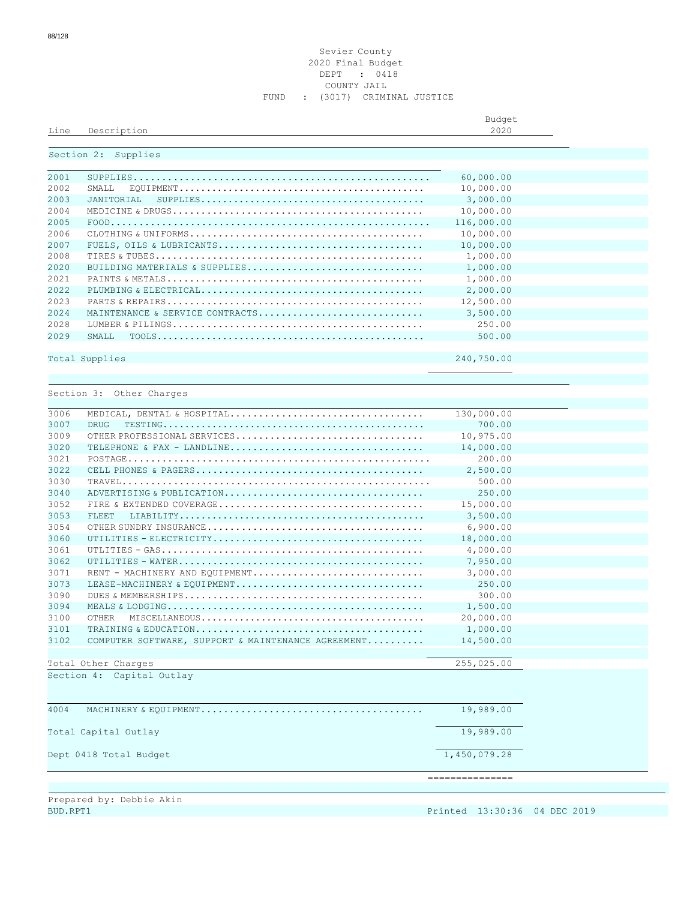#### Sevier County Final Budget DEPT : 0418 COUNTY JAIL FUND : (3017) CRIMINAL JUSTICE

|      |             | Budget |
|------|-------------|--------|
| Line | Description | 2020   |
|      |             |        |

## Section 2: Supplies

| 2001  |                                                                                                                       | 60,000.00  |  |
|-------|-----------------------------------------------------------------------------------------------------------------------|------------|--|
| 2002  | SMALL                                                                                                                 | 10,000.00  |  |
| 2003  | JANTTORTAL<br>$\texttt{SUPPLIES} \dots \dots \dots \dots \dots \dots \dots \dots \dots \dots \dots \dots \dots \dots$ | 3,000.00   |  |
| 2004  |                                                                                                                       | 10,000.00  |  |
| 2005  |                                                                                                                       | 116,000.00 |  |
| 2006  |                                                                                                                       | 10,000.00  |  |
| 2007  |                                                                                                                       | 10,000.00  |  |
| 2008  |                                                                                                                       | 1,000.00   |  |
| 2020  | BUILDING MATERIALS & SUPPLIES                                                                                         | 1,000.00   |  |
| 2021  |                                                                                                                       | 1,000.00   |  |
| 2022  |                                                                                                                       | 2,000.00   |  |
| 2023  |                                                                                                                       | 12,500.00  |  |
| 2.024 | MAINTENANCE & SERVICE CONTRACTS                                                                                       | 3,500.00   |  |
| 2028  |                                                                                                                       | 250.00     |  |
| 2029  | SMALL.                                                                                                                | 500.00     |  |
|       |                                                                                                                       |            |  |
|       | Total Supplies                                                                                                        | 240,750.00 |  |

Section 3: Other Charges

| 3006<br>MEDICAL, DENTAL & HOSPITAL                         | 130,000.00      |
|------------------------------------------------------------|-----------------|
| 3007<br><b>DRUG</b>                                        | 700.00          |
| 3009<br>OTHER PROFESSIONAL SERVICES                        | 10,975.00       |
| 3020                                                       | 14,000.00       |
| 3021                                                       | 200.00          |
| 3022                                                       | 2,500.00        |
| 3030                                                       | 500.00          |
| 3040<br>ADVERTISING & PUBLICATION                          | 250.00          |
| 3052                                                       | 15,000.00       |
| 3053<br>FLEET.                                             | 3,500.00        |
| 3054                                                       | 6.900.00        |
| 3060                                                       | 18,000.00       |
| 3061                                                       | 4,000.00        |
| 3062                                                       | 7,950.00        |
| 3071<br>RENT - MACHINERY AND EQUIPMENT                     | 3,000.00        |
| 3073<br>LEASE-MACHINERY & EOUIPMENT                        | 250.00          |
| 3090                                                       | 300.00          |
| 3094                                                       | 1,500.00        |
| 3100<br><b>OTHER</b>                                       | 20,000.00       |
| 3101                                                       | 1,000.00        |
| 3102<br>COMPUTER SOFTWARE, SUPPORT & MAINTENANCE AGREEMENT | 14,500.00       |
|                                                            |                 |
| Total Other Charges                                        | 255,025.00      |
| Section 4: Capital Outlay                                  |                 |
|                                                            |                 |
|                                                            |                 |
| 4004                                                       | 19,989.00       |
|                                                            |                 |
| Total Capital Outlay                                       | 19,989.00       |
|                                                            |                 |
| Dept 0418 Total Budget                                     | 1,450,079.28    |
|                                                            |                 |
|                                                            | =============== |
|                                                            |                 |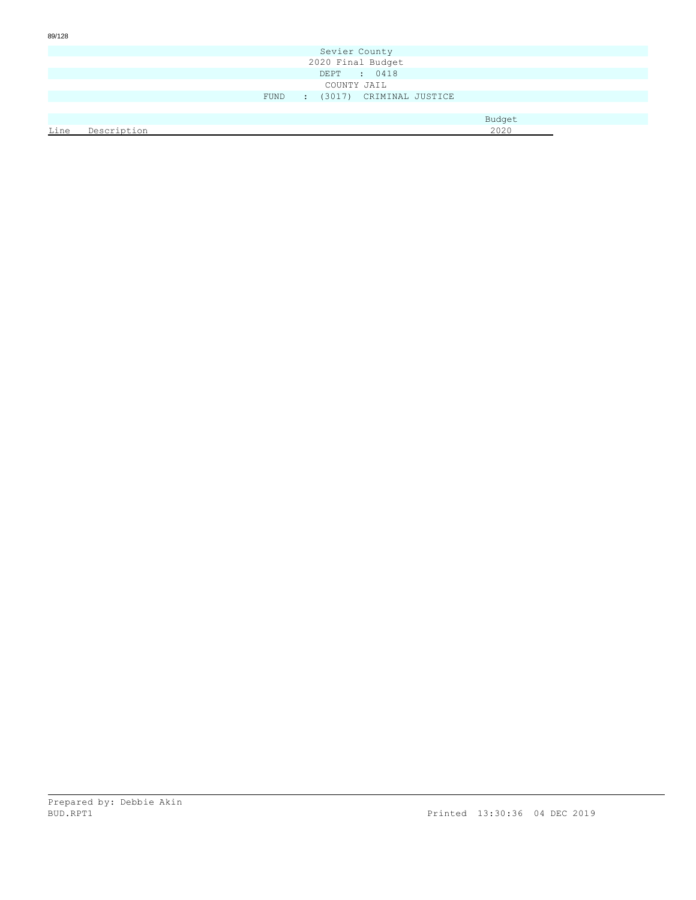| 89/128 |             |        |               |                         |        |  |
|--------|-------------|--------|---------------|-------------------------|--------|--|
|        |             |        | Sevier County |                         |        |  |
|        |             |        |               | 2020 Final Budget       |        |  |
|        |             |        |               | DEPT : 0418             |        |  |
|        |             |        | COUNTY JAIL   |                         |        |  |
|        |             | FUND : |               | (3017) CRIMINAL JUSTICE |        |  |
|        |             |        |               |                         |        |  |
|        |             |        |               |                         | Budget |  |
| Line   | Description |        |               |                         | 2020   |  |
|        |             |        |               |                         |        |  |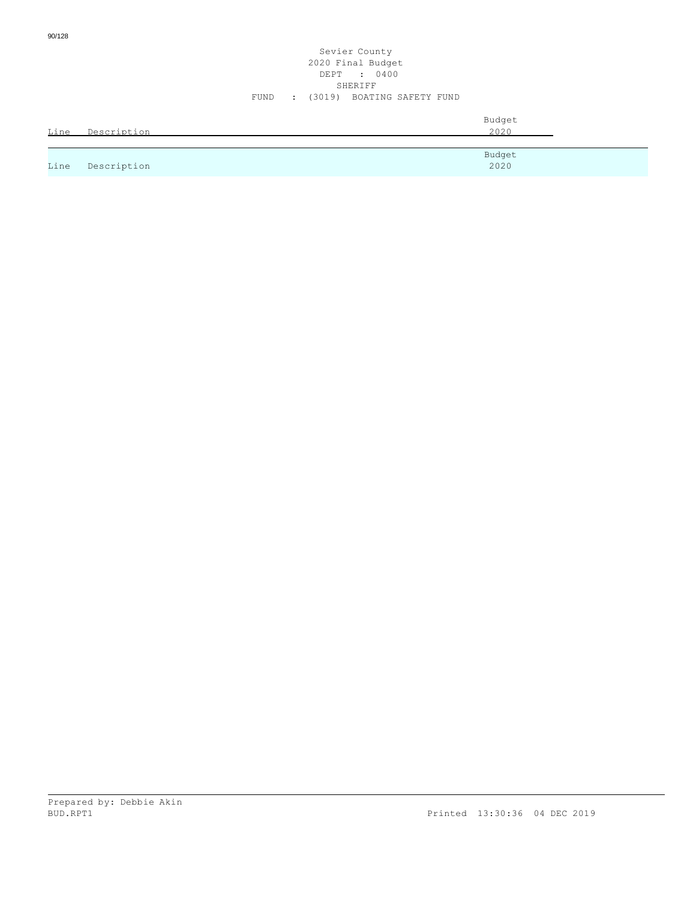| Line | Description | Budget<br>2020 |
|------|-------------|----------------|
|      |             | Budget         |
| Line | Description | 2020           |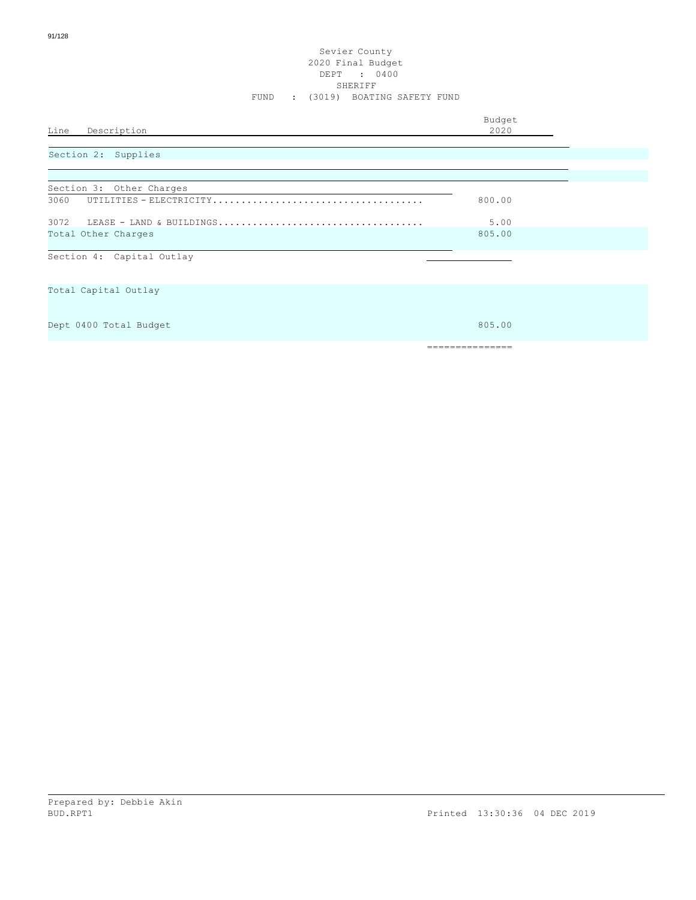#### Sevier County 2020 Final Budget DEPT : 0400 SHERIFF FUND : (3019) BOATING SAFETY FUND

|      |             | Budget |
|------|-------------|--------|
| Line | Description | 2020   |
|      |             |        |

# Section 2: Supplies

| Section 3: Other Charges  |        |
|---------------------------|--------|
| 3060                      | 800.00 |
| 3072                      | 5.00   |
| Total Other Charges       | 805.00 |
| Section 4: Capital Outlay |        |
|                           |        |

Total Capital Outlay

Dept 0400 Total Budget 805.00 and 1990 and 1990 and 1990 and 1990 and 1990 and 1990 and 1990 and 1990 and 1990 and 1990 and 1990 and 1990 and 1990 and 1990 and 1990 and 1990 and 1990 and 1990 and 1990 and 1990 and 1990 and

===============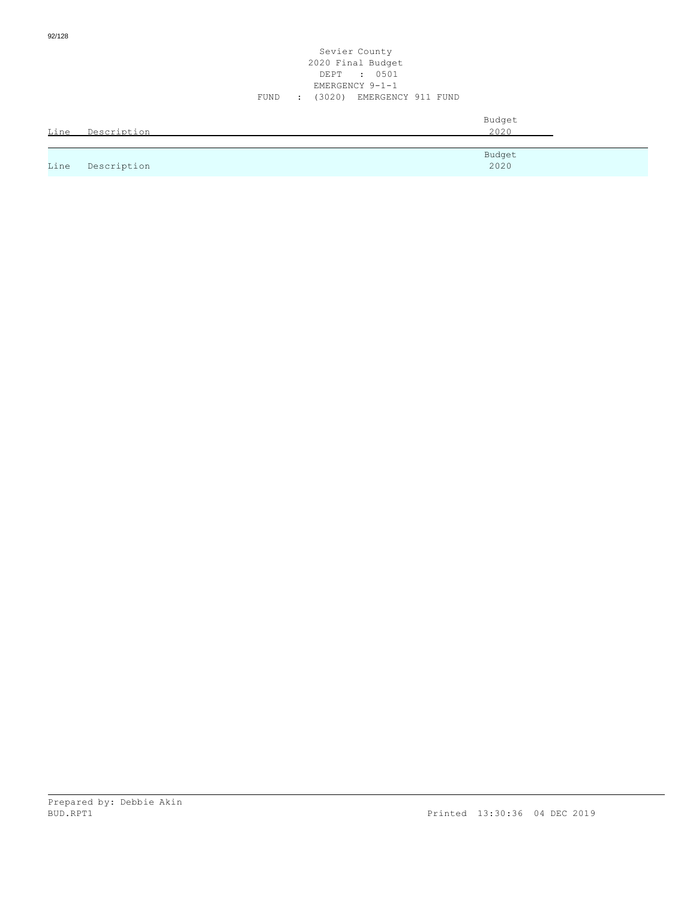|      |                  | Sevier County<br>2020 Final Budget<br>DEPT : 0501<br>EMERGENCY 9-1-1<br>(3020) EMERGENCY 911 FUND<br>FUND<br>$\sim 100$ |  |
|------|------------------|-------------------------------------------------------------------------------------------------------------------------|--|
|      | Line Description | Budget<br>2020                                                                                                          |  |
| Line | Description      | Budget<br>2020                                                                                                          |  |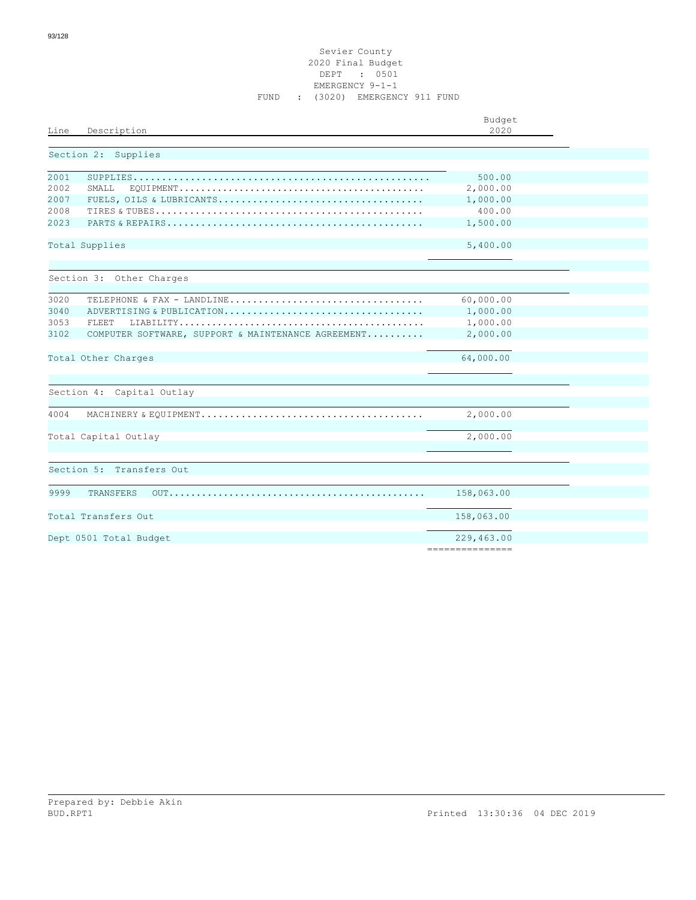#### Sevier County 2020 Final Budget DEPT : 0501 EMERGENCY 9-1-1 FUND : (3020) EMERGENCY 911 FUND

| Line<br>Description                                        | Budget<br>2020  |
|------------------------------------------------------------|-----------------|
| Section 2: Supplies                                        |                 |
| 2001                                                       | 500.00          |
| 2002<br>SMALL                                              | 2,000.00        |
| 2007                                                       | 1,000.00        |
| 2008                                                       | 400.00          |
| 2023                                                       | 1,500.00        |
| Total Supplies                                             | 5,400.00        |
|                                                            |                 |
| Section 3: Other Charges                                   |                 |
| 3020<br>TELEPHONE & FAX - LANDLINE                         | 60,000.00       |
| 3040<br>ADVERTISING & PUBLICATION                          | 1,000.00        |
| 3053<br>FLEET                                              | 1,000.00        |
| 3102<br>COMPUTER SOFTWARE, SUPPORT & MAINTENANCE AGREEMENT | 2,000.00        |
| Total Other Charges                                        | 64,000.00       |
| Section 4: Capital Outlay                                  |                 |
| 4004                                                       | 2,000.00        |
| Total Capital Outlay                                       | 2,000.00        |
| Section 5: Transfers Out                                   |                 |
|                                                            |                 |
| 9999<br>TRANSFERS                                          |                 |
| Total Transfers Out                                        | 158,063.00      |
| Dept 0501 Total Budget                                     | 229,463.00      |
|                                                            | --------------- |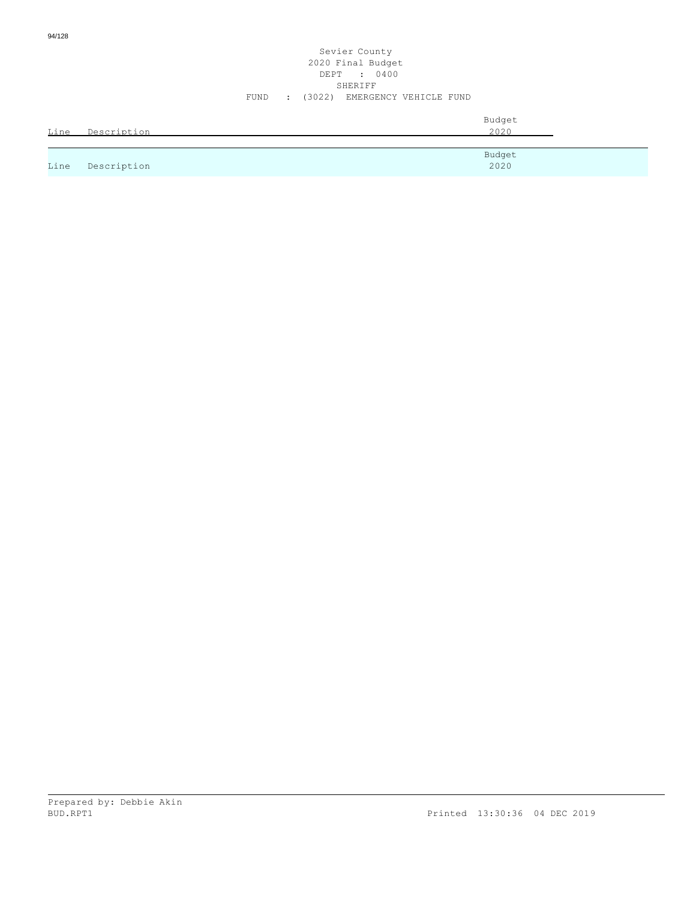| Line | Description | Budget<br>2020 |
|------|-------------|----------------|
|      |             | Budget         |
| Line | Description | 2020           |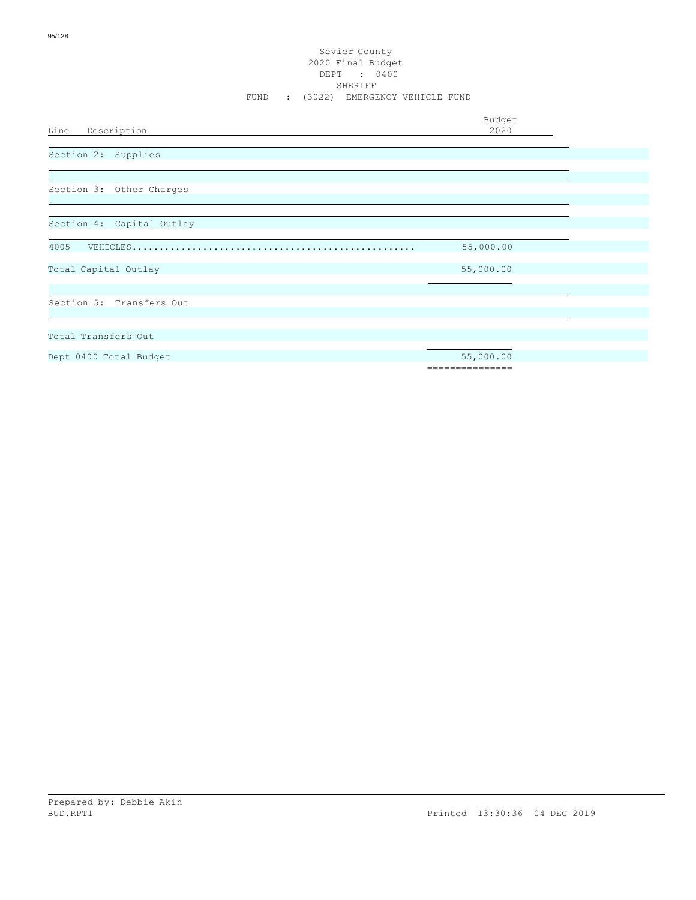#### Sevier County 2020 Final Budget DEPT : 0400 SHERIFF FUND : (3022) EMERGENCY VEHICLE FUND

Budget

Line Description Dept 0400 Total Budget 55,000.00 =============== Total Transfers Out Section 5: Transfers Out Total Capital Outlay 55,000.00 4005 VEHICLES.................................................... 55,000.00 Section 4: Capital Outlay Section 3: Other Charges Section 2: Supplies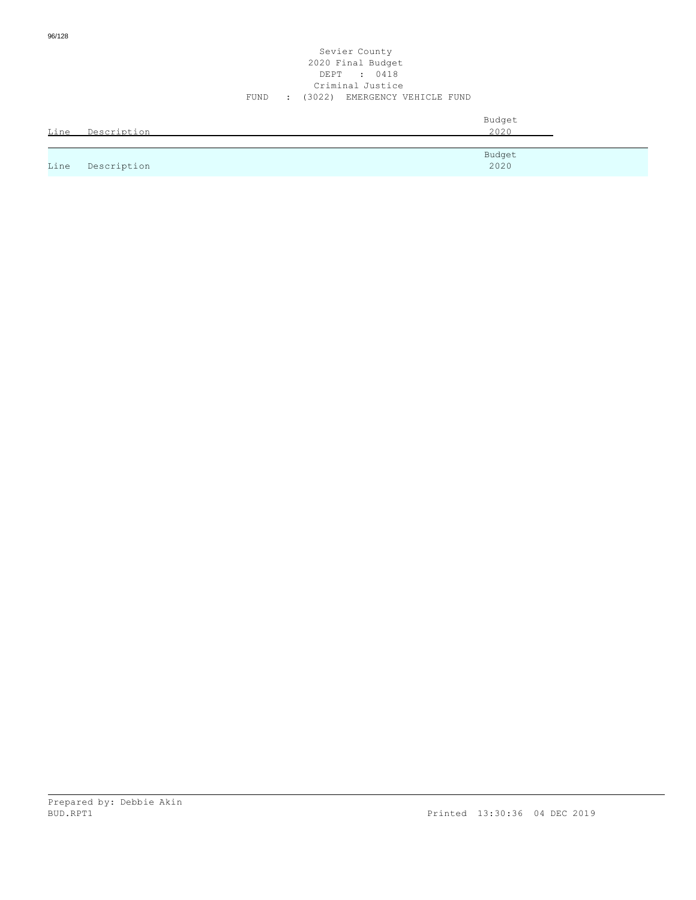| Line | Description | Budget<br>2020 |
|------|-------------|----------------|
|      |             | Budget         |
| Line | Description | 2020           |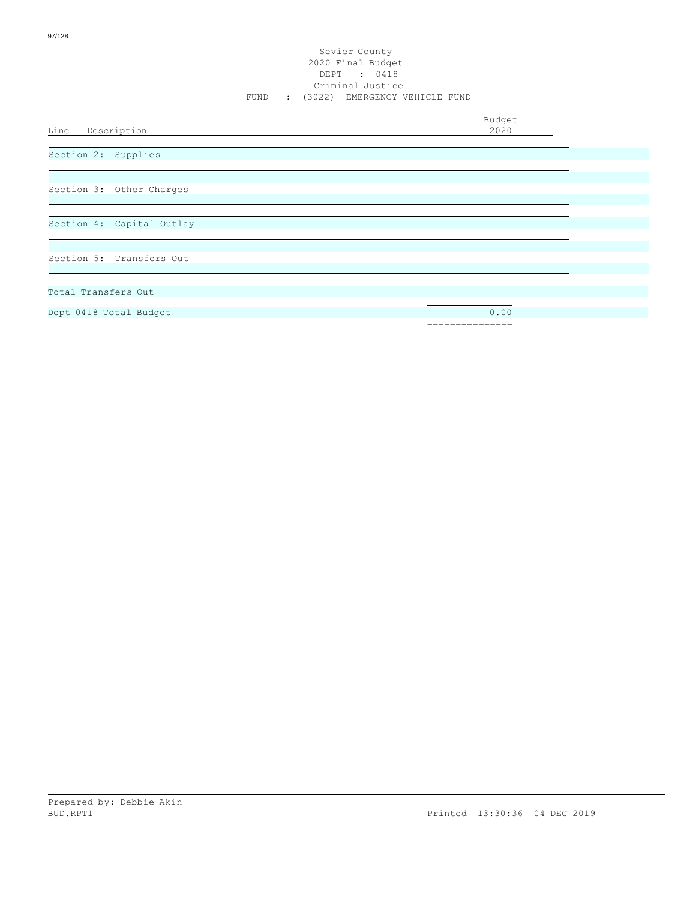Budget<br>2020

Line Description

Section 2: Supplies

Section 3: Other Charges

Section 4: Capital Outlay

Section 5: Transfers Out

Total Transfers Out

Dept 0418 Total Budget 0.00

===============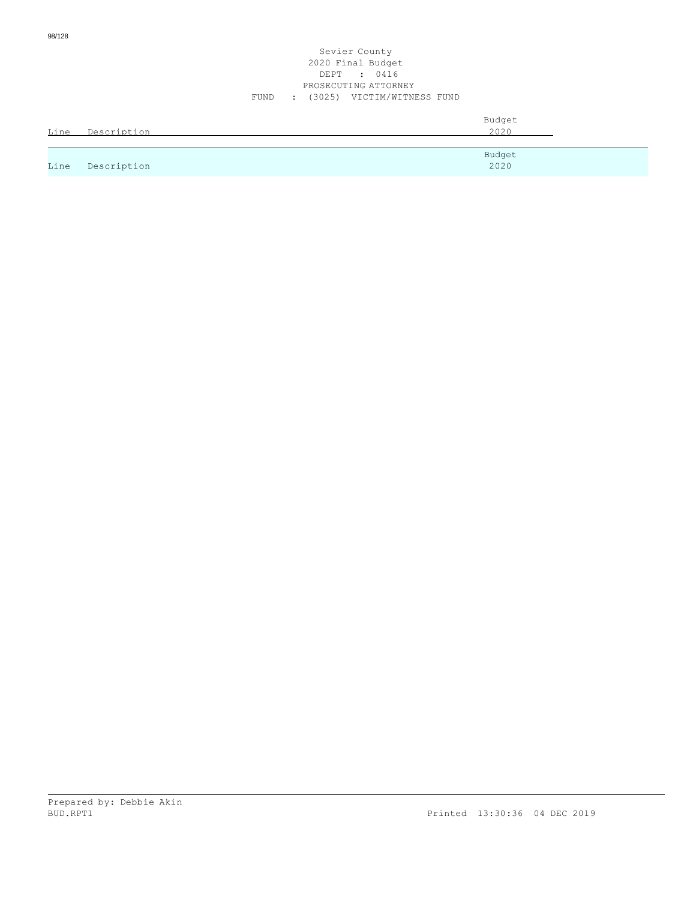#### Sevier County 2020 Final Budget DEPT : 0416 PROSECUTING ATTORNEY FUND : (3025) VICTIM/WITNESS FUND

| Line | Description | Budget<br>2020 |
|------|-------------|----------------|
|      |             |                |
| Line | Description | Budget<br>2020 |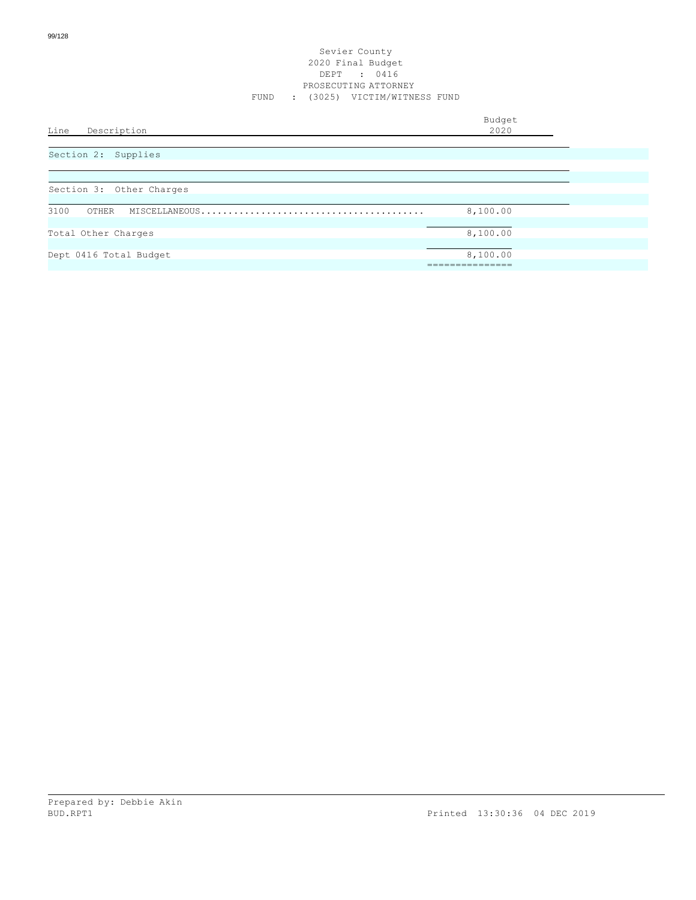| Line<br>Description      | Budget<br>2020 |
|--------------------------|----------------|
| Section 2: Supplies      |                |
| Section 3: Other Charges |                |
| 3100<br>OTHER            | 8,100.00       |
| Total Other Charges      | 8,100.00       |
| Dept 0416 Total Budget   | 8,100.00       |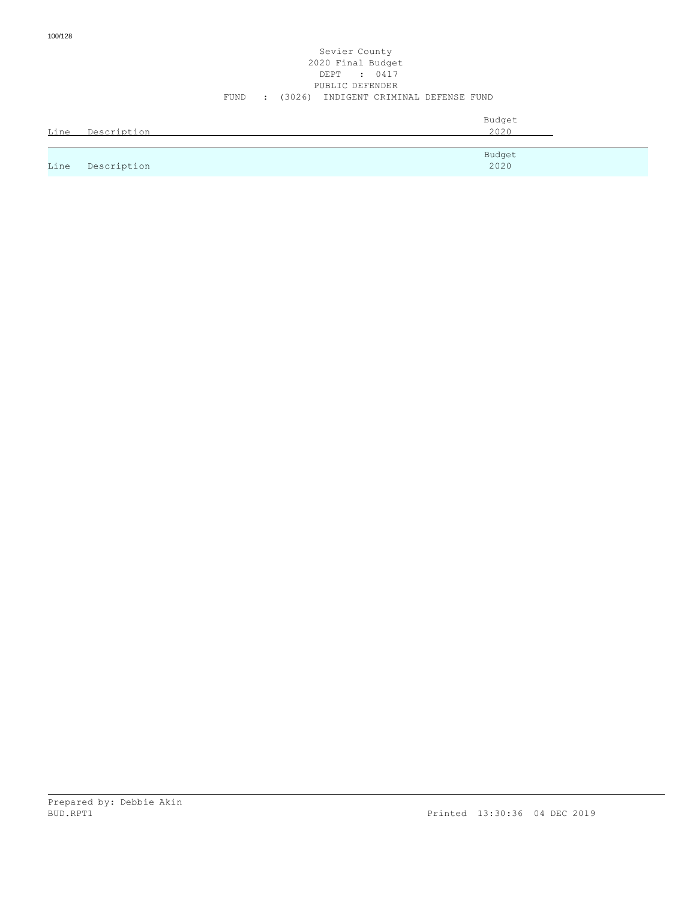#### Sevier County 2020 Final Budget DEPT : 0417 PUBLIC DEFENDER FUND : (3026) INDIGENT CRIMINAL DEFENSE FUND

| Line | Description | Budget<br>2020 |
|------|-------------|----------------|
|      |             | Budget         |
| Line | Description | 2020           |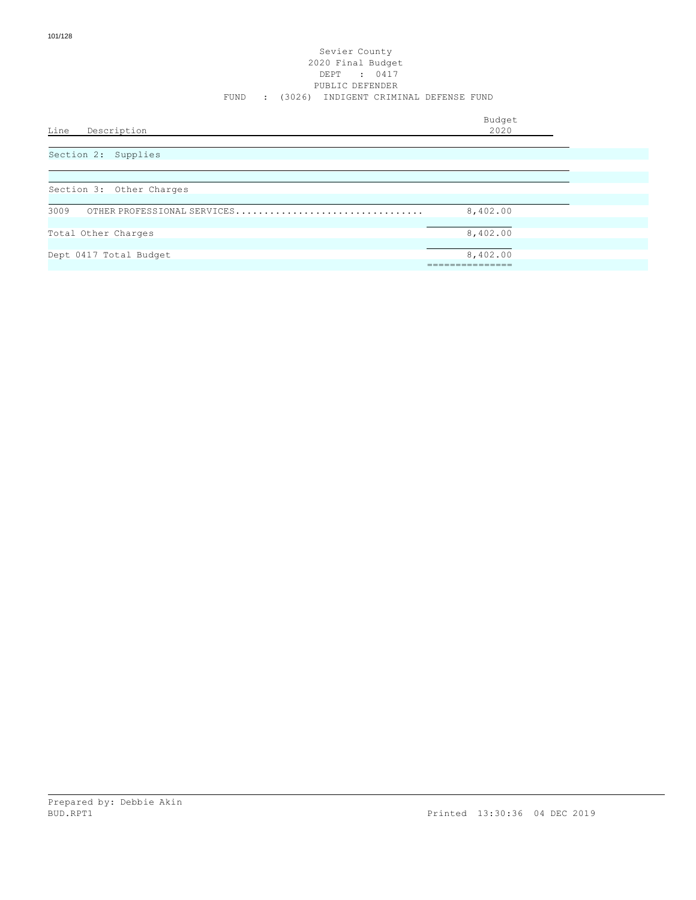#### Sevier County 2020 Final Budget DEPT : 0417 PUBLIC DEFENDER FUND : (3026) INDIGENT CRIMINAL DEFENSE FUND

| Line<br>Description                 | Budget<br>2020 |
|-------------------------------------|----------------|
| Section 2: Supplies                 |                |
| Section 3: Other Charges            |                |
| 3009<br>OTHER PROFESSIONAL SERVICES | 8,402.00       |
| Total Other Charges                 | 8,402.00       |
| Dept 0417 Total Budget              | 8,402.00       |
|                                     |                |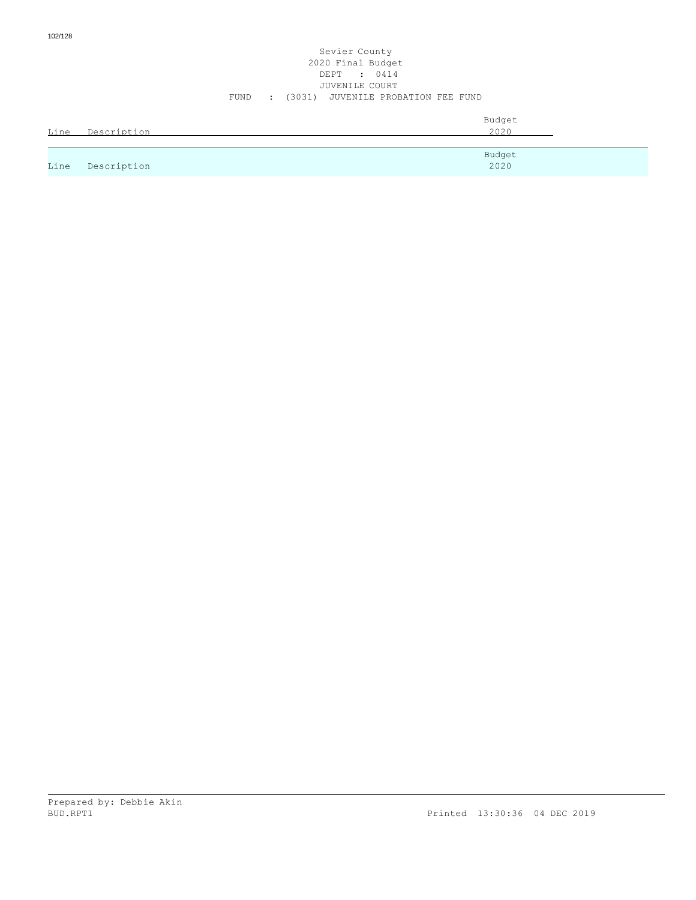#### Sevier County 2020 Final Budget DEPT : 0414 JUVENILE COURT FUND : (3031) JUVENILE PROBATION FEE FUND

| Line | Description | Budget<br>2020 |
|------|-------------|----------------|
|      |             | Budget         |
| Line | Description | 2020           |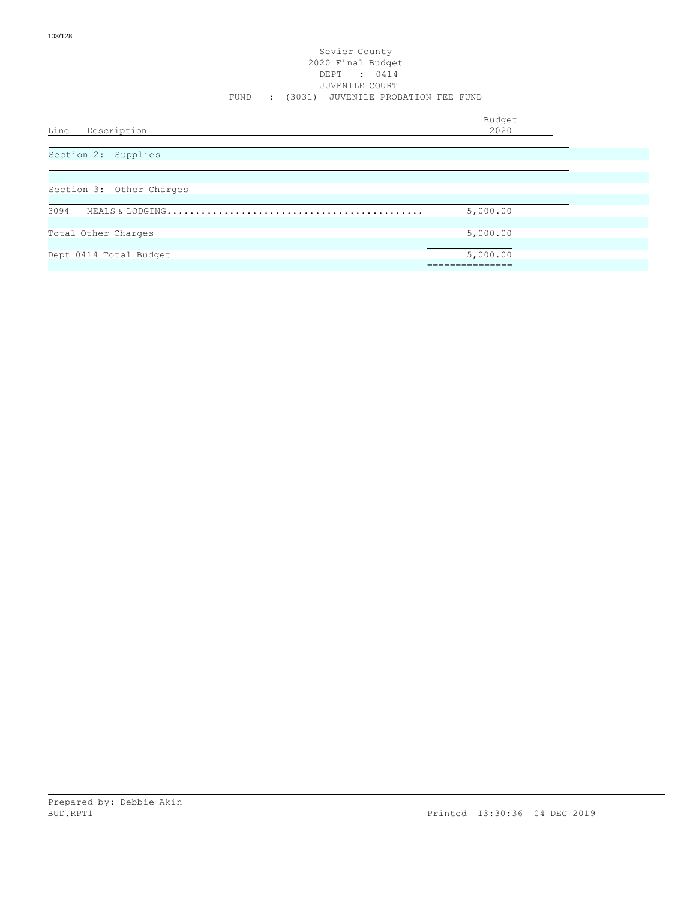#### Sevier County 2020 Final Budget DEPT : 0414 JUVENILE COURT FUND : (3031) JUVENILE PROBATION FEE FUND

| Line<br>Description      | Budget<br>2020 |  |
|--------------------------|----------------|--|
|                          |                |  |
| Section 2: Supplies      |                |  |
| Section 3: Other Charges |                |  |
|                          |                |  |
| 3094                     | 5,000.00       |  |

| Total Other Charges    | 5,000.00 |  |
|------------------------|----------|--|
|                        |          |  |
| Dept 0414 Total Budget | 5,000.00 |  |
|                        |          |  |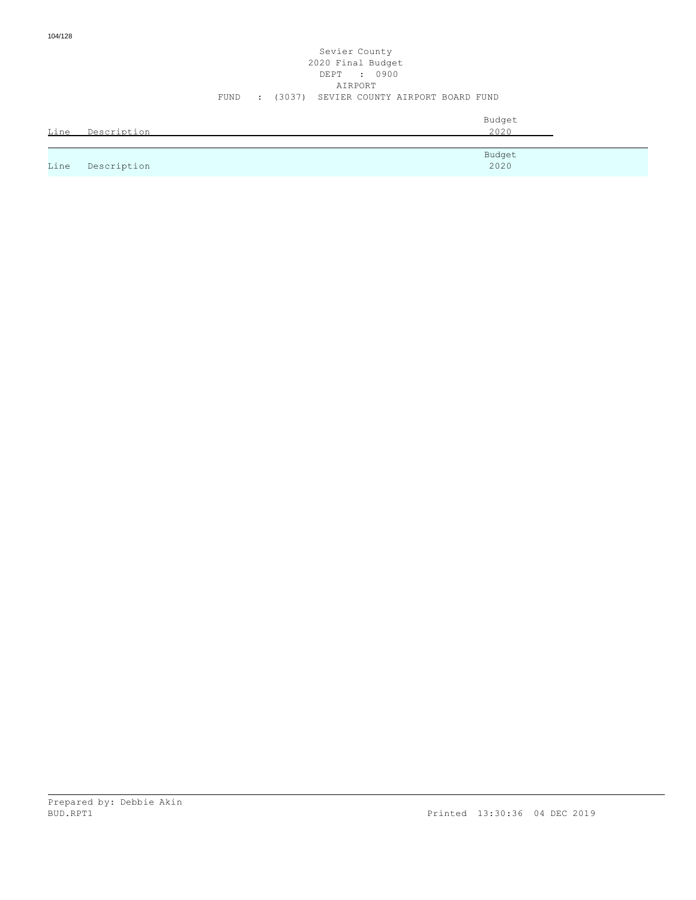## Sevier County 2020 Final Budget DEPT : 0900 AIRPORT FUND : (3037) SEVIER COUNTY AIRPORT BOARD FUND

|      |             | Budget |  |
|------|-------------|--------|--|
| Line | Description | 2020   |  |
|      |             |        |  |
|      |             | Budget |  |
| Line | Description | 2020   |  |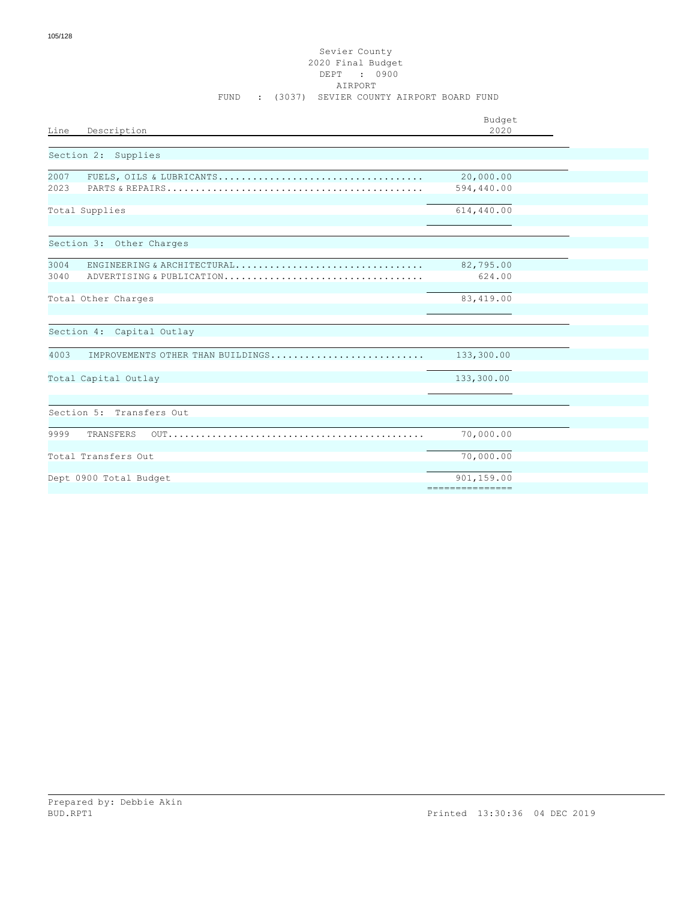### Sevier County 2020 Final Budget DEPT : 0900 AIRPORT FUND : (3037) SEVIER COUNTY AIRPORT BOARD FUND

| Description<br>Line                       | Budget<br>2020  |  |
|-------------------------------------------|-----------------|--|
|                                           |                 |  |
| Section 2: Supplies                       |                 |  |
| 2007                                      | 20,000.00       |  |
| 2023                                      | 594,440.00      |  |
| Total Supplies                            | 614,440.00      |  |
| Section 3: Other Charges                  |                 |  |
| 3004<br>ENGINEERING & ARCHITECTURAL       | 82,795.00       |  |
| 3040<br>ADVERTISING & PUBLICATION         | 624.00          |  |
| Total Other Charges                       | 83,419.00       |  |
|                                           |                 |  |
| Section 4: Capital Outlay                 |                 |  |
|                                           |                 |  |
| 4003<br>IMPROVEMENTS OTHER THAN BUILDINGS | 133,300.00      |  |
| Total Capital Outlay                      | 133,300.00      |  |
|                                           |                 |  |
| Section 5: Transfers Out                  |                 |  |
| 9999<br>TRANSFERS                         | 70,000.00       |  |
|                                           |                 |  |
| Total Transfers Out                       | 70,000.00       |  |
| Dept 0900 Total Budget                    | 901,159.00      |  |
|                                           | =============== |  |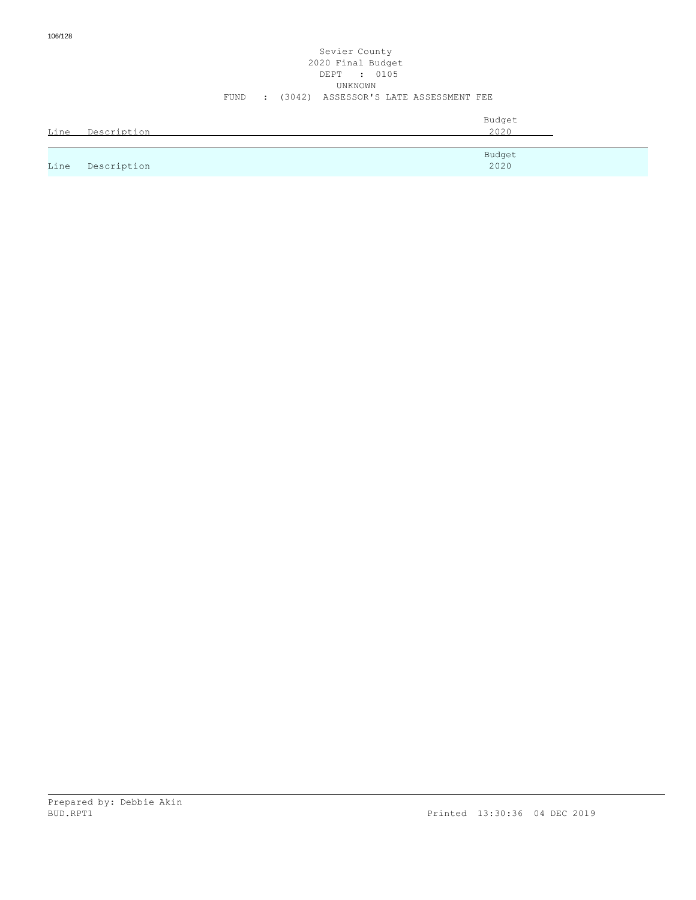## Sevier County 2020 Final Budget DEPT : 0105 UNKNOWN FUND : (3042) ASSESSOR'S LATE ASSESSMENT FEE

|      |             | Budget |
|------|-------------|--------|
| Line | Description | 2020   |
|      |             |        |
|      |             | Budget |
| Line | Description | 2020   |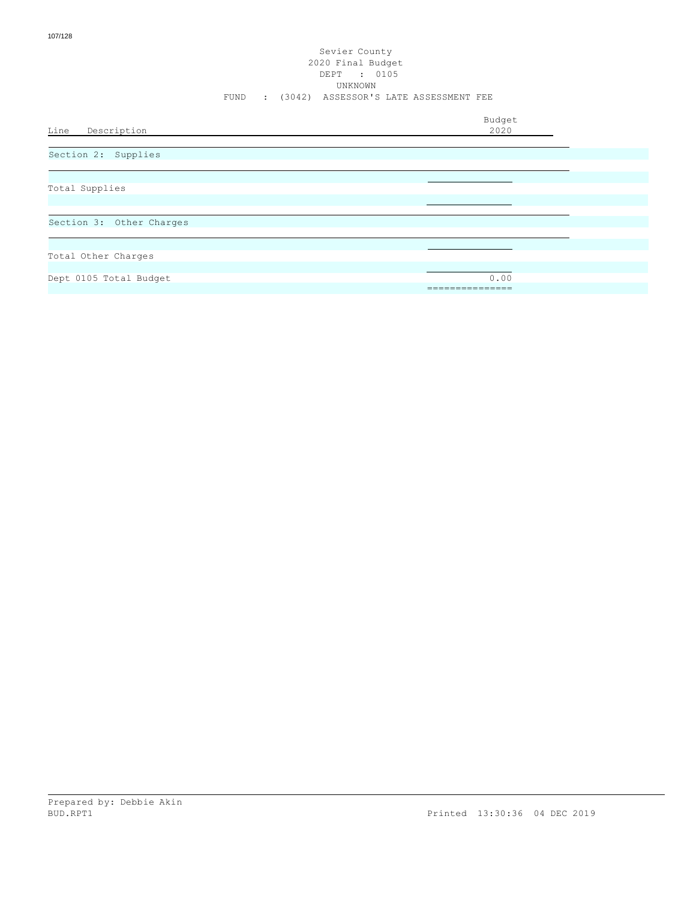#### Sevier County 2020 Final Budget DEPT : 0105 UNKNOWN FUND : (3042) ASSESSOR'S LATE ASSESSMENT FEE

Budget<br>2020 Line Description Total Supplies Total Other Charges Dept 0105 Total Budget 0.00 =============== Section 3: Other Charges Section 2: Supplies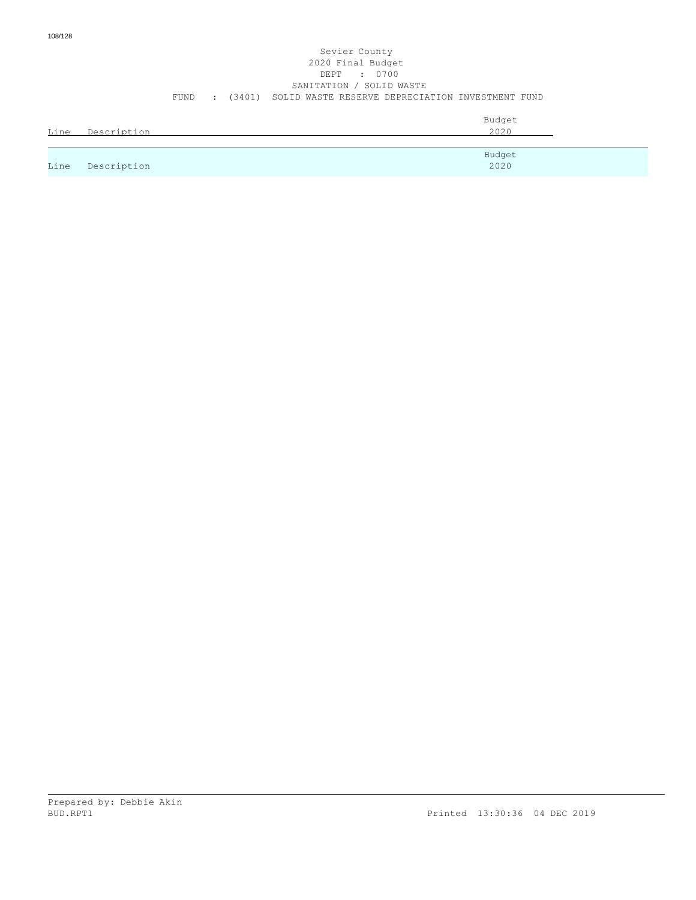#### Sevier County 2020 Final Budget DEPT : 0700 SANITATION / SOLID WASTE FUND : (3401) SOLID WASTE RESERVE DEPRECIATION INVESTMENT FUND

| Line | Description | Budget<br>2020 |
|------|-------------|----------------|
|      |             | Budget         |
| Line | Description | 2020           |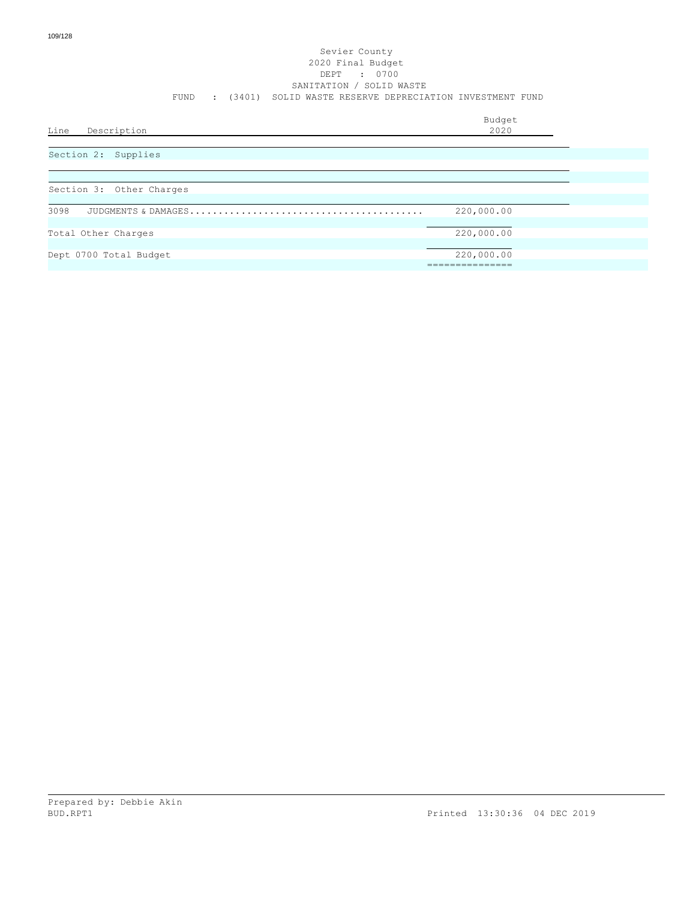#### Sevier County 2020 Final Budget DEPT : 0700 SANITATION / SOLID WASTE FUND : (3401) SOLID WASTE RESERVE DEPRECIATION INVESTMENT FUND

| Line<br>Description      | Budget<br>2020          |
|--------------------------|-------------------------|
| Section 2: Supplies      |                         |
| Section 3: Other Charges |                         |
| 3098                     | 220,000.00              |
| Total Other Charges      | 220,000.00              |
| Dept 0700 Total Budget   | 220,000.00<br>========= |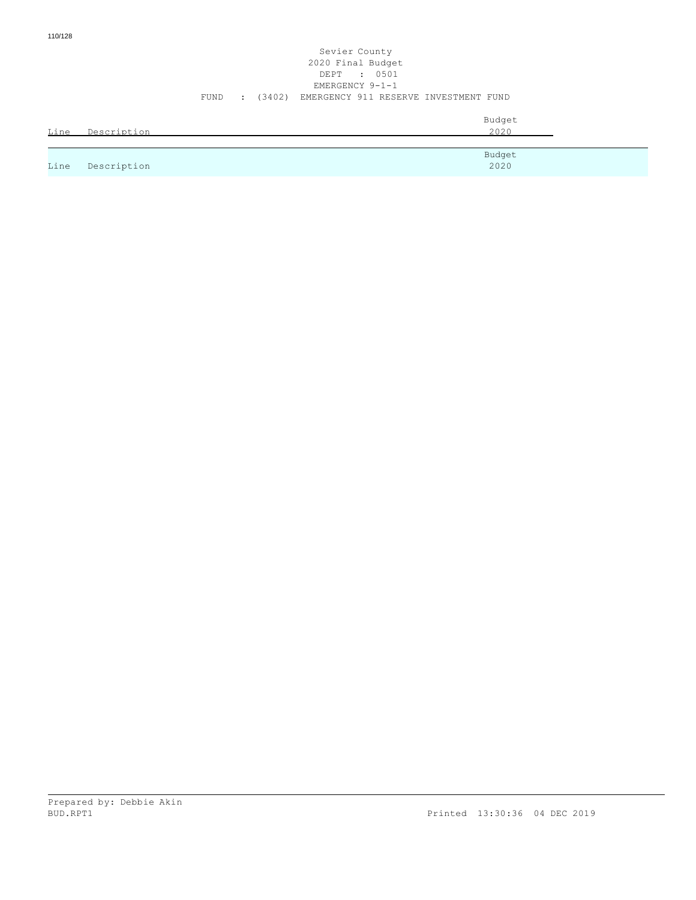#### Sevier County 2020 Final Budget DEPT : 0501 EMERGENCY 9-1-1 FUND : (3402) EMERGENCY 911 RESERVE INVESTMENT FUND

| Line | Description | Budget<br>2020 |
|------|-------------|----------------|
|      |             | Budget         |
| Line | Description | 2020           |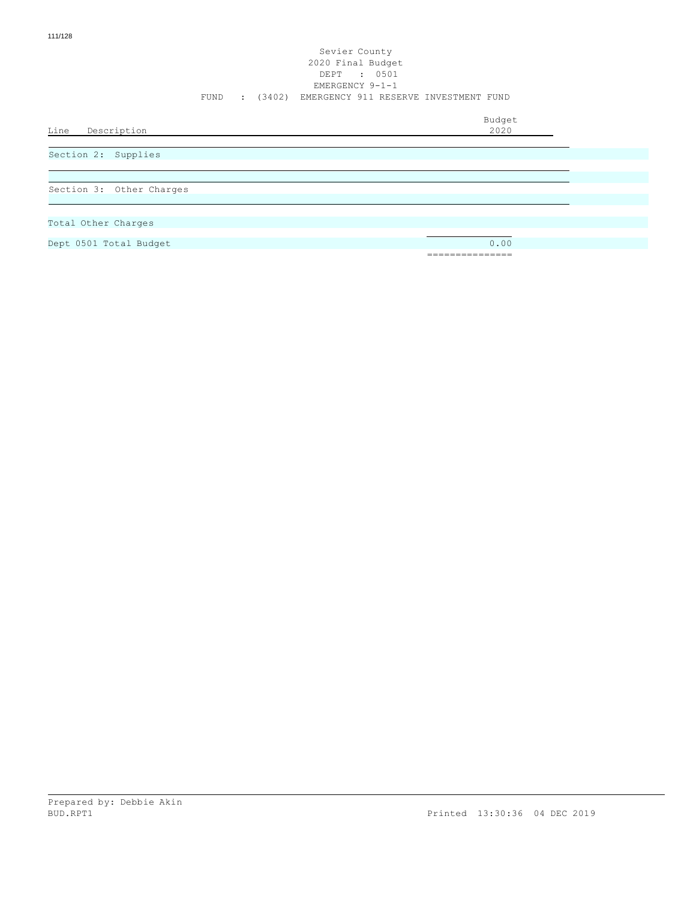#### Sevier County 2020 Final Budget DEPT : 0501 EMERGENCY 9-1-1 FUND : (3402) EMERGENCY 911 RESERVE INVESTMENT FUND

Budget

Line Description

Section 2: Supplies

Section 3: Other Charges

Total Other Charges

Dept 0501 Total Budget 0.00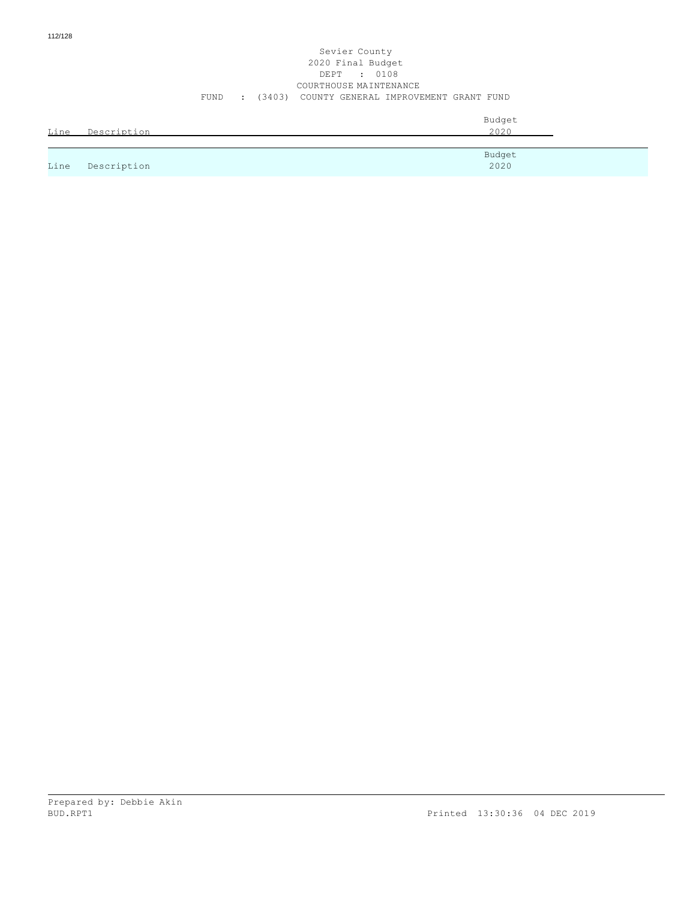#### Sevier County 2020 Final Budget DEPT : 0108 COURTHOUSE MAINTENANCE FUND : (3403) COUNTY GENERAL IMPROVEMENT GRANT FUND

| Line | Description | Budget<br>2020 |
|------|-------------|----------------|
|      |             | Budget         |
| Line | Description | 2020           |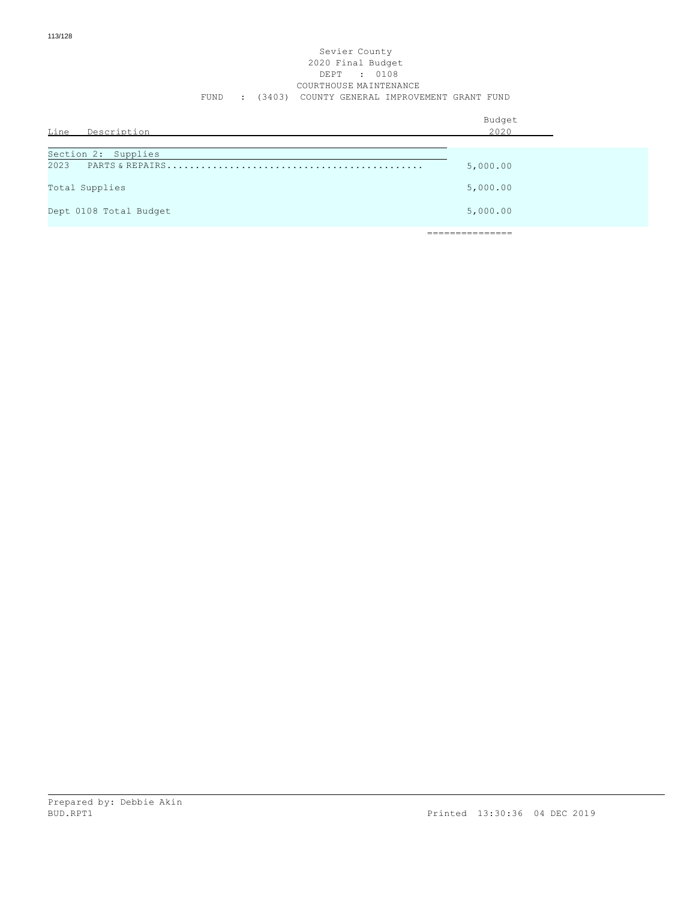## Sevier County 2020 Final Budget DEPT : 0108 COURTHOUSE MAINTENANCE FUND : (3403) COUNTY GENERAL IMPROVEMENT GRANT FUND

| Line Description            | Budget<br>2020 |  |
|-----------------------------|----------------|--|
| Section 2: Supplies<br>2023 | 5,000.00       |  |
| Total Supplies              | 5,000.00       |  |
| Dept 0108 Total Budget      | 5,000.00       |  |
|                             |                |  |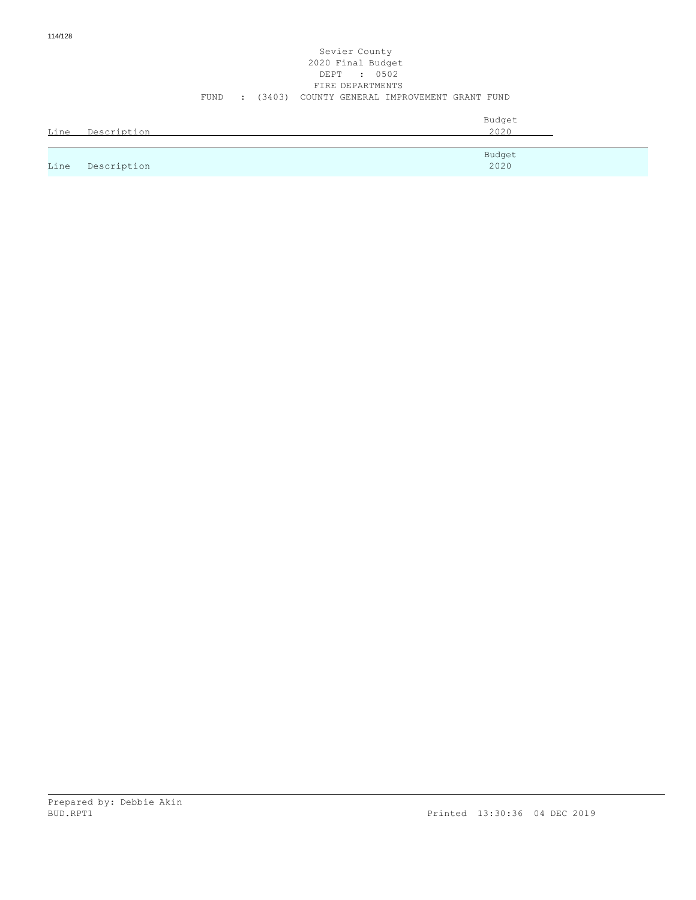## Sevier County 2020 Final Budget DEPT : 0502 FIRE DEPARTMENTS FUND : (3403) COUNTY GENERAL IMPROVEMENT GRANT FUND

| Line | Description | Budget<br>2020 |
|------|-------------|----------------|
|      |             | Budget         |
| Line | Description | 2020           |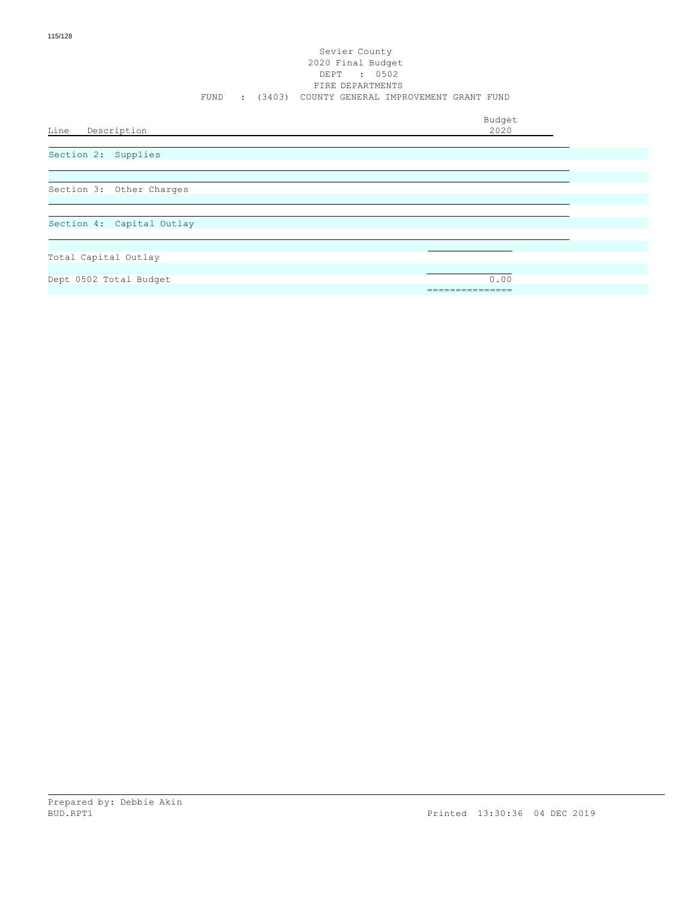#### Sevier County 2020 Final Budget DEPT : 0502 FIRE DEPARTMENTS FUND : (3403) COUNTY GENERAL IMPROVEMENT GRANT FUND

Budget

Line Description

Section 2: Supplies

Section 3: Other Charges

Section 4: Capital Outlay

Total Capital Outlay

Dept 0502 Total Budget 0.00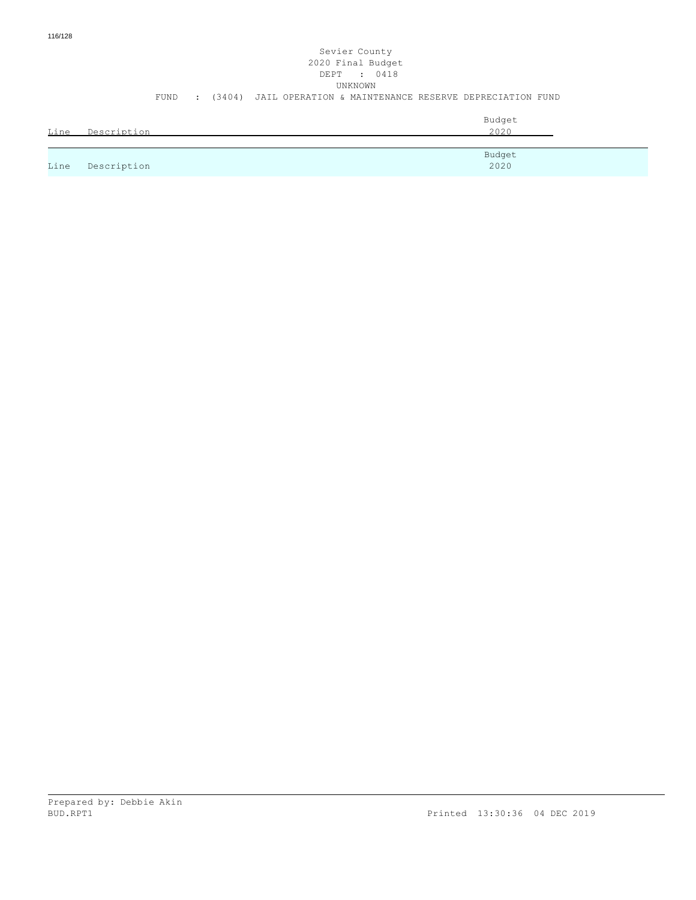# Sevier County 2020 Final Budget DEPT : 0418 UNKNOWN FUND : (3404) JAIL OPERATION & MAINTENANCE RESERVE DEPRECIATION FUND

| Line | Description | Budget<br>2020 |
|------|-------------|----------------|
|      |             |                |
| Line | Description | Budget<br>2020 |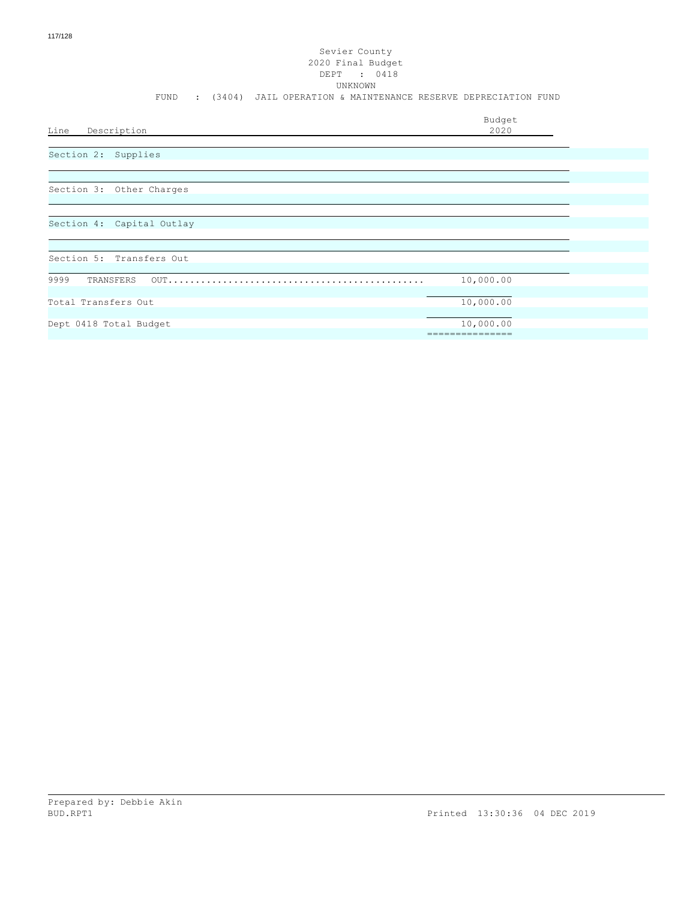# Sevier County 2020 Final Budget DEPT : 0418 UNKNOWN FUND : (3404) JAIL OPERATION & MAINTENANCE RESERVE DEPRECIATION FUND Budget<br>2020 Line Description Section 3: Other Charges Section 2: Supplies

# Section 4: Capital Outlay

| Section 5: Transfers Out |           |  |
|--------------------------|-----------|--|
|                          |           |  |
| 9999                     | 10,000.00 |  |
|                          |           |  |
| Total Transfers Out      | 10,000.00 |  |
|                          |           |  |
| Dept 0418 Total Budget   | 10,000.00 |  |
|                          |           |  |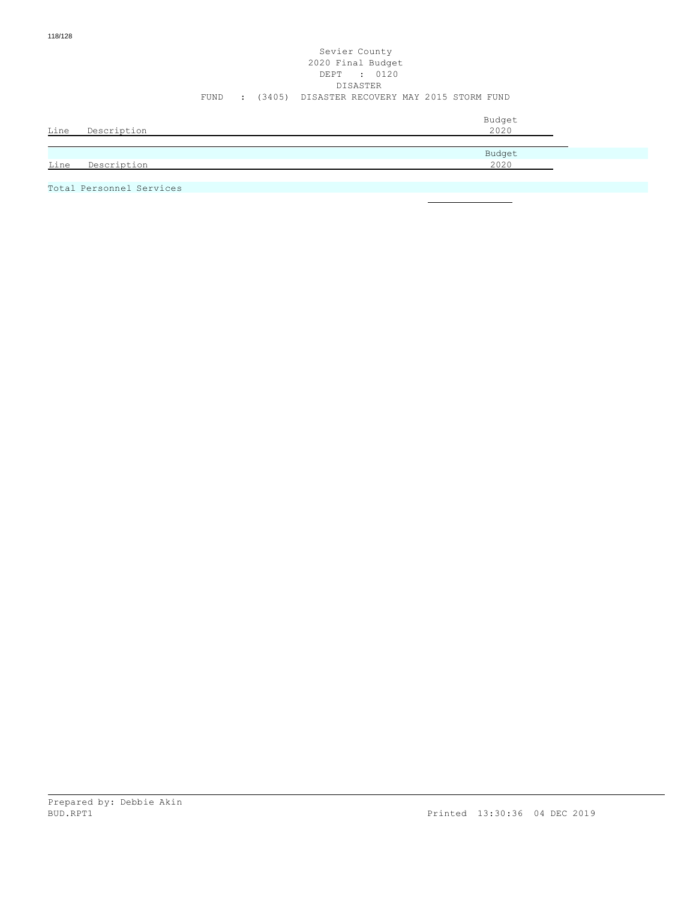# Sevier County 2020 Final Budget DEPT : 0120 DISASTER FUND : (3405) DISASTER RECOVERY MAY 2015 STORM FUND

| Line | Description | Budget<br>2020 |
|------|-------------|----------------|
|      |             | Budget         |
| Line | Description | 2020           |

Total Personnel Services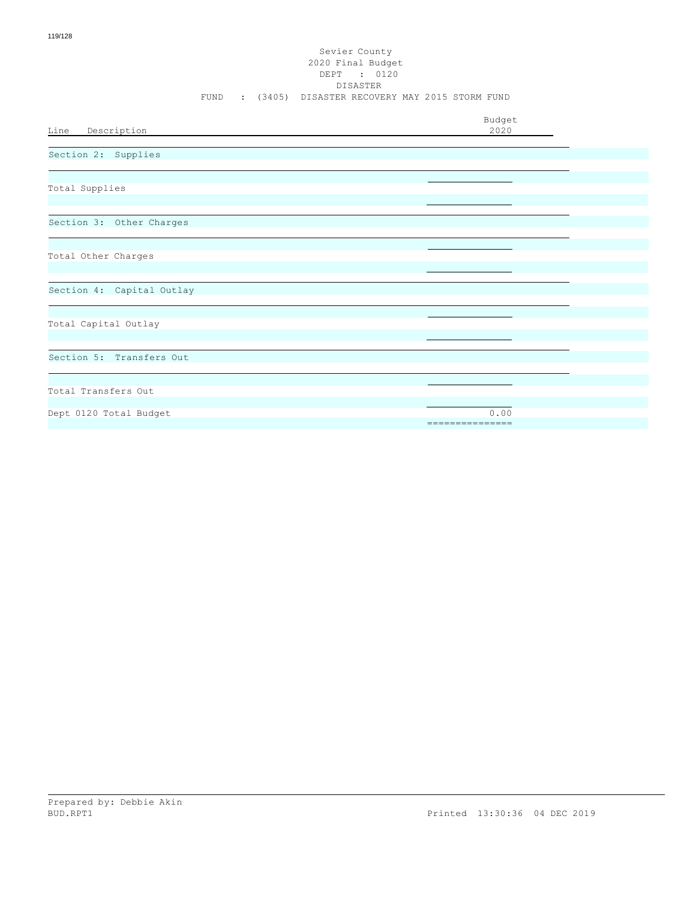#### Sevier County 2020 Final Budget DEPT : 0120 DISASTER FUND : (3405) DISASTER RECOVERY MAY 2015 STORM FUND

| Line Description          | Budget<br>2020          |
|---------------------------|-------------------------|
| Section 2: Supplies       |                         |
| Total Supplies            |                         |
| Section 3: Other Charges  |                         |
| Total Other Charges       |                         |
| Section 4: Capital Outlay |                         |
| Total Capital Outlay      |                         |
| Section 5: Transfers Out  |                         |
| Total Transfers Out       |                         |
| Dept 0120 Total Budget    | 0.00<br>=============== |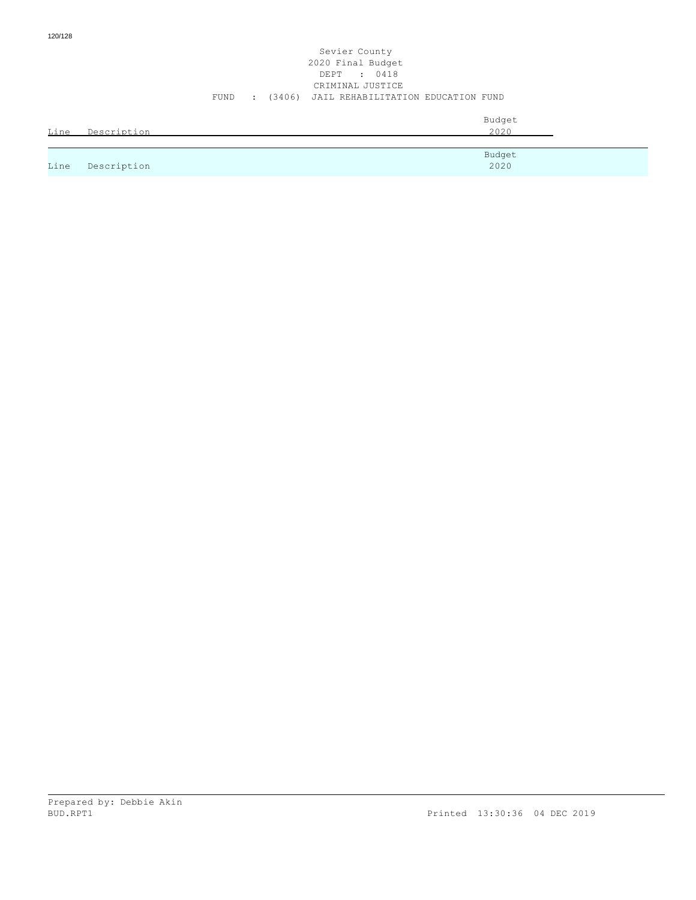#### Sevier County 2020 Final Budget DEPT : 0418 CRIMINAL JUSTICE FUND : (3406) JAIL REHABILITATION EDUCATION FUND

|      | Line Description | Budget<br>2020 |
|------|------------------|----------------|
|      |                  | Budget         |
| Line | Description      | 2020           |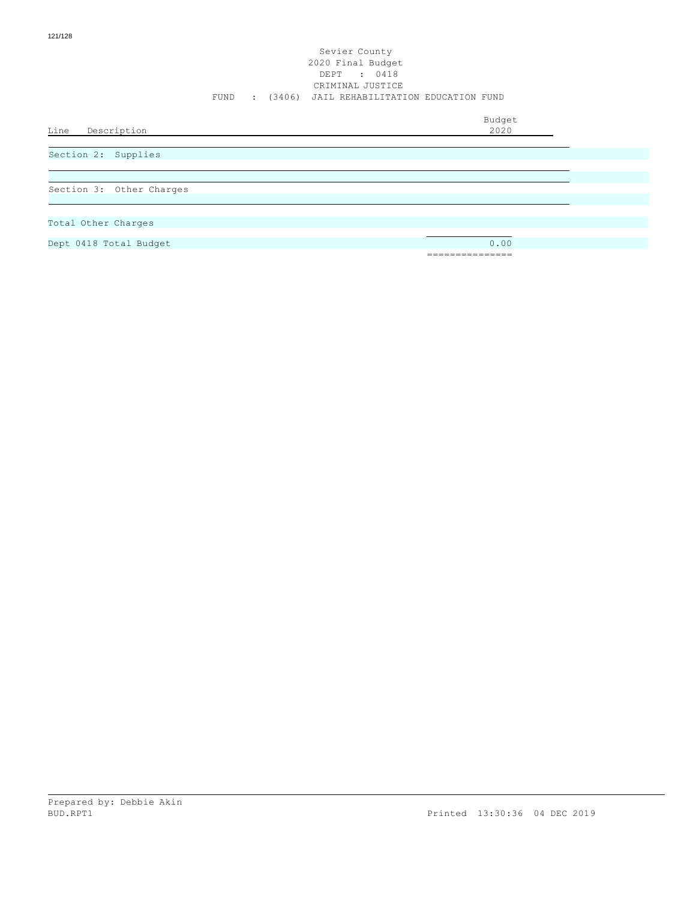#### Sevier County 2020 Final Budget DEPT : 0418 CRIMINAL JUSTICE FUND : (3406) JAIL REHABILITATION EDUCATION FUND

Budget

Line Description

Section 2: Supplies

Section 3: Other Charges

- Total Other Charges
- Dept 0418 Total Budget 0.00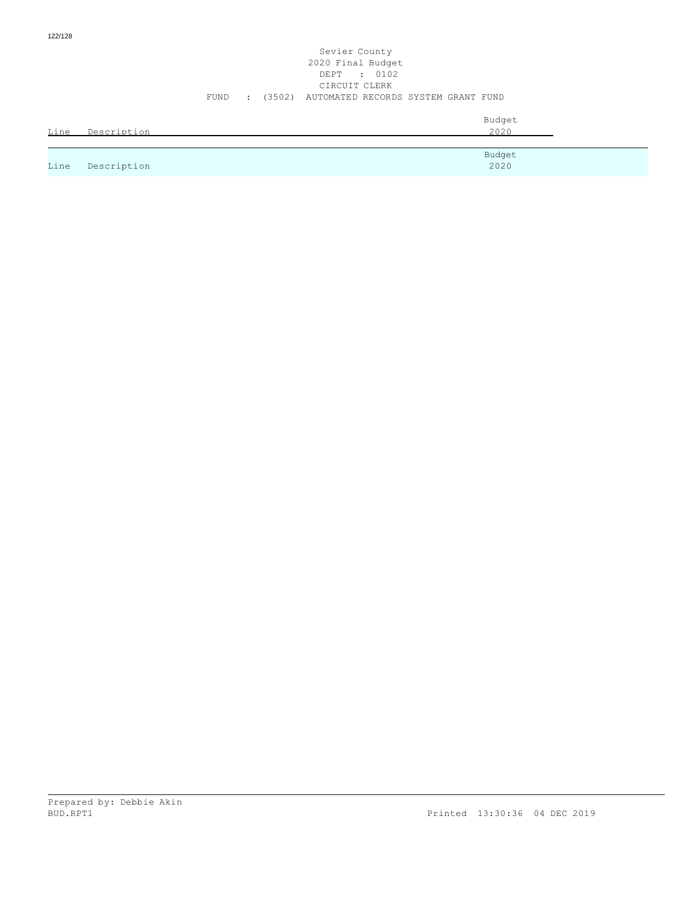#### Sevier County 2020 Final Budget DEPT : 0102 CIRCUIT CLERK FUND : (3502) AUTOMATED RECORDS SYSTEM GRANT FUND

| Line | Description | Budget<br>2020 |
|------|-------------|----------------|
|      |             | Budget         |
| Line | Description | 2020           |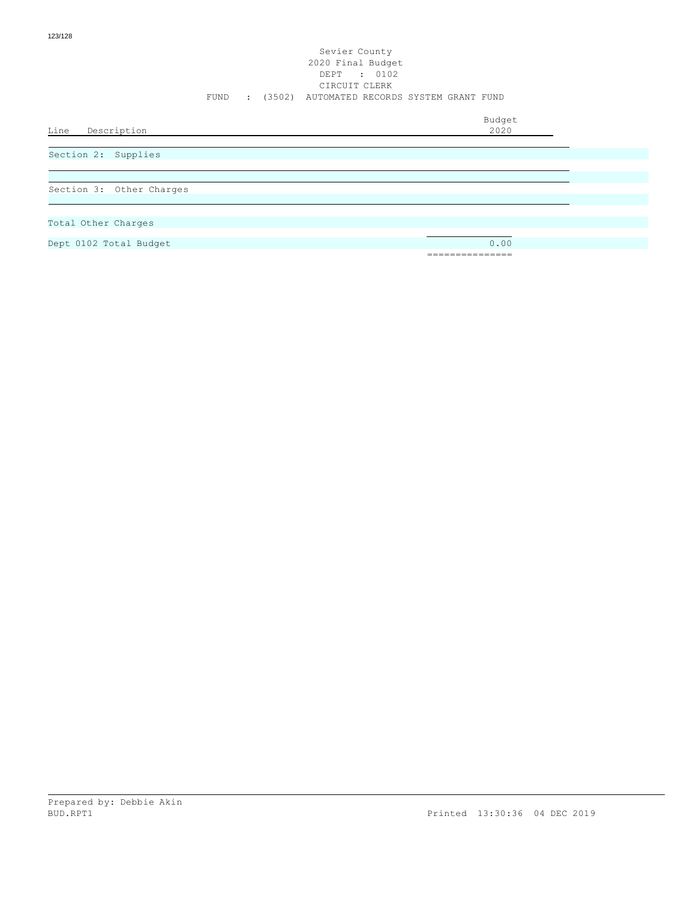#### Sevier County 2020 Final Budget DEPT : 0102 CIRCUIT CLERK FUND : (3502) AUTOMATED RECORDS SYSTEM GRANT FUND

Budget

Line Description

Section 2: Supplies

Section 3: Other Charges

- Total Other Charges
- Dept 0102 Total Budget 0.00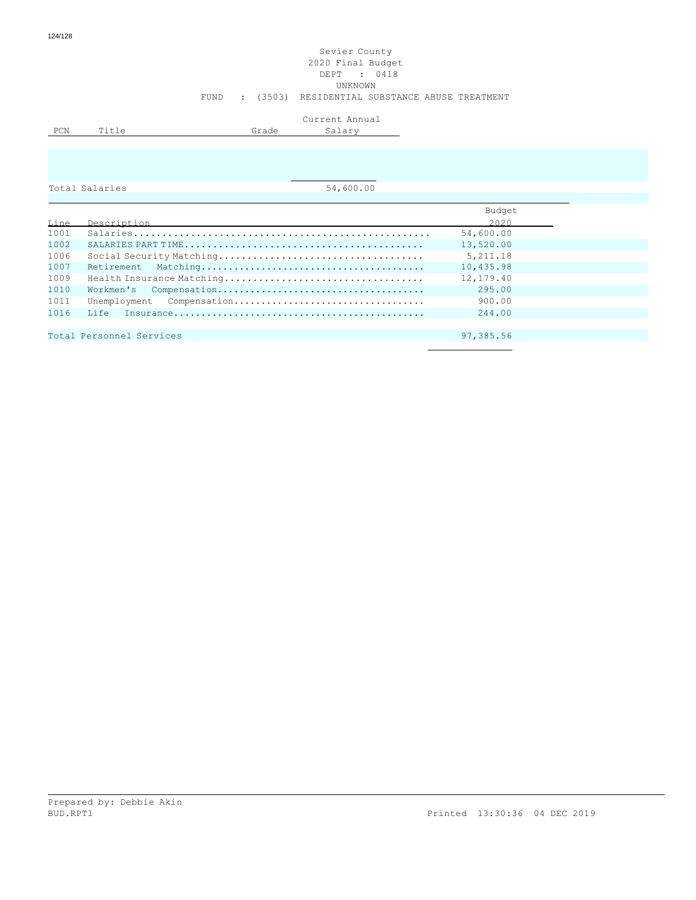## Sevier County 2020 Final Budget DEPT : 0418 UNKNOWN FUND : (3503) RESIDENTIAL SUBSTANCE ABUSE TREATMENT

|     |     |              | Current Annual<br>بالنديب السلبان |
|-----|-----|--------------|-----------------------------------|
| PCN | m ÷ | <b>Arade</b> |                                   |
|     |     |              |                                   |

|  |  |  |  |  |  | Total Salaries |
|--|--|--|--|--|--|----------------|
|  |  |  |  |  |  |                |

 $\overline{54,600.00}$ 

|      |                          | Budget    |
|------|--------------------------|-----------|
| Line | Description              | 2020      |
| 1001 |                          | 54,600.00 |
| 1002 |                          | 13,520.00 |
| 1006 |                          | 5, 211.18 |
| 1007 | Retirement               | 10,435.98 |
| 1009 |                          | 12,179.40 |
| 1010 |                          | 295.00    |
| 1011 |                          | 900.00    |
| 1016 | ⊺.i fe                   | 244.00    |
|      |                          |           |
|      | Total Personnel Services | 97,385.56 |
|      |                          |           |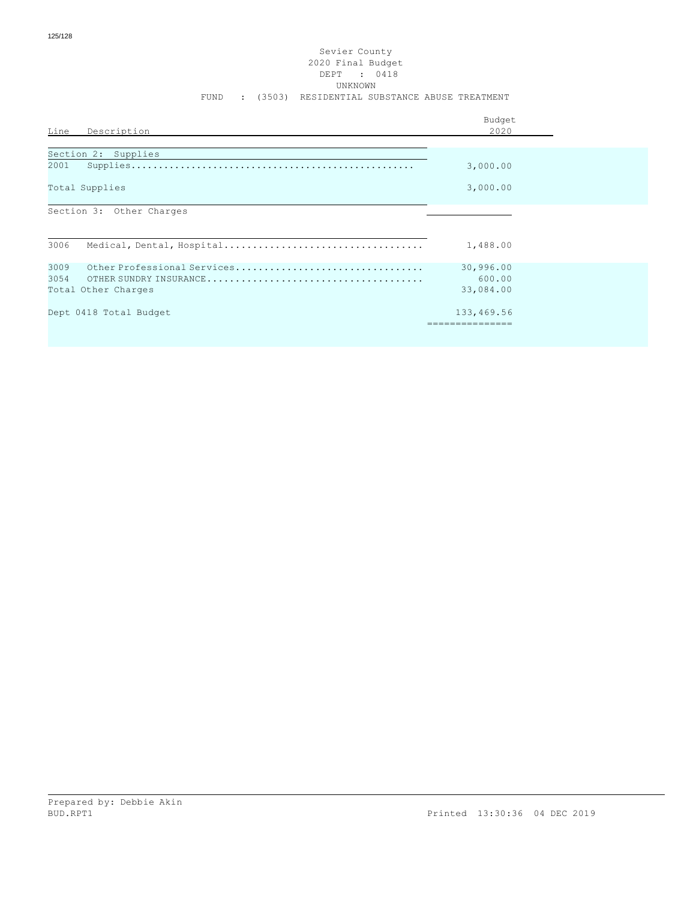#### Sevier County 2020 Final Budget DEPT : 0418 UNKNOWN FUND : (3503) RESIDENTIAL SUBSTANCE ABUSE TREATMENT

| Line<br>Description                 | Budget<br>2020 |  |
|-------------------------------------|----------------|--|
| Section 2: Supplies                 |                |  |
| 2001                                | 3,000.00       |  |
| Total Supplies                      | 3,000.00       |  |
| Section 3: Other Charges            |                |  |
| 3006                                | 1,488.00       |  |
| Other Professional Services<br>3009 | 30,996.00      |  |
| 3054                                | 600.00         |  |
| Total Other Charges                 | 33,084.00      |  |
| Dept 0418 Total Budget              | 133,469.56     |  |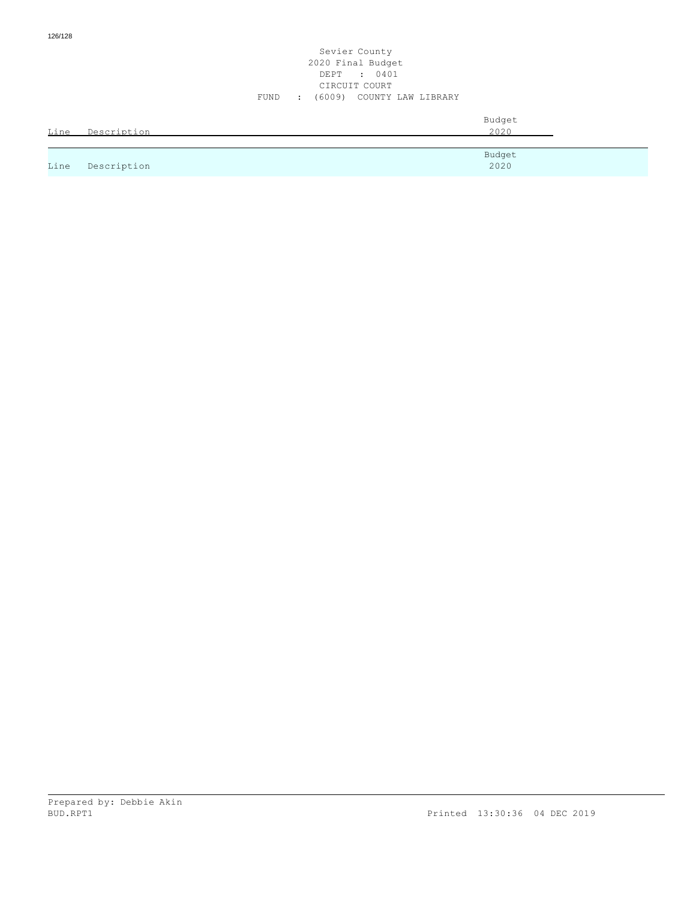#### Sevier County 2020 Final Budget DEPT : 0401 CIRCUIT COURT FUND : (6009) COUNTY LAW LIBRARY

| Line | Description | Budget<br>2020 |
|------|-------------|----------------|
| Line | Description | Budget<br>2020 |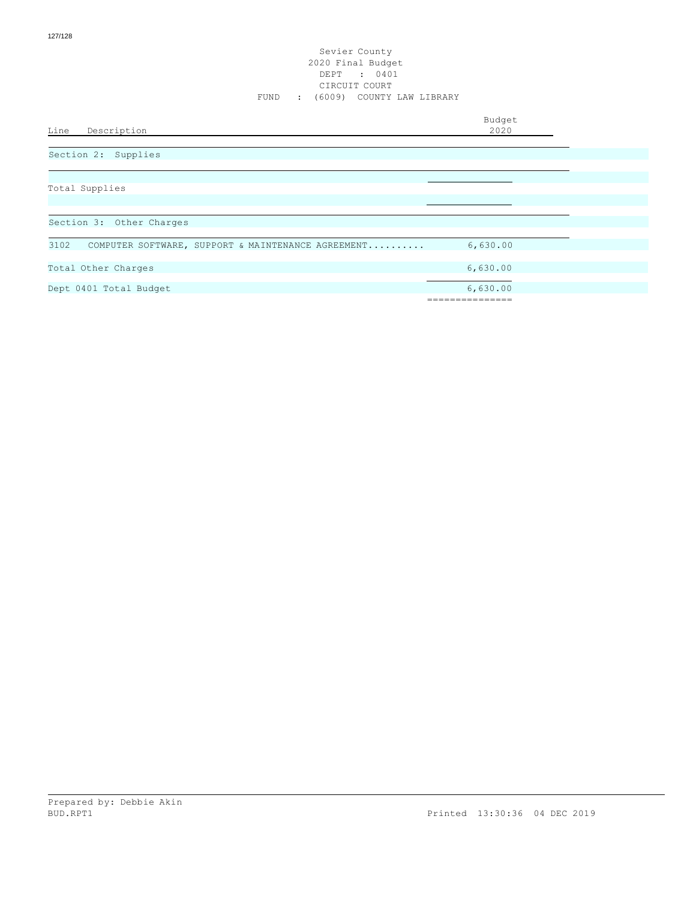#### Sevier County 2020 Final Budget DEPT : 0401 CIRCUIT COURT FUND : (6009) COUNTY LAW LIBRARY

Budget

# Line Description

|  | Section 2: Supplies |
|--|---------------------|
|  |                     |

| Total Supplies                                             |          |  |
|------------------------------------------------------------|----------|--|
|                                                            |          |  |
|                                                            |          |  |
| Section 3: Other Charges                                   |          |  |
|                                                            |          |  |
| 3102<br>COMPUTER SOFTWARE, SUPPORT & MAINTENANCE AGREEMENT | 6,630.00 |  |
|                                                            |          |  |
| Total Other Charges                                        | 6,630.00 |  |
|                                                            |          |  |
| Dept 0401 Total Budget                                     | 6,630.00 |  |
|                                                            |          |  |